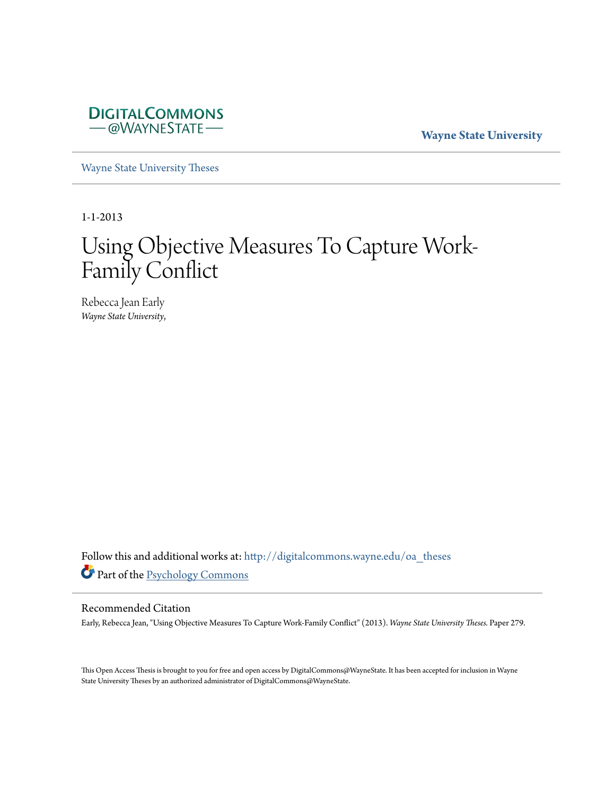

**Wayne State University**

[Wayne State University Theses](http://digitalcommons.wayne.edu/oa_theses?utm_source=digitalcommons.wayne.edu%2Foa_theses%2F279&utm_medium=PDF&utm_campaign=PDFCoverPages)

1-1-2013

# Using Objective Measures To Capture Work-Family Conflict

Rebecca Jean Early *Wayne State University*,

Follow this and additional works at: [http://digitalcommons.wayne.edu/oa\\_theses](http://digitalcommons.wayne.edu/oa_theses?utm_source=digitalcommons.wayne.edu%2Foa_theses%2F279&utm_medium=PDF&utm_campaign=PDFCoverPages) Part of the [Psychology Commons](http://network.bepress.com/hgg/discipline/404?utm_source=digitalcommons.wayne.edu%2Foa_theses%2F279&utm_medium=PDF&utm_campaign=PDFCoverPages)

# Recommended Citation

Early, Rebecca Jean, "Using Objective Measures To Capture Work-Family Conflict" (2013). *Wayne State University Theses.* Paper 279.

This Open Access Thesis is brought to you for free and open access by DigitalCommons@WayneState. It has been accepted for inclusion in Wayne State University Theses by an authorized administrator of DigitalCommons@WayneState.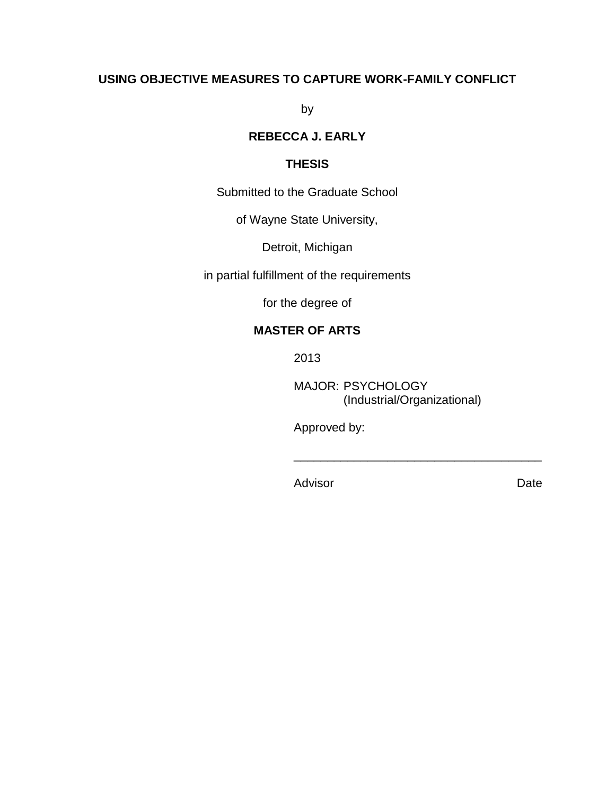# **USING OBJECTIVE MEASURES TO CAPTURE WORK-FAMILY CONFLICT**

by

# **REBECCA J. EARLY**

# **THESIS**

Submitted to the Graduate School

of Wayne State University,

Detroit, Michigan

in partial fulfillment of the requirements

for the degree of

# **MASTER OF ARTS**

2013

MAJOR: PSYCHOLOGY (Industrial/Organizational)

\_\_\_\_\_\_\_\_\_\_\_\_\_\_\_\_\_\_\_\_\_\_\_\_\_\_\_\_\_\_\_\_\_\_\_\_\_

Approved by:

Advisor Date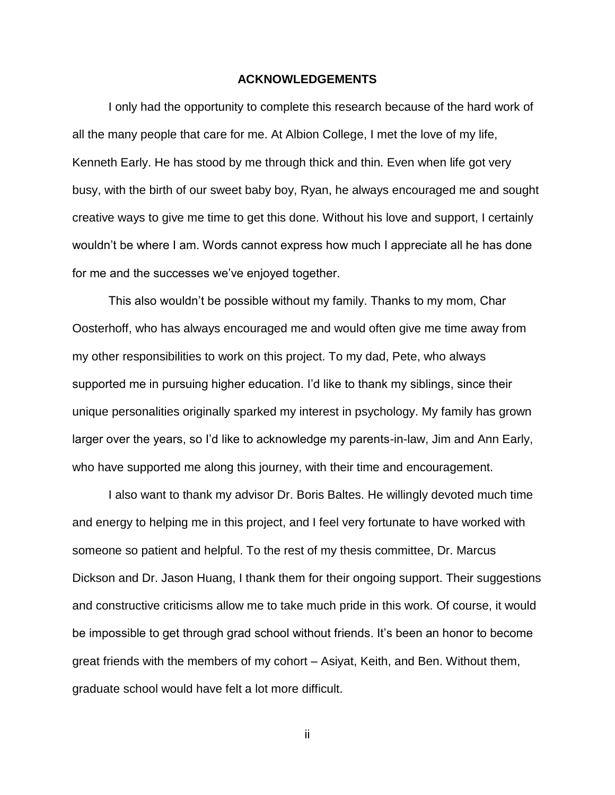#### **ACKNOWLEDGEMENTS**

I only had the opportunity to complete this research because of the hard work of all the many people that care for me. At Albion College, I met the love of my life, Kenneth Early. He has stood by me through thick and thin. Even when life got very busy, with the birth of our sweet baby boy, Ryan, he always encouraged me and sought creative ways to give me time to get this done. Without his love and support, I certainly wouldn't be where I am. Words cannot express how much I appreciate all he has done for me and the successes we've enjoyed together.

This also wouldn't be possible without my family. Thanks to my mom, Char Oosterhoff, who has always encouraged me and would often give me time away from my other responsibilities to work on this project. To my dad, Pete, who always supported me in pursuing higher education. I'd like to thank my siblings, since their unique personalities originally sparked my interest in psychology. My family has grown larger over the years, so I'd like to acknowledge my parents-in-law, Jim and Ann Early, who have supported me along this journey, with their time and encouragement.

I also want to thank my advisor Dr. Boris Baltes. He willingly devoted much time and energy to helping me in this project, and I feel very fortunate to have worked with someone so patient and helpful. To the rest of my thesis committee, Dr. Marcus Dickson and Dr. Jason Huang, I thank them for their ongoing support. Their suggestions and constructive criticisms allow me to take much pride in this work. Of course, it would be impossible to get through grad school without friends. It's been an honor to become great friends with the members of my cohort – Asiyat, Keith, and Ben. Without them, graduate school would have felt a lot more difficult.

ii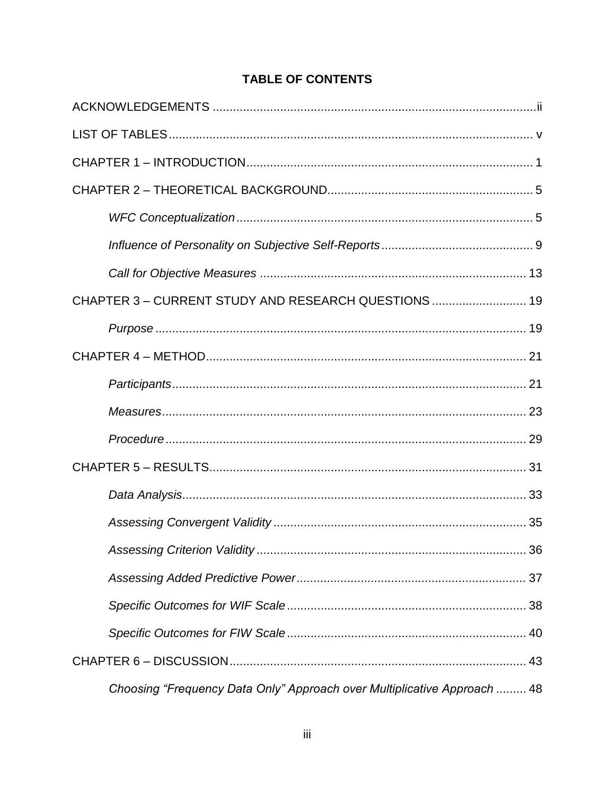# **TABLE OF CONTENTS**

| CHAPTER 3 - CURRENT STUDY AND RESEARCH QUESTIONS  19                     |
|--------------------------------------------------------------------------|
|                                                                          |
|                                                                          |
|                                                                          |
|                                                                          |
|                                                                          |
|                                                                          |
|                                                                          |
|                                                                          |
|                                                                          |
|                                                                          |
|                                                                          |
|                                                                          |
|                                                                          |
| Choosing "Frequency Data Only" Approach over Multiplicative Approach  48 |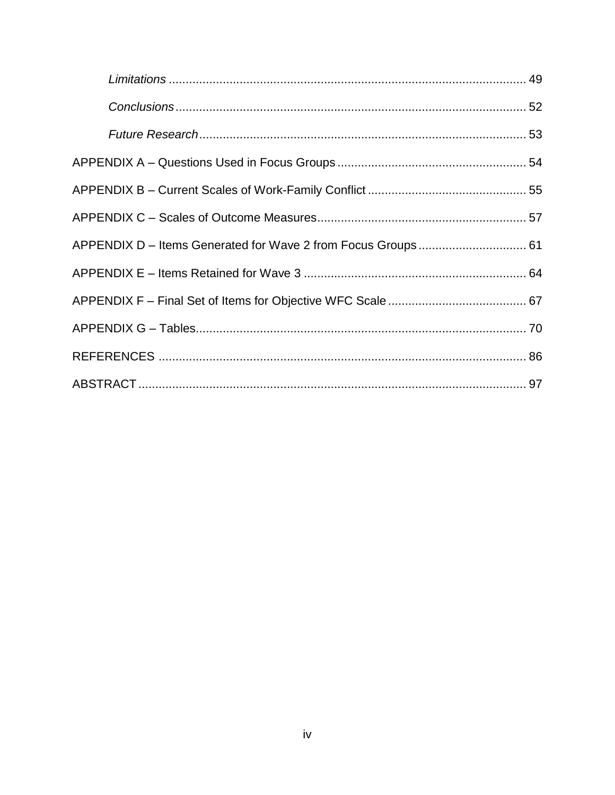|  | APPENDIX D - Items Generated for Wave 2 from Focus Groups 61 |
|--|--------------------------------------------------------------|
|  |                                                              |
|  |                                                              |
|  |                                                              |
|  |                                                              |
|  |                                                              |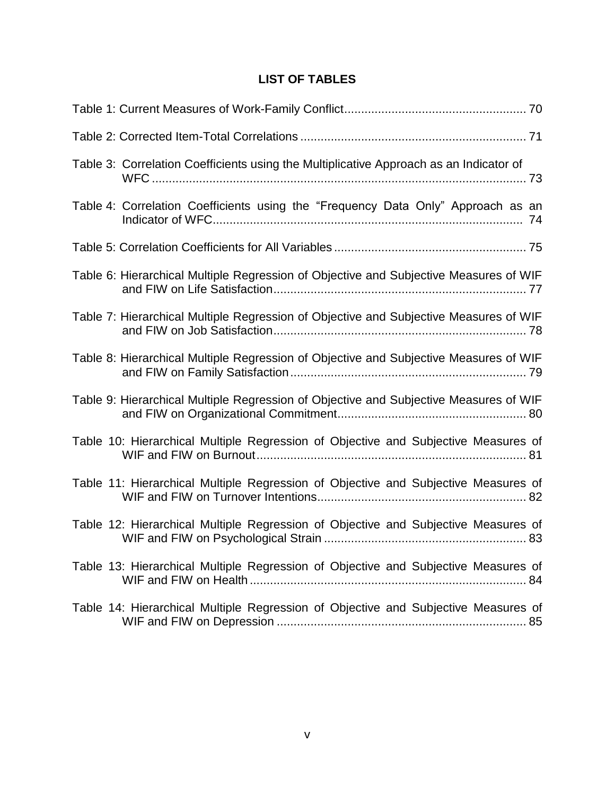# **LIST OF TABLES**

| Table 3: Correlation Coefficients using the Multiplicative Approach as an Indicator of |
|----------------------------------------------------------------------------------------|
| Table 4: Correlation Coefficients using the "Frequency Data Only" Approach as an       |
|                                                                                        |
| Table 6: Hierarchical Multiple Regression of Objective and Subjective Measures of WIF  |
| Table 7: Hierarchical Multiple Regression of Objective and Subjective Measures of WIF  |
| Table 8: Hierarchical Multiple Regression of Objective and Subjective Measures of WIF  |
| Table 9: Hierarchical Multiple Regression of Objective and Subjective Measures of WIF  |
| Table 10: Hierarchical Multiple Regression of Objective and Subjective Measures of     |
| Table 11: Hierarchical Multiple Regression of Objective and Subjective Measures of     |
| Table 12: Hierarchical Multiple Regression of Objective and Subjective Measures of     |
| Table 13: Hierarchical Multiple Regression of Objective and Subjective Measures of     |
| Table 14: Hierarchical Multiple Regression of Objective and Subjective Measures of     |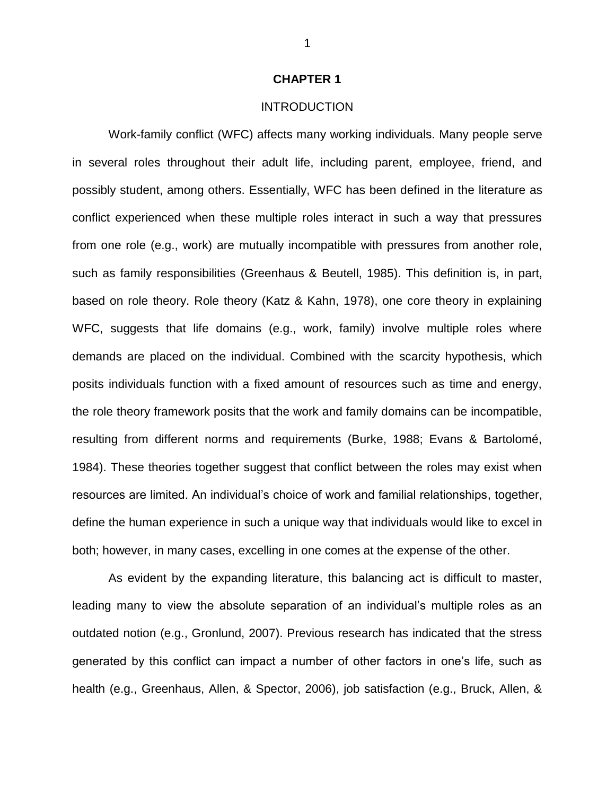## **CHAPTER 1**

# INTRODUCTION

Work-family conflict (WFC) affects many working individuals. Many people serve in several roles throughout their adult life, including parent, employee, friend, and possibly student, among others. Essentially, WFC has been defined in the literature as conflict experienced when these multiple roles interact in such a way that pressures from one role (e.g., work) are mutually incompatible with pressures from another role, such as family responsibilities (Greenhaus & Beutell, 1985). This definition is, in part, based on role theory. Role theory (Katz & Kahn, 1978), one core theory in explaining WFC, suggests that life domains (e.g., work, family) involve multiple roles where demands are placed on the individual. Combined with the scarcity hypothesis, which posits individuals function with a fixed amount of resources such as time and energy, the role theory framework posits that the work and family domains can be incompatible, resulting from different norms and requirements (Burke, 1988; Evans & Bartolomé, 1984). These theories together suggest that conflict between the roles may exist when resources are limited. An individual's choice of work and familial relationships, together, define the human experience in such a unique way that individuals would like to excel in both; however, in many cases, excelling in one comes at the expense of the other.

As evident by the expanding literature, this balancing act is difficult to master, leading many to view the absolute separation of an individual's multiple roles as an outdated notion (e.g., Gronlund, 2007). Previous research has indicated that the stress generated by this conflict can impact a number of other factors in one's life, such as health (e.g., Greenhaus, Allen, & Spector, 2006), job satisfaction (e.g., Bruck, Allen, &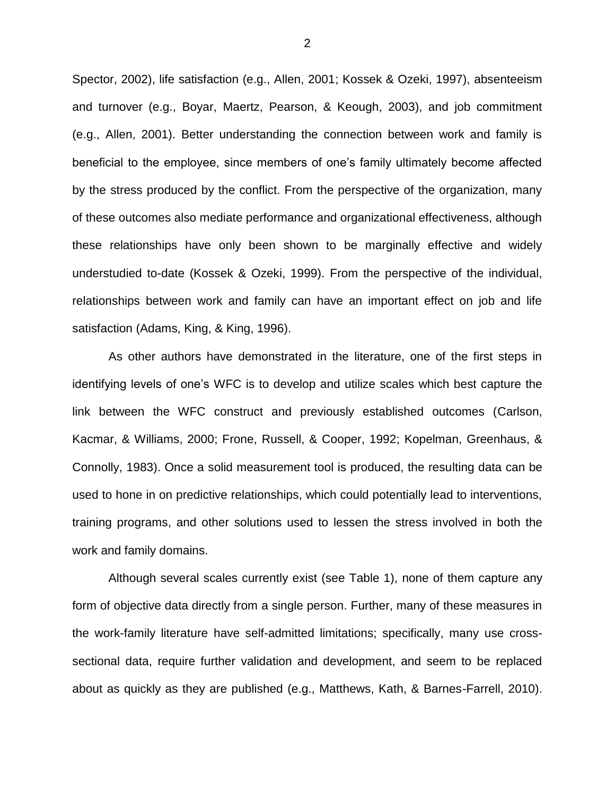Spector, 2002), life satisfaction (e.g., Allen, 2001; Kossek & Ozeki, 1997), absenteeism and turnover (e.g., Boyar, Maertz, Pearson, & Keough, 2003), and job commitment (e.g., Allen, 2001). Better understanding the connection between work and family is beneficial to the employee, since members of one's family ultimately become affected by the stress produced by the conflict. From the perspective of the organization, many of these outcomes also mediate performance and organizational effectiveness, although these relationships have only been shown to be marginally effective and widely understudied to-date (Kossek & Ozeki, 1999). From the perspective of the individual, relationships between work and family can have an important effect on job and life satisfaction (Adams, King, & King, 1996).

As other authors have demonstrated in the literature, one of the first steps in identifying levels of one's WFC is to develop and utilize scales which best capture the link between the WFC construct and previously established outcomes (Carlson, Kacmar, & Williams, 2000; Frone, Russell, & Cooper, 1992; Kopelman, Greenhaus, & Connolly, 1983). Once a solid measurement tool is produced, the resulting data can be used to hone in on predictive relationships, which could potentially lead to interventions, training programs, and other solutions used to lessen the stress involved in both the work and family domains.

Although several scales currently exist (see Table 1), none of them capture any form of objective data directly from a single person. Further, many of these measures in the work-family literature have self-admitted limitations; specifically, many use crosssectional data, require further validation and development, and seem to be replaced about as quickly as they are published (e.g., Matthews, Kath, & Barnes-Farrell, 2010).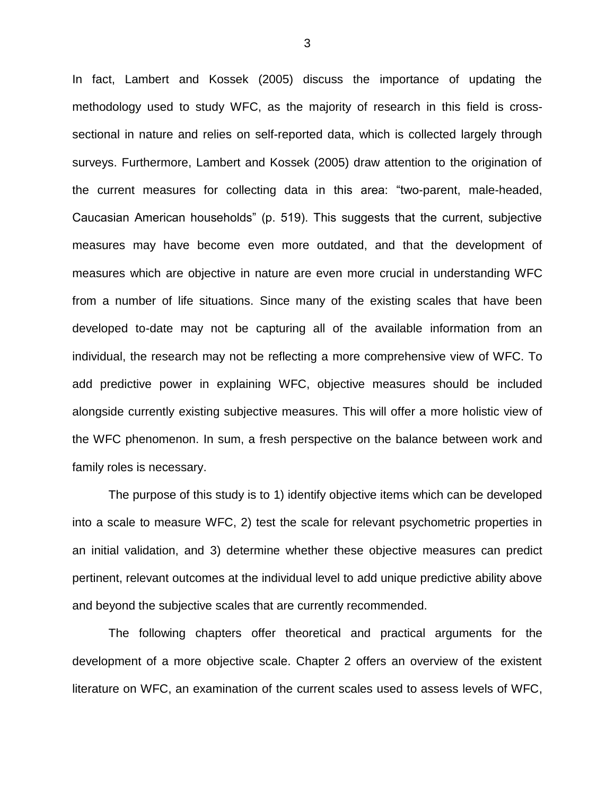In fact, Lambert and Kossek (2005) discuss the importance of updating the methodology used to study WFC, as the majority of research in this field is crosssectional in nature and relies on self-reported data, which is collected largely through surveys. Furthermore, Lambert and Kossek (2005) draw attention to the origination of the current measures for collecting data in this area: "two-parent, male-headed, Caucasian American households" (p. 519). This suggests that the current, subjective measures may have become even more outdated, and that the development of measures which are objective in nature are even more crucial in understanding WFC from a number of life situations. Since many of the existing scales that have been developed to-date may not be capturing all of the available information from an individual, the research may not be reflecting a more comprehensive view of WFC. To add predictive power in explaining WFC, objective measures should be included alongside currently existing subjective measures. This will offer a more holistic view of the WFC phenomenon. In sum, a fresh perspective on the balance between work and family roles is necessary.

The purpose of this study is to 1) identify objective items which can be developed into a scale to measure WFC, 2) test the scale for relevant psychometric properties in an initial validation, and 3) determine whether these objective measures can predict pertinent, relevant outcomes at the individual level to add unique predictive ability above and beyond the subjective scales that are currently recommended.

The following chapters offer theoretical and practical arguments for the development of a more objective scale. Chapter 2 offers an overview of the existent literature on WFC, an examination of the current scales used to assess levels of WFC,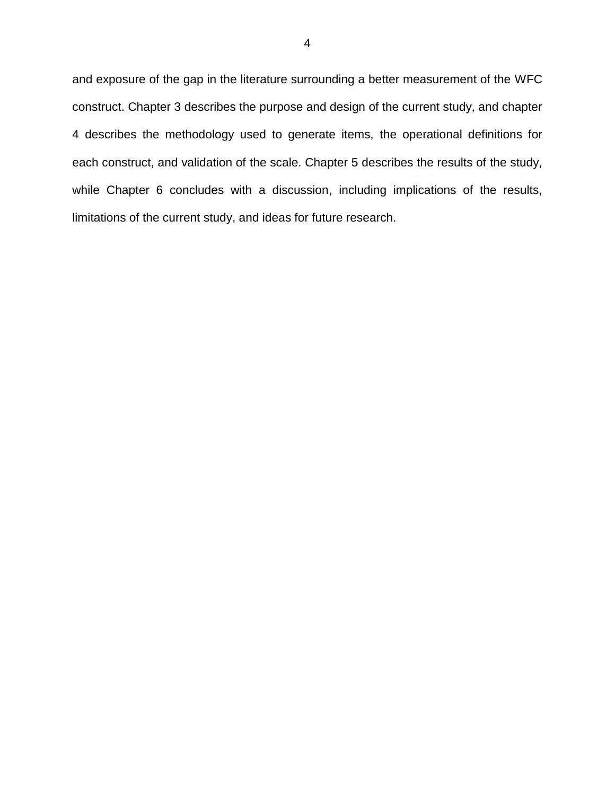and exposure of the gap in the literature surrounding a better measurement of the WFC construct. Chapter 3 describes the purpose and design of the current study, and chapter 4 describes the methodology used to generate items, the operational definitions for each construct, and validation of the scale. Chapter 5 describes the results of the study, while Chapter 6 concludes with a discussion, including implications of the results, limitations of the current study, and ideas for future research.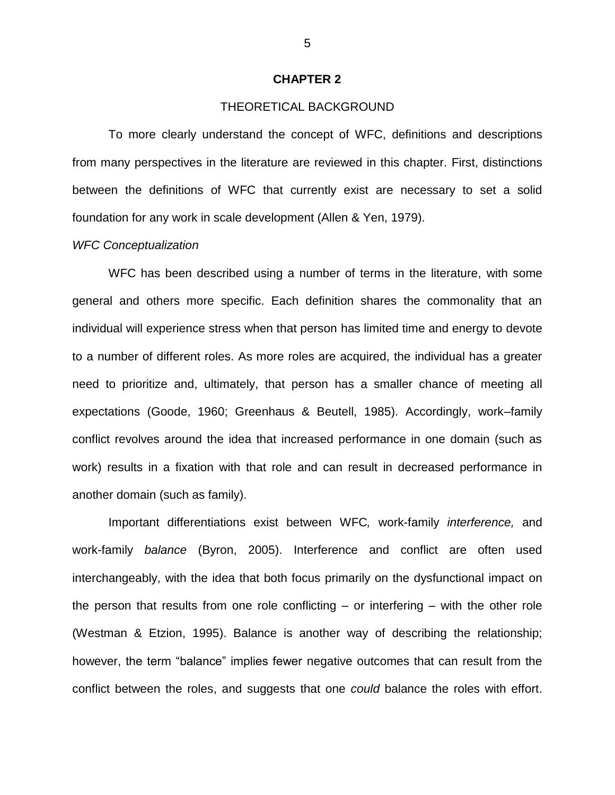## **CHAPTER 2**

# THEORETICAL BACKGROUND

To more clearly understand the concept of WFC, definitions and descriptions from many perspectives in the literature are reviewed in this chapter. First, distinctions between the definitions of WFC that currently exist are necessary to set a solid foundation for any work in scale development (Allen & Yen, 1979).

#### *WFC Conceptualization*

WFC has been described using a number of terms in the literature, with some general and others more specific. Each definition shares the commonality that an individual will experience stress when that person has limited time and energy to devote to a number of different roles. As more roles are acquired, the individual has a greater need to prioritize and, ultimately, that person has a smaller chance of meeting all expectations (Goode, 1960; Greenhaus & Beutell, 1985). Accordingly, work–family conflict revolves around the idea that increased performance in one domain (such as work) results in a fixation with that role and can result in decreased performance in another domain (such as family).

Important differentiations exist between WFC*,* work-family *interference,* and work-family *balance* (Byron, 2005). Interference and conflict are often used interchangeably, with the idea that both focus primarily on the dysfunctional impact on the person that results from one role conflicting – or interfering – with the other role [\(Westman & Etzion, 1995\)](http://web.ebscohost.com.proxy.lib.wayne.edu/ehost/detail?sid=eebda225-56f4-4279-99be-6d12819b7a3a%40sessionmgr110&vid=15&hid=113&bdata=JnNpdGU9ZWhvc3QtbGl2ZQ%3d%3d#c67). Balance is another way of describing the relationship; however, the term "balance" implies fewer negative outcomes that can result from the conflict between the roles, and suggests that one *could* balance the roles with effort.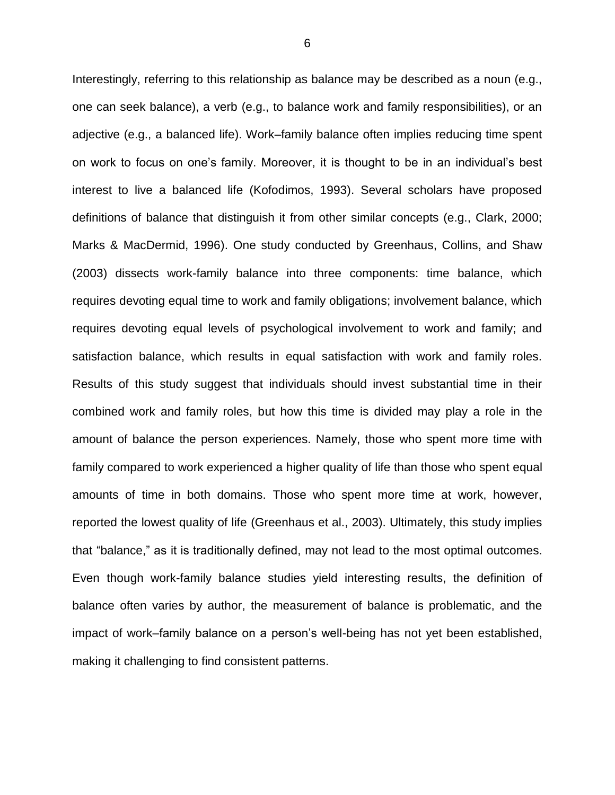Interestingly, referring to this relationship as balance may be described as a noun (e.g., one can seek balance), a verb (e.g., to balance work and family responsibilities), or an adjective (e.g., a balanced life). Work–family balance often implies reducing time spent on work to focus on one's family. Moreover, it is thought to be in an individual's best interest to live a balanced life (Kofodimos, 1993). Several scholars have proposed definitions of balance that distinguish it from other similar concepts (e.g., Clark, 2000; Marks & MacDermid, 1996). One study conducted by Greenhaus, Collins, and Shaw (2003) dissects work-family balance into three components: time balance, which requires devoting equal time to work and family obligations; involvement balance, which requires devoting equal levels of psychological involvement to work and family; and satisfaction balance, which results in equal satisfaction with work and family roles. Results of this study suggest that individuals should invest substantial time in their combined work and family roles, but how this time is divided may play a role in the amount of balance the person experiences. Namely, those who spent more time with family compared to work experienced a higher quality of life than those who spent equal amounts of time in both domains. Those who spent more time at work, however, reported the lowest quality of life (Greenhaus et al., 2003). Ultimately, this study implies that "balance," as it is traditionally defined, may not lead to the most optimal outcomes. Even though work-family balance studies yield interesting results, the definition of balance often varies by author, the measurement of balance is problematic, and the impact of work–family balance on a person's well-being has not yet been established, making it challenging to find consistent patterns.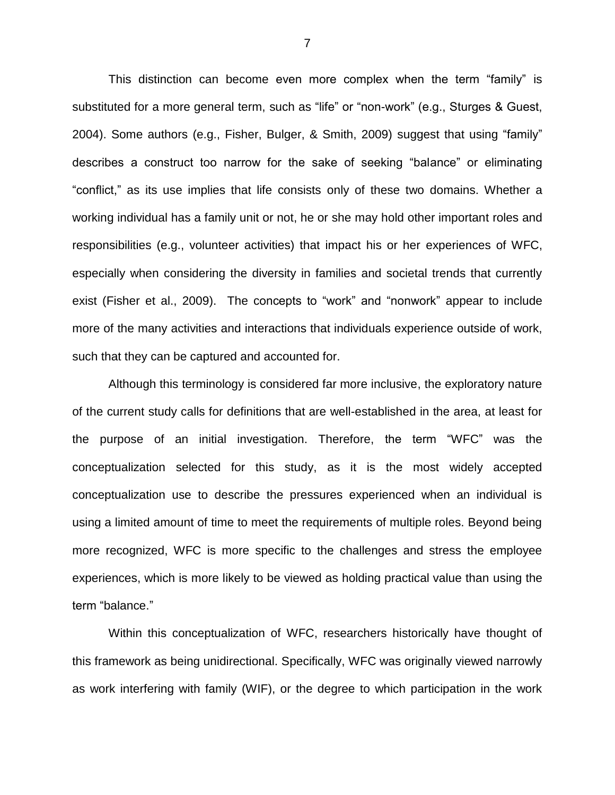This distinction can become even more complex when the term "family" is substituted for a more general term, such as "life" or "non-work" (e.g., Sturges & Guest, 2004). Some authors (e.g., Fisher, Bulger, & Smith, 2009) suggest that using "family" describes a construct too narrow for the sake of seeking "balance" or eliminating "conflict," as its use implies that life consists only of these two domains. Whether a working individual has a family unit or not, he or she may hold other important roles and responsibilities (e.g., volunteer activities) that impact his or her experiences of WFC, especially when considering the diversity in families and societal trends that currently exist (Fisher et al., 2009). The concepts to "work" and "nonwork" appear to include more of the many activities and interactions that individuals experience outside of work, such that they can be captured and accounted for.

Although this terminology is considered far more inclusive, the exploratory nature of the current study calls for definitions that are well-established in the area, at least for the purpose of an initial investigation. Therefore, the term "WFC" was the conceptualization selected for this study, as it is the most widely accepted conceptualization use to describe the pressures experienced when an individual is using a limited amount of time to meet the requirements of multiple roles. Beyond being more recognized, WFC is more specific to the challenges and stress the employee experiences, which is more likely to be viewed as holding practical value than using the term "balance."

Within this conceptualization of WFC, researchers historically have thought of this framework as being unidirectional. Specifically, WFC was originally viewed narrowly as work interfering with family (WIF), or the degree to which participation in the work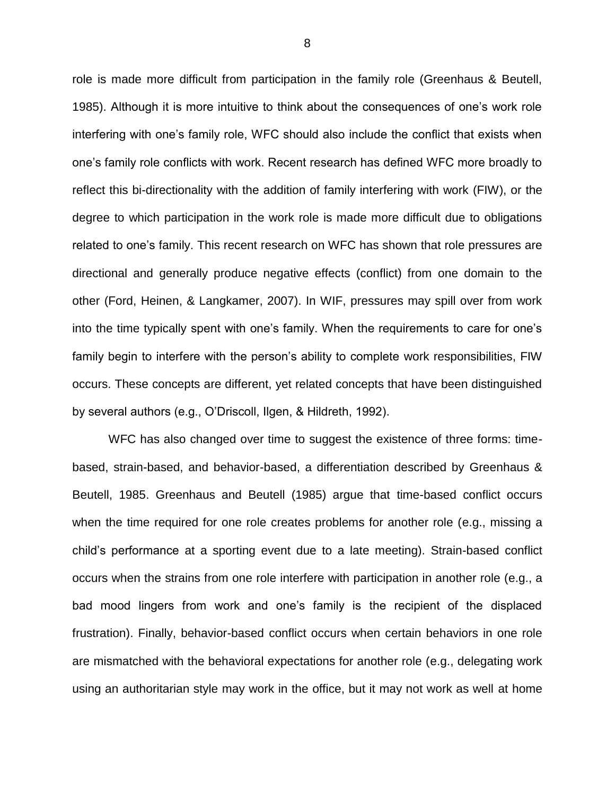role is made more difficult from participation in the family role (Greenhaus & Beutell, 1985). Although it is more intuitive to think about the consequences of one's work role interfering with one's family role, WFC should also include the conflict that exists when one's family role conflicts with work. Recent research has defined WFC more broadly to reflect this bi-directionality with the addition of family interfering with work (FIW), or the degree to which participation in the work role is made more difficult due to obligations related to one's family. This recent research on WFC has shown that role pressures are directional and generally produce negative effects (conflict) from one domain to the other (Ford, Heinen, & Langkamer, 2007). In WIF, pressures may spill over from work into the time typically spent with one's family. When the requirements to care for one's family begin to interfere with the person's ability to complete work responsibilities, FIW occurs. These concepts are different, yet related concepts that have been distinguished by several authors (e.g., O'Driscoll, Ilgen, & Hildreth, 1992).

WFC has also changed over time to suggest the existence of three forms: timebased, strain-based, and behavior-based, a differentiation described by Greenhaus & Beutell, 1985. Greenhaus and Beutell (1985) argue that time-based conflict occurs when the time required for one role creates problems for another role (e.g., missing a child's performance at a sporting event due to a late meeting). Strain-based conflict occurs when the strains from one role interfere with participation in another role (e.g., a bad mood lingers from work and one's family is the recipient of the displaced frustration). Finally, behavior-based conflict occurs when certain behaviors in one role are mismatched with the behavioral expectations for another role (e.g., delegating work using an authoritarian style may work in the office, but it may not work as well at home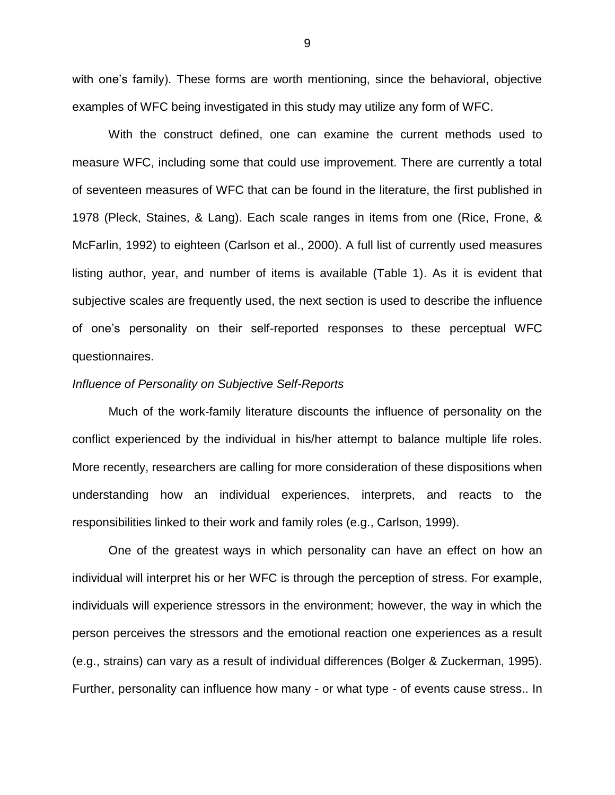with one's family). These forms are worth mentioning, since the behavioral, objective examples of WFC being investigated in this study may utilize any form of WFC.

With the construct defined, one can examine the current methods used to measure WFC, including some that could use improvement. There are currently a total of seventeen measures of WFC that can be found in the literature, the first published in 1978 (Pleck, Staines, & Lang). Each scale ranges in items from one (Rice, Frone, & McFarlin, 1992) to eighteen (Carlson et al., 2000). A full list of currently used measures listing author, year, and number of items is available (Table 1). As it is evident that subjective scales are frequently used, the next section is used to describe the influence of one's personality on their self-reported responses to these perceptual WFC questionnaires.

#### *Influence of Personality on Subjective Self-Reports*

Much of the work-family literature discounts the influence of personality on the conflict experienced by the individual in his/her attempt to balance multiple life roles. More recently, researchers are calling for more consideration of these dispositions when understanding how an individual experiences, interprets, and reacts to the responsibilities linked to their work and family roles (e.g., Carlson, 1999).

One of the greatest ways in which personality can have an effect on how an individual will interpret his or her WFC is through the perception of stress. For example, individuals will experience stressors in the environment; however, the way in which the person perceives the stressors and the emotional reaction one experiences as a result (e.g., strains) can vary as a result of individual differences (Bolger & Zuckerman, 1995). Further, personality can influence how many - or what type - of events cause stress.. In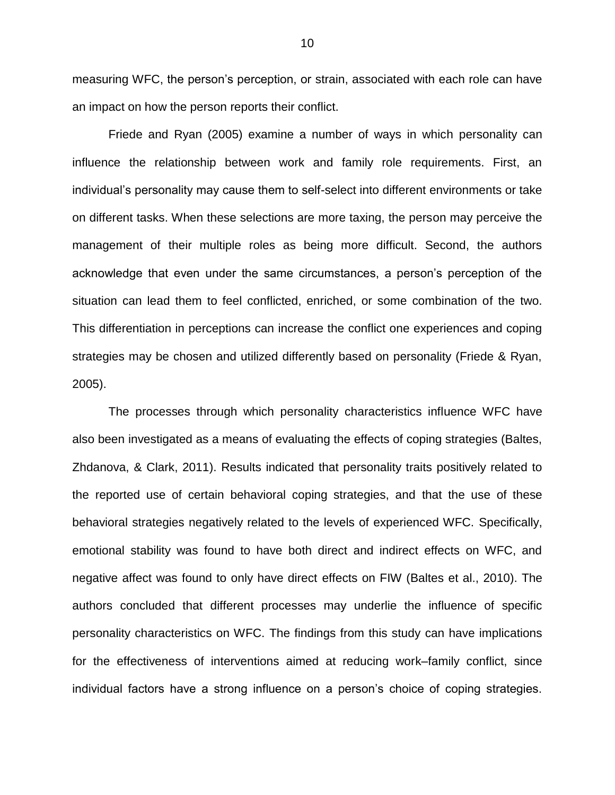measuring WFC, the person's perception, or strain, associated with each role can have an impact on how the person reports their conflict.

Friede and Ryan (2005) examine a number of ways in which personality can influence the relationship between work and family role requirements. First, an individual's personality may cause them to self-select into different environments or take on different tasks. When these selections are more taxing, the person may perceive the management of their multiple roles as being more difficult. Second, the authors acknowledge that even under the same circumstances, a person's perception of the situation can lead them to feel conflicted, enriched, or some combination of the two. This differentiation in perceptions can increase the conflict one experiences and coping strategies may be chosen and utilized differently based on personality (Friede & Ryan, 2005).

The processes through which personality characteristics influence WFC have also been investigated as a means of evaluating the effects of coping strategies (Baltes, Zhdanova, & Clark, 2011). Results indicated that personality traits positively related to the reported use of certain behavioral coping strategies, and that the use of these behavioral strategies negatively related to the levels of experienced WFC. Specifically, emotional stability was found to have both direct and indirect effects on WFC, and negative affect was found to only have direct effects on FIW (Baltes et al., 2010). The authors concluded that different processes may underlie the influence of specific personality characteristics on WFC. The findings from this study can have implications for the effectiveness of interventions aimed at reducing work–family conflict, since individual factors have a strong influence on a person's choice of coping strategies.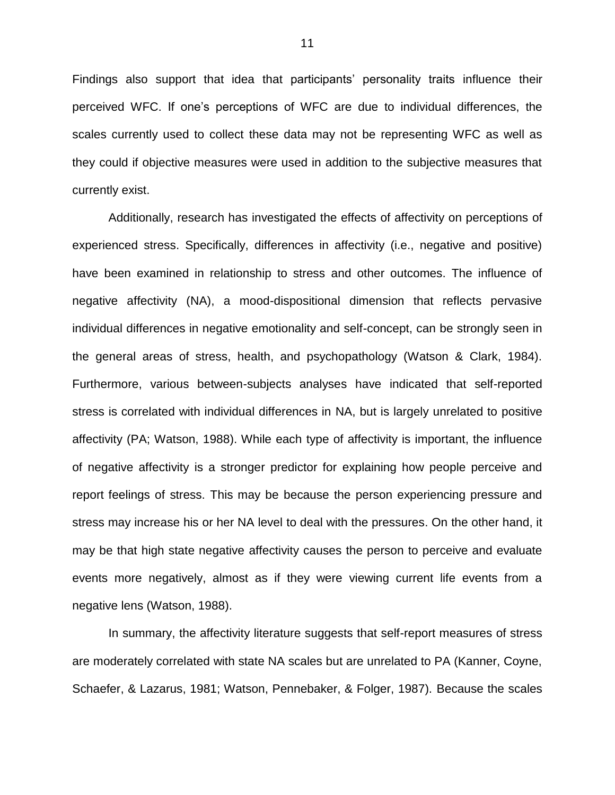Findings also support that idea that participants' personality traits influence their perceived WFC. If one's perceptions of WFC are due to individual differences, the scales currently used to collect these data may not be representing WFC as well as they could if objective measures were used in addition to the subjective measures that currently exist.

Additionally, research has investigated the effects of affectivity on perceptions of experienced stress. Specifically, differences in affectivity (i.e., negative and positive) have been examined in relationship to stress and other outcomes. The influence of negative affectivity (NA), a mood-dispositional dimension that reflects pervasive individual differences in negative emotionality and self-concept, can be strongly seen in the general areas of stress, health, and psychopathology (Watson & Clark, 1984). Furthermore, various between-subjects analyses have indicated that self-reported stress is correlated with individual differences in NA, but is largely unrelated to positive affectivity (PA; Watson, 1988). While each type of affectivity is important, the influence of negative affectivity is a stronger predictor for explaining how people perceive and report feelings of stress. This may be because the person experiencing pressure and stress may increase his or her NA level to deal with the pressures. On the other hand, it may be that high state negative affectivity causes the person to perceive and evaluate events more negatively, almost as if they were viewing current life events from a negative lens (Watson, 1988).

In summary, the affectivity literature suggests that self-report measures of stress are moderately correlated with state NA scales but are unrelated to PA (Kanner, Coyne, Schaefer, & Lazarus, 1981; Watson, Pennebaker, & Folger, 1987). Because the scales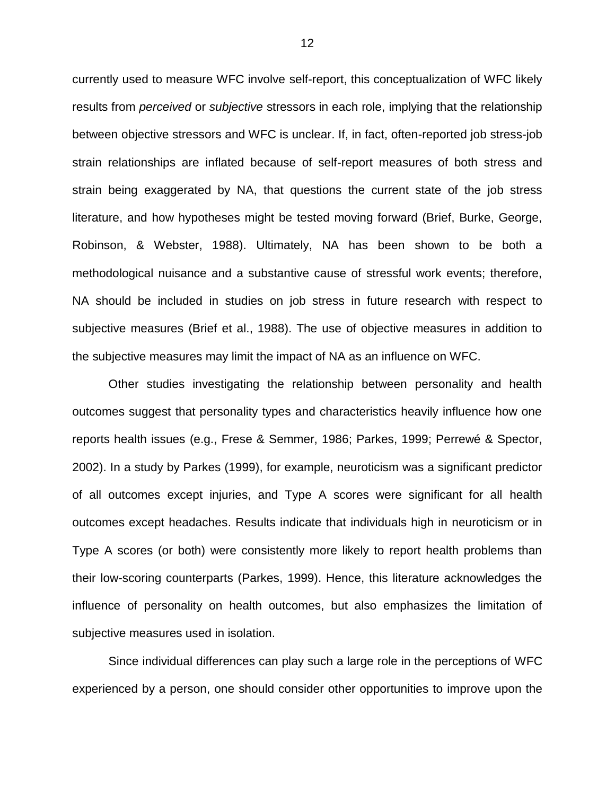currently used to measure WFC involve self-report, this conceptualization of WFC likely results from *perceived* or *subjective* stressors in each role, implying that the relationship between objective stressors and WFC is unclear. If, in fact, often-reported job stress-job strain relationships are inflated because of self-report measures of both stress and strain being exaggerated by NA, that questions the current state of the job stress literature, and how hypotheses might be tested moving forward (Brief, Burke, George, Robinson, & Webster, 1988). Ultimately, NA has been shown to be both a methodological nuisance and a substantive cause of stressful work events; therefore, NA should be included in studies on job stress in future research with respect to subjective measures (Brief et al., 1988). The use of objective measures in addition to the subjective measures may limit the impact of NA as an influence on WFC.

Other studies investigating the relationship between personality and health outcomes suggest that personality types and characteristics heavily influence how one reports health issues (e.g., Frese & Semmer, 1986; Parkes, 1999; Perrewé & Spector, 2002). In a study by Parkes (1999), for example, neuroticism was a significant predictor of all outcomes except injuries, and Type A scores were significant for all health outcomes except headaches. Results indicate that individuals high in neuroticism or in Type A scores (or both) were consistently more likely to report health problems than their low-scoring counterparts (Parkes, 1999). Hence, this literature acknowledges the influence of personality on health outcomes, but also emphasizes the limitation of subjective measures used in isolation.

Since individual differences can play such a large role in the perceptions of WFC experienced by a person, one should consider other opportunities to improve upon the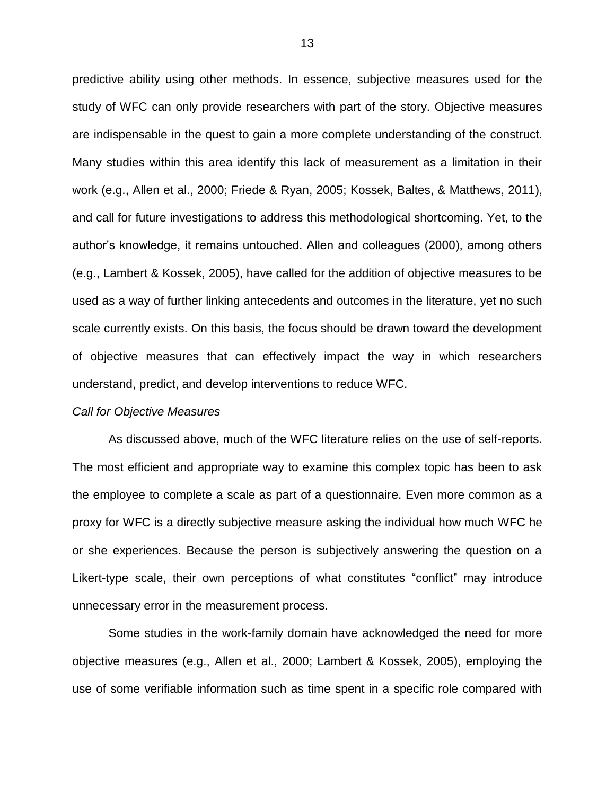predictive ability using other methods. In essence, subjective measures used for the study of WFC can only provide researchers with part of the story. Objective measures are indispensable in the quest to gain a more complete understanding of the construct. Many studies within this area identify this lack of measurement as a limitation in their work (e.g., Allen et al., 2000; Friede & Ryan, 2005; Kossek, Baltes, & Matthews, 2011), and call for future investigations to address this methodological shortcoming. Yet, to the author's knowledge, it remains untouched. Allen and colleagues (2000), among others (e.g., Lambert & Kossek, 2005), have called for the addition of objective measures to be used as a way of further linking antecedents and outcomes in the literature, yet no such scale currently exists. On this basis, the focus should be drawn toward the development of objective measures that can effectively impact the way in which researchers understand, predict, and develop interventions to reduce WFC.

#### *Call for Objective Measures*

As discussed above, much of the WFC literature relies on the use of self-reports. The most efficient and appropriate way to examine this complex topic has been to ask the employee to complete a scale as part of a questionnaire. Even more common as a proxy for WFC is a directly subjective measure asking the individual how much WFC he or she experiences. Because the person is subjectively answering the question on a Likert-type scale, their own perceptions of what constitutes "conflict" may introduce unnecessary error in the measurement process.

Some studies in the work-family domain have acknowledged the need for more objective measures (e.g., Allen et al., 2000; Lambert & Kossek, 2005), employing the use of some verifiable information such as time spent in a specific role compared with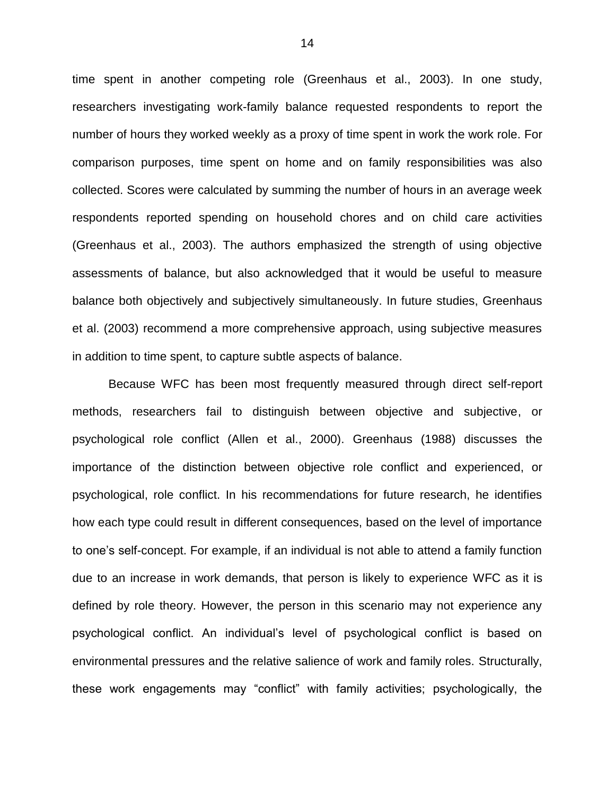time spent in another competing role (Greenhaus et al., 2003). In one study, researchers investigating work-family balance requested respondents to report the number of hours they worked weekly as a proxy of time spent in work the work role. For comparison purposes, time spent on home and on family responsibilities was also collected. Scores were calculated by summing the number of hours in an average week respondents reported spending on household chores and on child care activities (Greenhaus et al., 2003). The authors emphasized the strength of using objective assessments of balance, but also acknowledged that it would be useful to measure balance both objectively and subjectively simultaneously. In future studies, Greenhaus et al. (2003) recommend a more comprehensive approach, using subjective measures in addition to time spent, to capture subtle aspects of balance.

Because WFC has been most frequently measured through direct self-report methods, researchers fail to distinguish between objective and subjective, or psychological role conflict (Allen et al., 2000). Greenhaus (1988) discusses the importance of the distinction between objective role conflict and experienced, or psychological, role conflict. In his recommendations for future research, he identifies how each type could result in different consequences, based on the level of importance to one's self-concept. For example, if an individual is not able to attend a family function due to an increase in work demands, that person is likely to experience WFC as it is defined by role theory. However, the person in this scenario may not experience any psychological conflict. An individual's level of psychological conflict is based on environmental pressures and the relative salience of work and family roles. Structurally, these work engagements may "conflict" with family activities; psychologically, the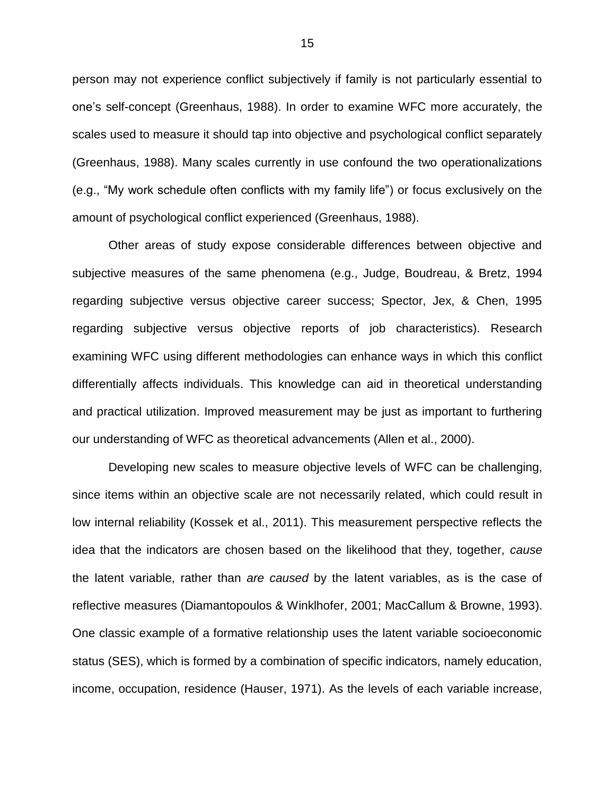person may not experience conflict subjectively if family is not particularly essential to one's self-concept (Greenhaus, 1988). In order to examine WFC more accurately, the scales used to measure it should tap into objective and psychological conflict separately (Greenhaus, 1988). Many scales currently in use confound the two operationalizations (e.g., "My work schedule often conflicts with my family life") or focus exclusively on the amount of psychological conflict experienced (Greenhaus, 1988).

Other areas of study expose considerable differences between objective and subjective measures of the same phenomena (e.g., Judge, Boudreau, & Bretz, 1994 regarding subjective versus objective career success; Spector, Jex, & Chen, 1995 regarding subjective versus objective reports of job characteristics). Research examining WFC using different methodologies can enhance ways in which this conflict differentially affects individuals. This knowledge can aid in theoretical understanding and practical utilization. Improved measurement may be just as important to furthering our understanding of WFC as theoretical advancements (Allen et al., 2000).

Developing new scales to measure objective levels of WFC can be challenging, since items within an objective scale are not necessarily related, which could result in low internal reliability (Kossek et al., 2011). This measurement perspective reflects the idea that the indicators are chosen based on the likelihood that they, together, *cause*  the latent variable, rather than *are caused* by the latent variables, as is the case of reflective measures (Diamantopoulos & Winklhofer, 2001; MacCallum & Browne, 1993). One classic example of a formative relationship uses the latent variable socioeconomic status (SES), which is formed by a combination of specific indicators, namely education, income, occupation, residence (Hauser, 1971). As the levels of each variable increase,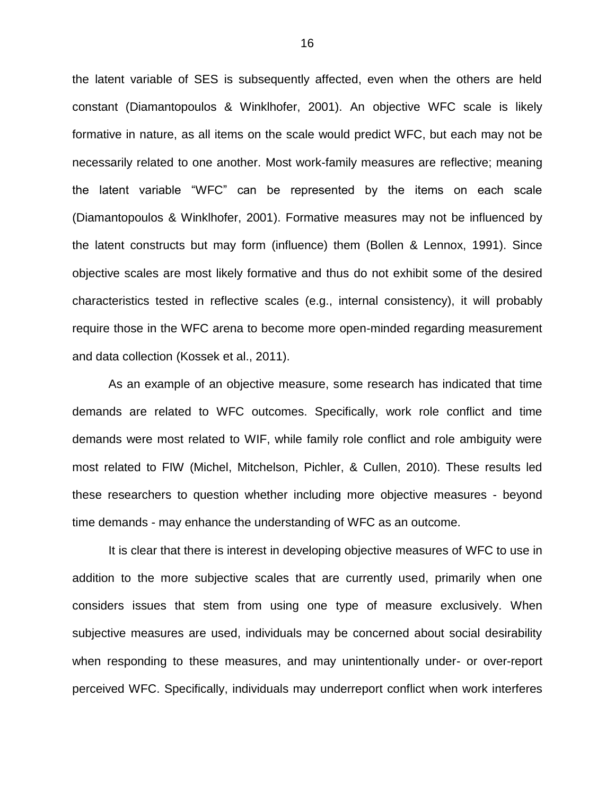the latent variable of SES is subsequently affected, even when the others are held constant (Diamantopoulos & Winklhofer, 2001). An objective WFC scale is likely formative in nature, as all items on the scale would predict WFC, but each may not be necessarily related to one another. Most work-family measures are reflective; meaning the latent variable "WFC" can be represented by the items on each scale (Diamantopoulos & Winklhofer, 2001). Formative measures may not be influenced by the latent constructs but may form (influence) them (Bollen & Lennox, 1991). Since objective scales are most likely formative and thus do not exhibit some of the desired characteristics tested in reflective scales (e.g., internal consistency), it will probably require those in the WFC arena to become more open-minded regarding measurement and data collection (Kossek et al., 2011).

As an example of an objective measure, some research has indicated that time demands are related to WFC outcomes. Specifically, work role conflict and time demands were most related to WIF, while family role conflict and role ambiguity were most related to FIW (Michel, Mitchelson, Pichler, & Cullen, 2010). These results led these researchers to question whether including more objective measures - beyond time demands - may enhance the understanding of WFC as an outcome.

It is clear that there is interest in developing objective measures of WFC to use in addition to the more subjective scales that are currently used, primarily when one considers issues that stem from using one type of measure exclusively. When subjective measures are used, individuals may be concerned about social desirability when responding to these measures, and may unintentionally under- or over-report perceived WFC. Specifically, individuals may underreport conflict when work interferes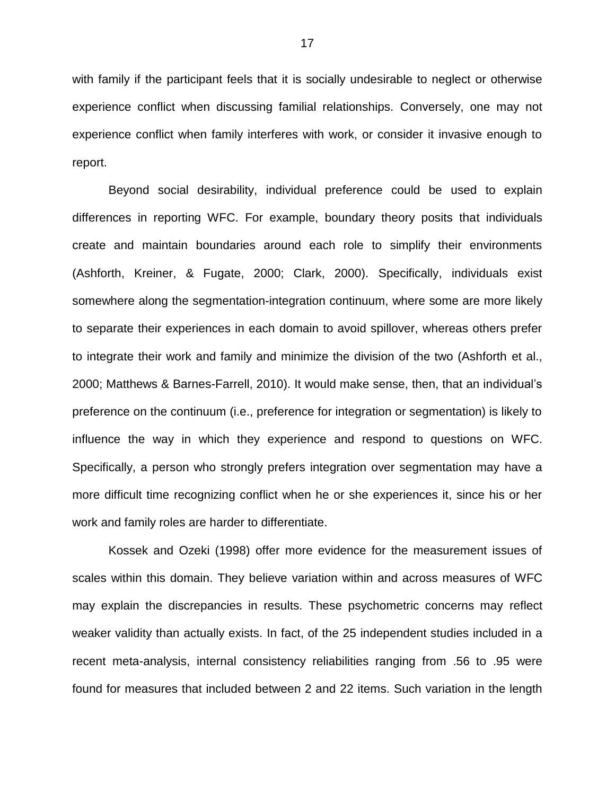with family if the participant feels that it is socially undesirable to neglect or otherwise experience conflict when discussing familial relationships. Conversely, one may not experience conflict when family interferes with work, or consider it invasive enough to report.

Beyond social desirability, individual preference could be used to explain differences in reporting WFC. For example, boundary theory posits that individuals create and maintain boundaries around each role to simplify their environments (Ashforth, Kreiner, & Fugate, 2000; Clark, 2000). Specifically, individuals exist somewhere along the segmentation-integration continuum, where some are more likely to separate their experiences in each domain to avoid spillover, whereas others prefer to integrate their work and family and minimize the division of the two (Ashforth et al., 2000; Matthews & Barnes-Farrell, 2010). It would make sense, then, that an individual's preference on the continuum (i.e., preference for integration or segmentation) is likely to influence the way in which they experience and respond to questions on WFC. Specifically, a person who strongly prefers integration over segmentation may have a more difficult time recognizing conflict when he or she experiences it, since his or her work and family roles are harder to differentiate.

Kossek and Ozeki (1998) offer more evidence for the measurement issues of scales within this domain. They believe variation within and across measures of WFC may explain the discrepancies in results. These psychometric concerns may reflect weaker validity than actually exists. In fact, of the 25 independent studies included in a recent meta-analysis, internal consistency reliabilities ranging from .56 to .95 were found for measures that included between 2 and 22 items. Such variation in the length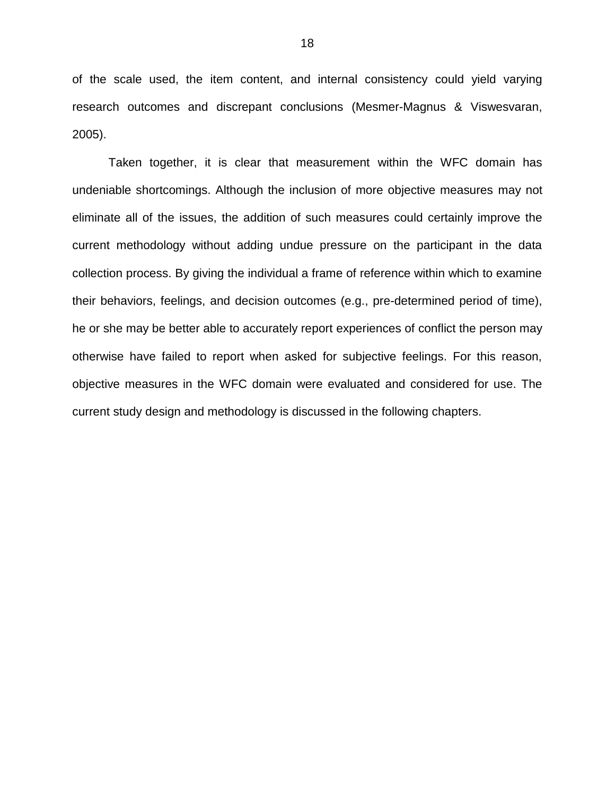of the scale used, the item content, and internal consistency could yield varying research outcomes and discrepant conclusions (Mesmer-Magnus & Viswesvaran, 2005).

Taken together, it is clear that measurement within the WFC domain has undeniable shortcomings. Although the inclusion of more objective measures may not eliminate all of the issues, the addition of such measures could certainly improve the current methodology without adding undue pressure on the participant in the data collection process. By giving the individual a frame of reference within which to examine their behaviors, feelings, and decision outcomes (e.g., pre-determined period of time), he or she may be better able to accurately report experiences of conflict the person may otherwise have failed to report when asked for subjective feelings. For this reason, objective measures in the WFC domain were evaluated and considered for use. The current study design and methodology is discussed in the following chapters.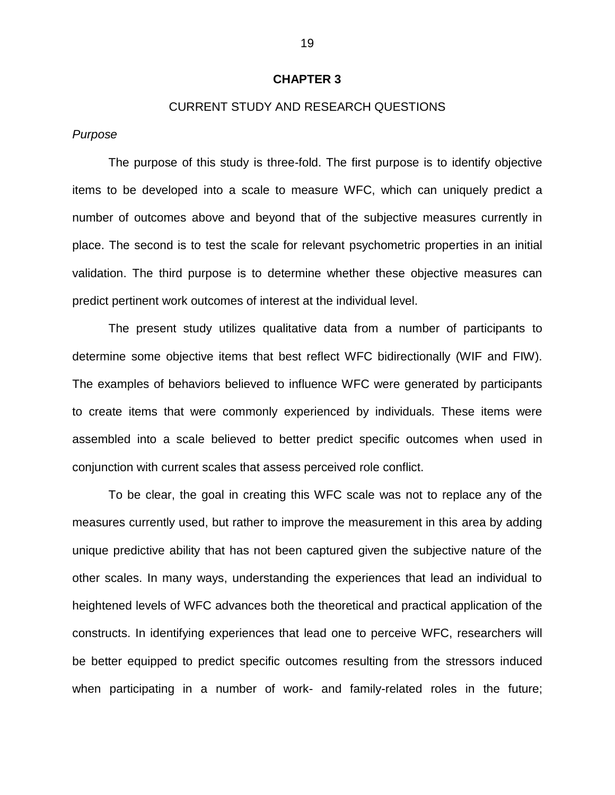## **CHAPTER 3**

# CURRENT STUDY AND RESEARCH QUESTIONS

## *Purpose*

The purpose of this study is three-fold. The first purpose is to identify objective items to be developed into a scale to measure WFC, which can uniquely predict a number of outcomes above and beyond that of the subjective measures currently in place. The second is to test the scale for relevant psychometric properties in an initial validation. The third purpose is to determine whether these objective measures can predict pertinent work outcomes of interest at the individual level.

The present study utilizes qualitative data from a number of participants to determine some objective items that best reflect WFC bidirectionally (WIF and FIW). The examples of behaviors believed to influence WFC were generated by participants to create items that were commonly experienced by individuals. These items were assembled into a scale believed to better predict specific outcomes when used in conjunction with current scales that assess perceived role conflict.

To be clear, the goal in creating this WFC scale was not to replace any of the measures currently used, but rather to improve the measurement in this area by adding unique predictive ability that has not been captured given the subjective nature of the other scales. In many ways, understanding the experiences that lead an individual to heightened levels of WFC advances both the theoretical and practical application of the constructs. In identifying experiences that lead one to perceive WFC, researchers will be better equipped to predict specific outcomes resulting from the stressors induced when participating in a number of work- and family-related roles in the future;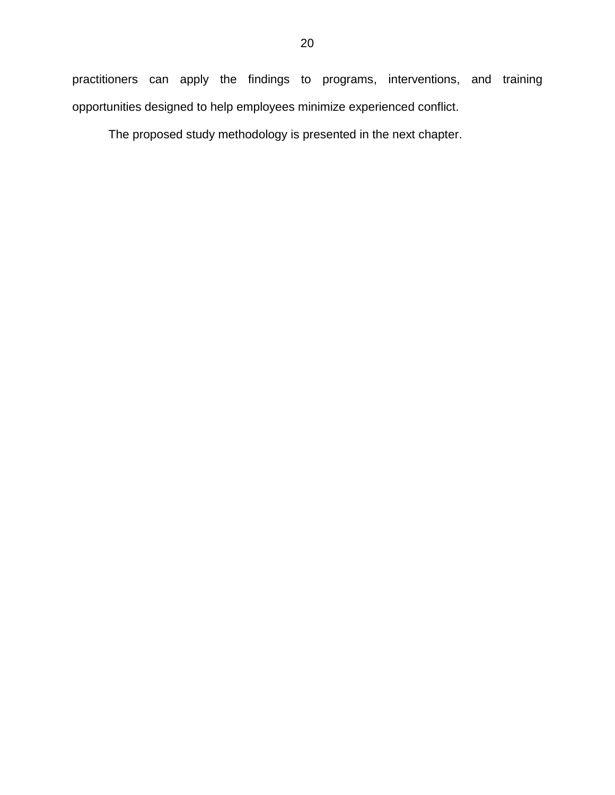practitioners can apply the findings to programs, interventions, and training opportunities designed to help employees minimize experienced conflict.

The proposed study methodology is presented in the next chapter.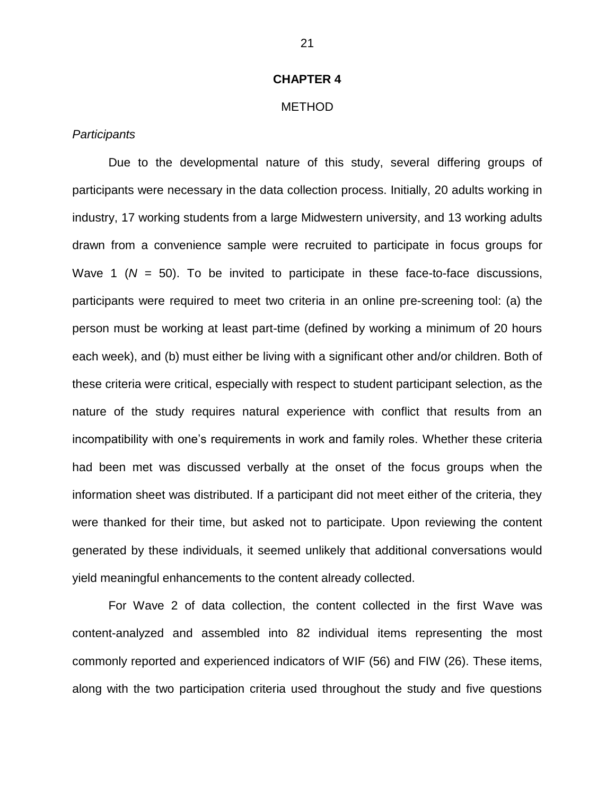# **CHAPTER 4**

# METHOD

# *Participants*

Due to the developmental nature of this study, several differing groups of participants were necessary in the data collection process. Initially, 20 adults working in industry, 17 working students from a large Midwestern university, and 13 working adults drawn from a convenience sample were recruited to participate in focus groups for Wave 1  $(N = 50)$ . To be invited to participate in these face-to-face discussions, participants were required to meet two criteria in an online pre-screening tool: (a) the person must be working at least part-time (defined by working a minimum of 20 hours each week), and (b) must either be living with a significant other and/or children. Both of these criteria were critical, especially with respect to student participant selection, as the nature of the study requires natural experience with conflict that results from an incompatibility with one's requirements in work and family roles. Whether these criteria had been met was discussed verbally at the onset of the focus groups when the information sheet was distributed. If a participant did not meet either of the criteria, they were thanked for their time, but asked not to participate. Upon reviewing the content generated by these individuals, it seemed unlikely that additional conversations would yield meaningful enhancements to the content already collected.

For Wave 2 of data collection, the content collected in the first Wave was content-analyzed and assembled into 82 individual items representing the most commonly reported and experienced indicators of WIF (56) and FIW (26). These items, along with the two participation criteria used throughout the study and five questions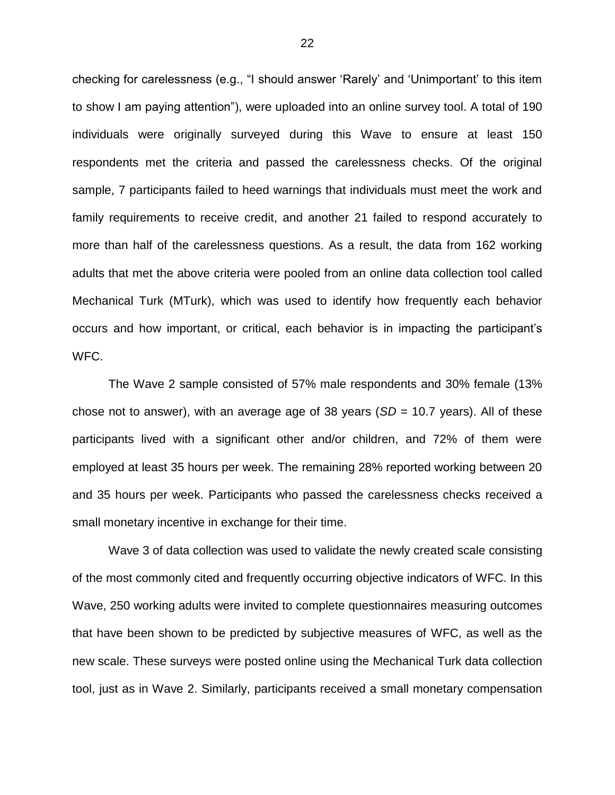checking for carelessness (e.g., "I should answer 'Rarely' and 'Unimportant' to this item to show I am paying attention"), were uploaded into an online survey tool. A total of 190 individuals were originally surveyed during this Wave to ensure at least 150 respondents met the criteria and passed the carelessness checks. Of the original sample, 7 participants failed to heed warnings that individuals must meet the work and family requirements to receive credit, and another 21 failed to respond accurately to more than half of the carelessness questions. As a result, the data from 162 working adults that met the above criteria were pooled from an online data collection tool called Mechanical Turk (MTurk), which was used to identify how frequently each behavior occurs and how important, or critical, each behavior is in impacting the participant's WFC.

The Wave 2 sample consisted of 57% male respondents and 30% female (13% chose not to answer), with an average age of 38 years (*SD* = 10.7 years). All of these participants lived with a significant other and/or children, and 72% of them were employed at least 35 hours per week. The remaining 28% reported working between 20 and 35 hours per week. Participants who passed the carelessness checks received a small monetary incentive in exchange for their time.

Wave 3 of data collection was used to validate the newly created scale consisting of the most commonly cited and frequently occurring objective indicators of WFC. In this Wave, 250 working adults were invited to complete questionnaires measuring outcomes that have been shown to be predicted by subjective measures of WFC, as well as the new scale. These surveys were posted online using the Mechanical Turk data collection tool, just as in Wave 2. Similarly, participants received a small monetary compensation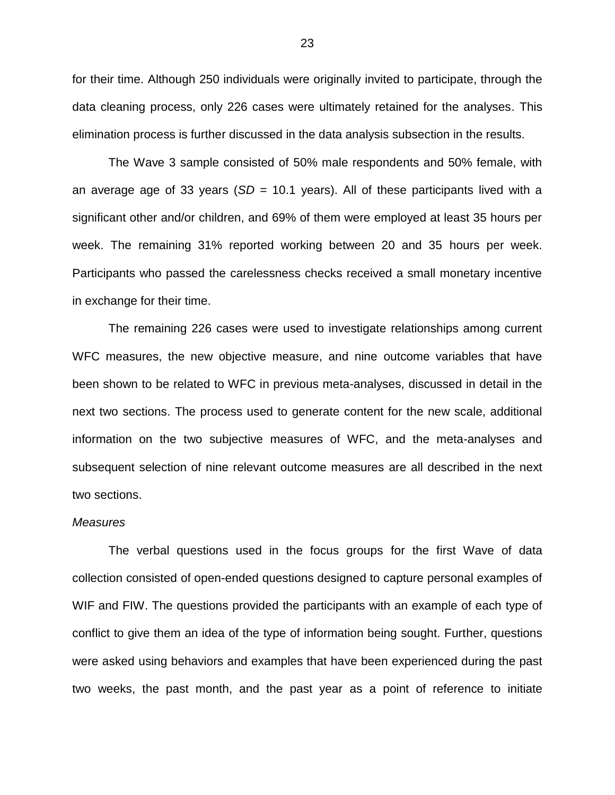for their time. Although 250 individuals were originally invited to participate, through the data cleaning process, only 226 cases were ultimately retained for the analyses. This elimination process is further discussed in the data analysis subsection in the results.

The Wave 3 sample consisted of 50% male respondents and 50% female, with an average age of 33 years (*SD* = 10.1 years). All of these participants lived with a significant other and/or children, and 69% of them were employed at least 35 hours per week. The remaining 31% reported working between 20 and 35 hours per week. Participants who passed the carelessness checks received a small monetary incentive in exchange for their time.

The remaining 226 cases were used to investigate relationships among current WFC measures, the new objective measure, and nine outcome variables that have been shown to be related to WFC in previous meta-analyses, discussed in detail in the next two sections. The process used to generate content for the new scale, additional information on the two subjective measures of WFC, and the meta-analyses and subsequent selection of nine relevant outcome measures are all described in the next two sections.

#### *Measures*

The verbal questions used in the focus groups for the first Wave of data collection consisted of open-ended questions designed to capture personal examples of WIF and FIW. The questions provided the participants with an example of each type of conflict to give them an idea of the type of information being sought. Further, questions were asked using behaviors and examples that have been experienced during the past two weeks, the past month, and the past year as a point of reference to initiate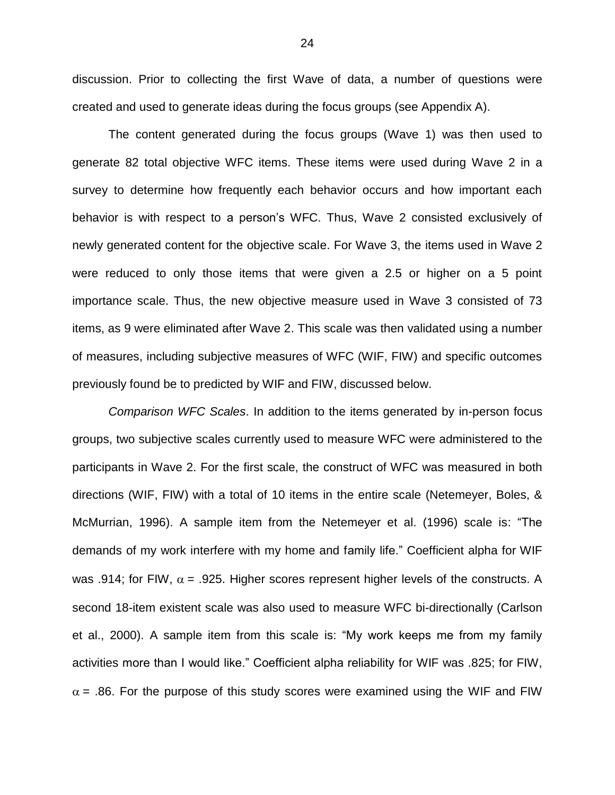discussion. Prior to collecting the first Wave of data, a number of questions were created and used to generate ideas during the focus groups (see Appendix A).

The content generated during the focus groups (Wave 1) was then used to generate 82 total objective WFC items. These items were used during Wave 2 in a survey to determine how frequently each behavior occurs and how important each behavior is with respect to a person's WFC. Thus, Wave 2 consisted exclusively of newly generated content for the objective scale. For Wave 3, the items used in Wave 2 were reduced to only those items that were given a 2.5 or higher on a 5 point importance scale. Thus, the new objective measure used in Wave 3 consisted of 73 items, as 9 were eliminated after Wave 2. This scale was then validated using a number of measures, including subjective measures of WFC (WIF, FIW) and specific outcomes previously found be to predicted by WIF and FIW, discussed below.

*Comparison WFC Scales*. In addition to the items generated by in-person focus groups, two subjective scales currently used to measure WFC were administered to the participants in Wave 2. For the first scale, the construct of WFC was measured in both directions (WIF, FIW) with a total of 10 items in the entire scale (Netemeyer, Boles, & McMurrian, 1996). A sample item from the Netemeyer et al. (1996) scale is: "The demands of my work interfere with my home and family life." Coefficient alpha for WIF was .914; for FIW,  $\alpha$  = .925. Higher scores represent higher levels of the constructs. A second 18-item existent scale was also used to measure WFC bi-directionally (Carlson et al., 2000). A sample item from this scale is: "My work keeps me from my family activities more than I would like." Coefficient alpha reliability for WIF was .825; for FIW,  $\alpha$  = .86. For the purpose of this study scores were examined using the WIF and FIW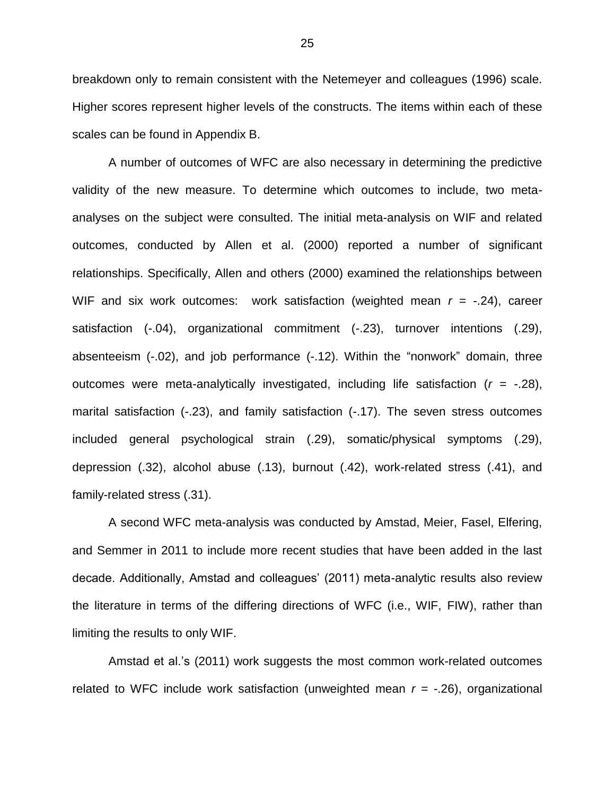breakdown only to remain consistent with the Netemeyer and colleagues (1996) scale. Higher scores represent higher levels of the constructs. The items within each of these scales can be found in Appendix B.

A number of outcomes of WFC are also necessary in determining the predictive validity of the new measure. To determine which outcomes to include, two metaanalyses on the subject were consulted. The initial meta-analysis on WIF and related outcomes, conducted by Allen et al. (2000) reported a number of significant relationships. Specifically, Allen and others (2000) examined the relationships between WIF and six work outcomes: work satisfaction (weighted mean  $r = -.24$ ), career satisfaction (-.04), organizational commitment (-.23), turnover intentions (.29), absenteeism (-.02), and job performance (-.12). Within the "nonwork" domain, three outcomes were meta-analytically investigated, including life satisfaction (*r* = -.28), marital satisfaction (-.23), and family satisfaction (-.17). The seven stress outcomes included general psychological strain (.29), somatic/physical symptoms (.29), depression (.32), alcohol abuse (.13), burnout (.42), work-related stress (.41), and family-related stress (.31).

A second WFC meta-analysis was conducted by Amstad, Meier, Fasel, Elfering, and Semmer in 2011 to include more recent studies that have been added in the last decade. Additionally, Amstad and colleagues' (2011) meta-analytic results also review the literature in terms of the differing directions of WFC (i.e., WIF, FIW), rather than limiting the results to only WIF.

Amstad et al.'s (2011) work suggests the most common work-related outcomes related to WFC include work satisfaction (unweighted mean  $r = -0.26$ ), organizational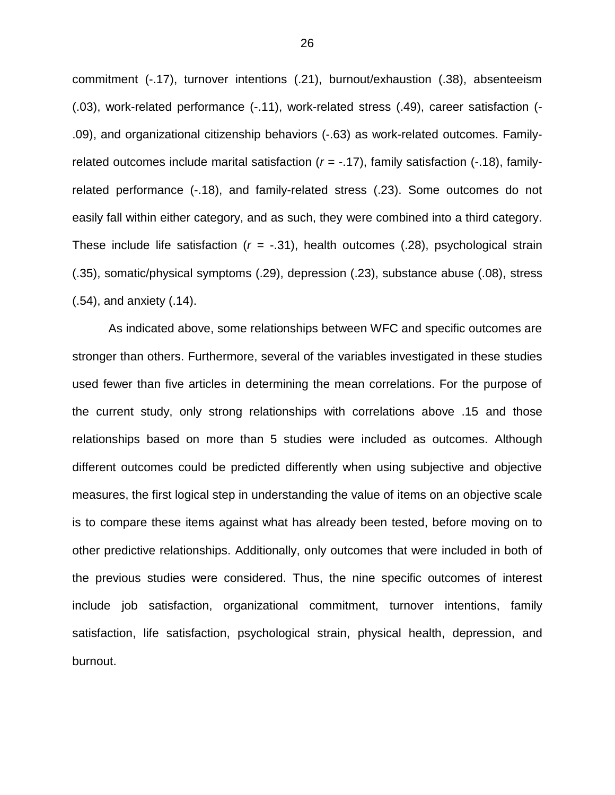commitment (-.17), turnover intentions (.21), burnout/exhaustion (.38), absenteeism (.03), work-related performance (-.11), work-related stress (.49), career satisfaction (- .09), and organizational citizenship behaviors (-.63) as work-related outcomes. Familyrelated outcomes include marital satisfaction (*r* = -.17), family satisfaction (-.18), familyrelated performance (-.18), and family-related stress (.23). Some outcomes do not easily fall within either category, and as such, they were combined into a third category. These include life satisfaction  $(r = -.31)$ , health outcomes  $(.28)$ , psychological strain (.35), somatic/physical symptoms (.29), depression (.23), substance abuse (.08), stress (.54), and anxiety (.14).

As indicated above, some relationships between WFC and specific outcomes are stronger than others. Furthermore, several of the variables investigated in these studies used fewer than five articles in determining the mean correlations. For the purpose of the current study, only strong relationships with correlations above .15 and those relationships based on more than 5 studies were included as outcomes. Although different outcomes could be predicted differently when using subjective and objective measures, the first logical step in understanding the value of items on an objective scale is to compare these items against what has already been tested, before moving on to other predictive relationships. Additionally, only outcomes that were included in both of the previous studies were considered. Thus, the nine specific outcomes of interest include job satisfaction, organizational commitment, turnover intentions, family satisfaction, life satisfaction, psychological strain, physical health, depression, and burnout.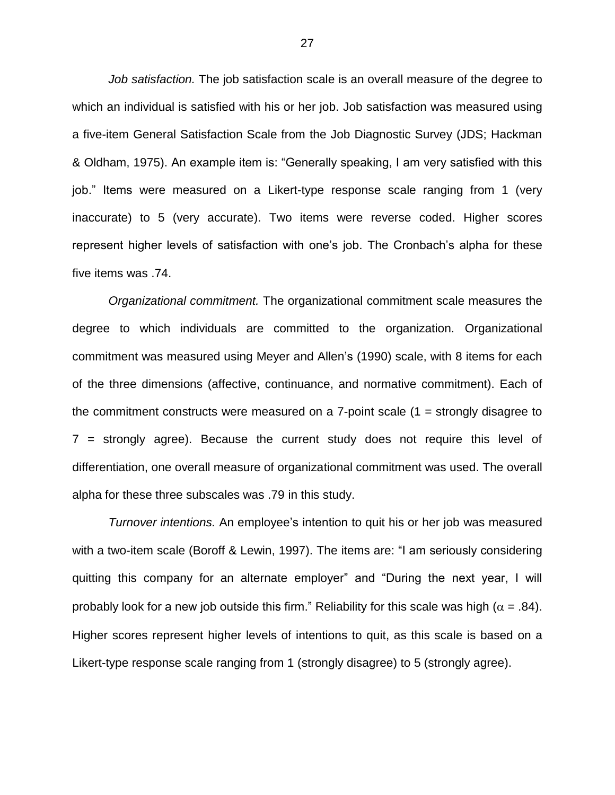*Job satisfaction.* The job satisfaction scale is an overall measure of the degree to which an individual is satisfied with his or her job. Job satisfaction was measured using a five-item General Satisfaction Scale from the Job Diagnostic Survey (JDS; Hackman & Oldham, 1975). An example item is: "Generally speaking, I am very satisfied with this job." Items were measured on a Likert-type response scale ranging from 1 (very inaccurate) to 5 (very accurate). Two items were reverse coded. Higher scores represent higher levels of satisfaction with one's job. The Cronbach's alpha for these five items was .74.

*Organizational commitment.* The organizational commitment scale measures the degree to which individuals are committed to the organization. Organizational commitment was measured using Meyer and Allen's (1990) scale, with 8 items for each of the three dimensions (affective, continuance, and normative commitment). Each of the commitment constructs were measured on a  $7$ -point scale  $(1 =$  strongly disagree to 7 = strongly agree). Because the current study does not require this level of differentiation, one overall measure of organizational commitment was used. The overall alpha for these three subscales was .79 in this study.

*Turnover intentions.* An employee's intention to quit his or her job was measured with a two-item scale (Boroff & Lewin, 1997). The items are: "I am seriously considering quitting this company for an alternate employer" and "During the next year, I will probably look for a new job outside this firm." Reliability for this scale was high ( $\alpha$  = .84). Higher scores represent higher levels of intentions to quit, as this scale is based on a Likert-type response scale ranging from 1 (strongly disagree) to 5 (strongly agree).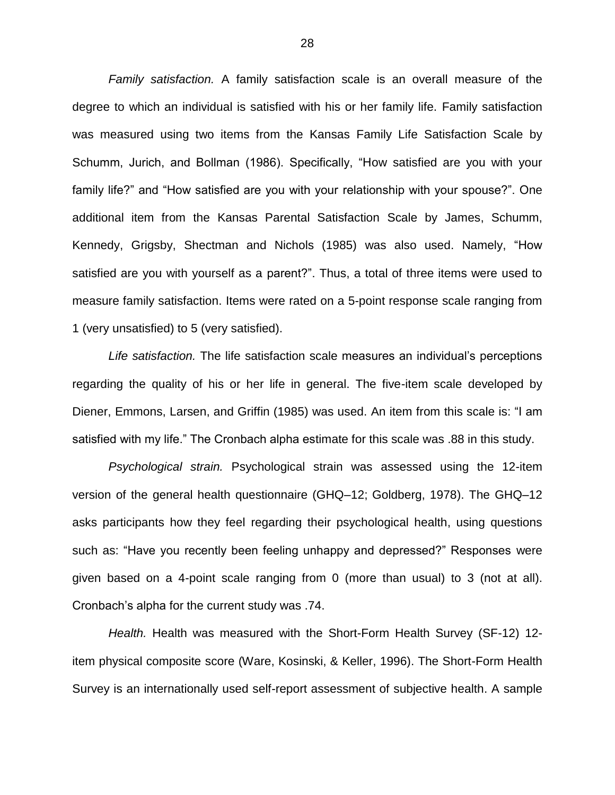*Family satisfaction.* A family satisfaction scale is an overall measure of the degree to which an individual is satisfied with his or her family life. Family satisfaction was measured using two items from the Kansas Family Life Satisfaction Scale by Schumm, Jurich, and Bollman (1986). Specifically, "How satisfied are you with your family life?" and "How satisfied are you with your relationship with your spouse?". One additional item from the Kansas Parental Satisfaction Scale by James, Schumm, Kennedy, Grigsby, Shectman and Nichols (1985) was also used. Namely, "How satisfied are you with yourself as a parent?". Thus, a total of three items were used to measure family satisfaction. Items were rated on a 5-point response scale ranging from 1 (very unsatisfied) to 5 (very satisfied).

*Life satisfaction.* The life satisfaction scale measures an individual's perceptions regarding the quality of his or her life in general. The five-item scale developed by Diener, Emmons, Larsen, and Griffin (1985) was used. An item from this scale is: "I am satisfied with my life." The Cronbach alpha estimate for this scale was .88 in this study.

*Psychological strain.* Psychological strain was assessed using the 12-item version of the general health questionnaire (GHQ–12; Goldberg, 1978). The GHQ–12 asks participants how they feel regarding their psychological health, using questions such as: "Have you recently been feeling unhappy and depressed?" Responses were given based on a 4-point scale ranging from 0 (more than usual) to 3 (not at all). Cronbach's alpha for the current study was .74.

*Health.* Health was measured with the Short-Form Health Survey (SF-12) 12 item physical composite score (Ware, Kosinski, & Keller, 1996). The Short-Form Health Survey is an internationally used self-report assessment of subjective health. A sample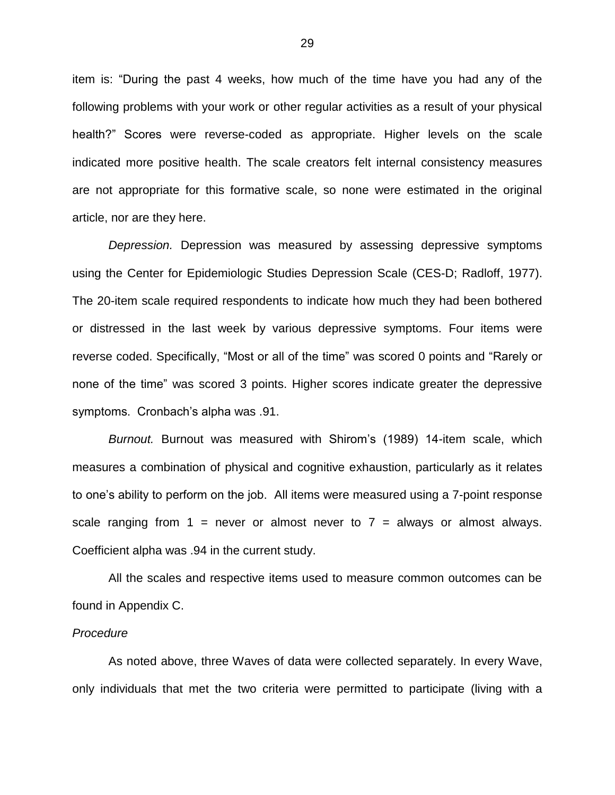item is: "During the past 4 weeks, how much of the time have you had any of the following problems with your work or other regular activities as a result of your physical health?" Scores were reverse-coded as appropriate. Higher levels on the scale indicated more positive health. The scale creators felt internal consistency measures are not appropriate for this formative scale, so none were estimated in the original article, nor are they here.

*Depression.* Depression was measured by assessing depressive symptoms using the Center for Epidemiologic Studies Depression Scale (CES-D; Radloff, 1977). The 20-item scale required respondents to indicate how much they had been bothered or distressed in the last week by various depressive symptoms. Four items were reverse coded. Specifically, "Most or all of the time" was scored 0 points and "Rarely or none of the time" was scored 3 points. Higher scores indicate greater the depressive symptoms. Cronbach's alpha was .91.

*Burnout.* Burnout was measured with Shirom's (1989) 14-item scale, which measures a combination of physical and cognitive exhaustion, particularly as it relates to one's ability to perform on the job. All items were measured using a 7-point response scale ranging from  $1 =$  never or almost never to  $7 =$  always or almost always. Coefficient alpha was .94 in the current study.

All the scales and respective items used to measure common outcomes can be found in Appendix C.

## *Procedure*

As noted above, three Waves of data were collected separately. In every Wave, only individuals that met the two criteria were permitted to participate (living with a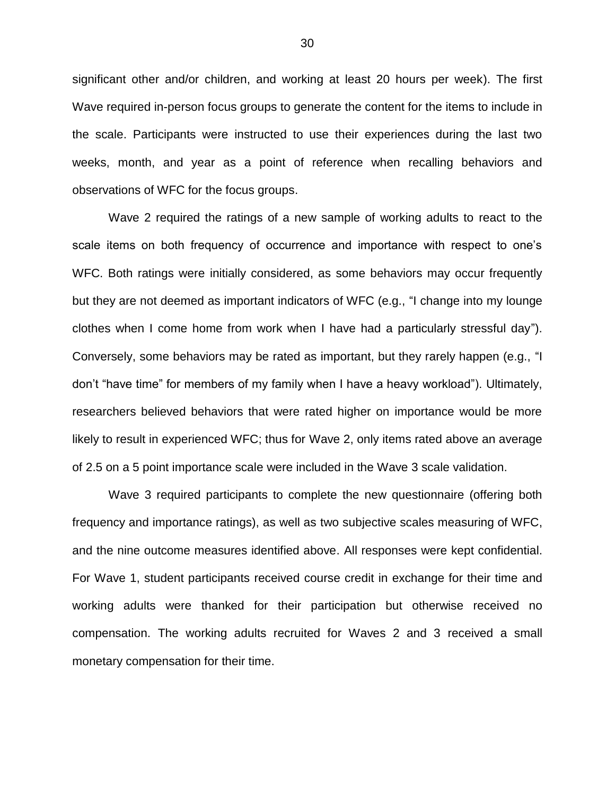significant other and/or children, and working at least 20 hours per week). The first Wave required in-person focus groups to generate the content for the items to include in the scale. Participants were instructed to use their experiences during the last two weeks, month, and year as a point of reference when recalling behaviors and observations of WFC for the focus groups.

Wave 2 required the ratings of a new sample of working adults to react to the scale items on both frequency of occurrence and importance with respect to one's WFC. Both ratings were initially considered, as some behaviors may occur frequently but they are not deemed as important indicators of WFC (e.g., "I change into my lounge clothes when I come home from work when I have had a particularly stressful day"). Conversely, some behaviors may be rated as important, but they rarely happen (e.g., "I don't "have time" for members of my family when I have a heavy workload"). Ultimately, researchers believed behaviors that were rated higher on importance would be more likely to result in experienced WFC; thus for Wave 2, only items rated above an average of 2.5 on a 5 point importance scale were included in the Wave 3 scale validation.

Wave 3 required participants to complete the new questionnaire (offering both frequency and importance ratings), as well as two subjective scales measuring of WFC, and the nine outcome measures identified above. All responses were kept confidential. For Wave 1, student participants received course credit in exchange for their time and working adults were thanked for their participation but otherwise received no compensation. The working adults recruited for Waves 2 and 3 received a small monetary compensation for their time.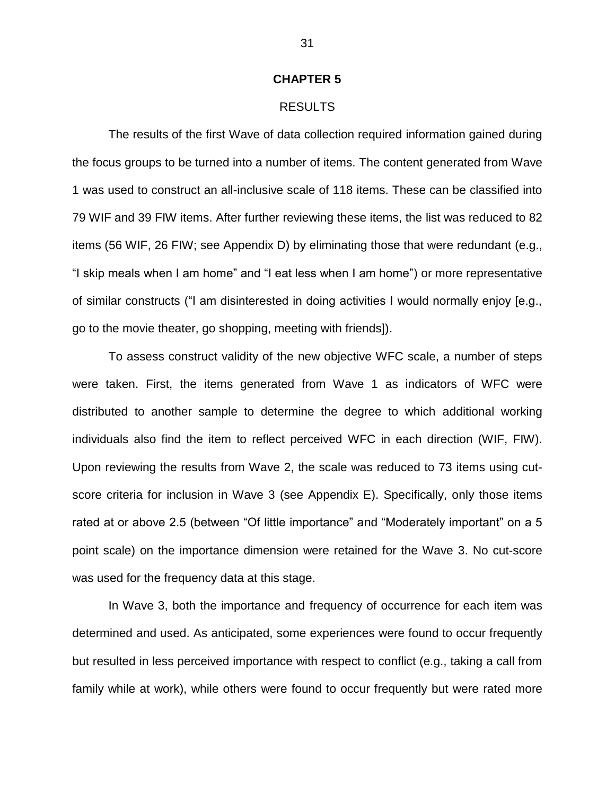#### **CHAPTER 5**

#### RESULTS

The results of the first Wave of data collection required information gained during the focus groups to be turned into a number of items. The content generated from Wave 1 was used to construct an all-inclusive scale of 118 items. These can be classified into 79 WIF and 39 FIW items. After further reviewing these items, the list was reduced to 82 items (56 WIF, 26 FIW; see Appendix D) by eliminating those that were redundant (e.g., "I skip meals when I am home" and "I eat less when I am home") or more representative of similar constructs ("I am disinterested in doing activities I would normally enjoy [e.g., go to the movie theater, go shopping, meeting with friends]).

To assess construct validity of the new objective WFC scale, a number of steps were taken. First, the items generated from Wave 1 as indicators of WFC were distributed to another sample to determine the degree to which additional working individuals also find the item to reflect perceived WFC in each direction (WIF, FIW). Upon reviewing the results from Wave 2, the scale was reduced to 73 items using cutscore criteria for inclusion in Wave 3 (see Appendix E). Specifically, only those items rated at or above 2.5 (between "Of little importance" and "Moderately important" on a 5 point scale) on the importance dimension were retained for the Wave 3. No cut-score was used for the frequency data at this stage.

In Wave 3, both the importance and frequency of occurrence for each item was determined and used. As anticipated, some experiences were found to occur frequently but resulted in less perceived importance with respect to conflict (e.g., taking a call from family while at work), while others were found to occur frequently but were rated more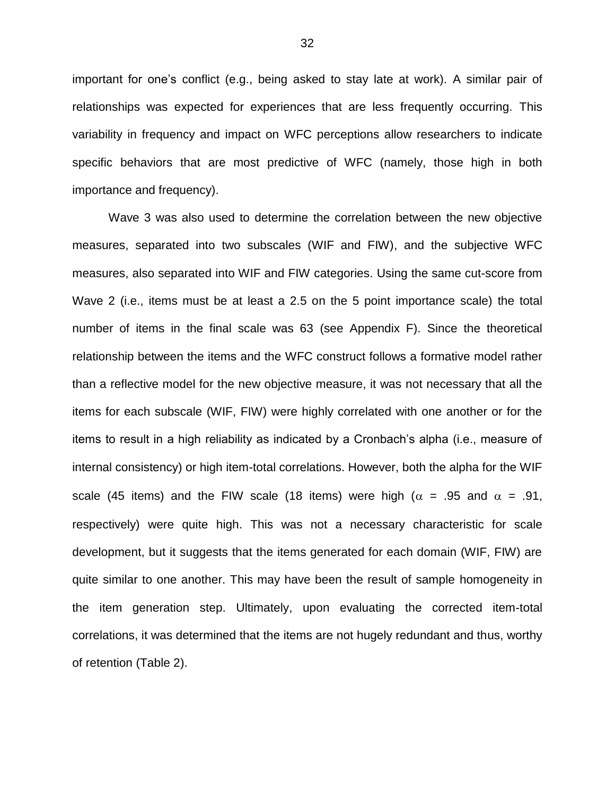important for one's conflict (e.g., being asked to stay late at work). A similar pair of relationships was expected for experiences that are less frequently occurring. This variability in frequency and impact on WFC perceptions allow researchers to indicate specific behaviors that are most predictive of WFC (namely, those high in both importance and frequency).

Wave 3 was also used to determine the correlation between the new objective measures, separated into two subscales (WIF and FIW), and the subjective WFC measures, also separated into WIF and FIW categories. Using the same cut-score from Wave 2 (i.e., items must be at least a 2.5 on the 5 point importance scale) the total number of items in the final scale was 63 (see Appendix F). Since the theoretical relationship between the items and the WFC construct follows a formative model rather than a reflective model for the new objective measure, it was not necessary that all the items for each subscale (WIF, FIW) were highly correlated with one another or for the items to result in a high reliability as indicated by a Cronbach's alpha (i.e., measure of internal consistency) or high item-total correlations. However, both the alpha for the WIF scale (45 items) and the FIW scale (18 items) were high ( $\alpha$  = .95 and  $\alpha$  = .91, respectively) were quite high. This was not a necessary characteristic for scale development, but it suggests that the items generated for each domain (WIF, FIW) are quite similar to one another. This may have been the result of sample homogeneity in the item generation step. Ultimately, upon evaluating the corrected item-total correlations, it was determined that the items are not hugely redundant and thus, worthy of retention (Table 2).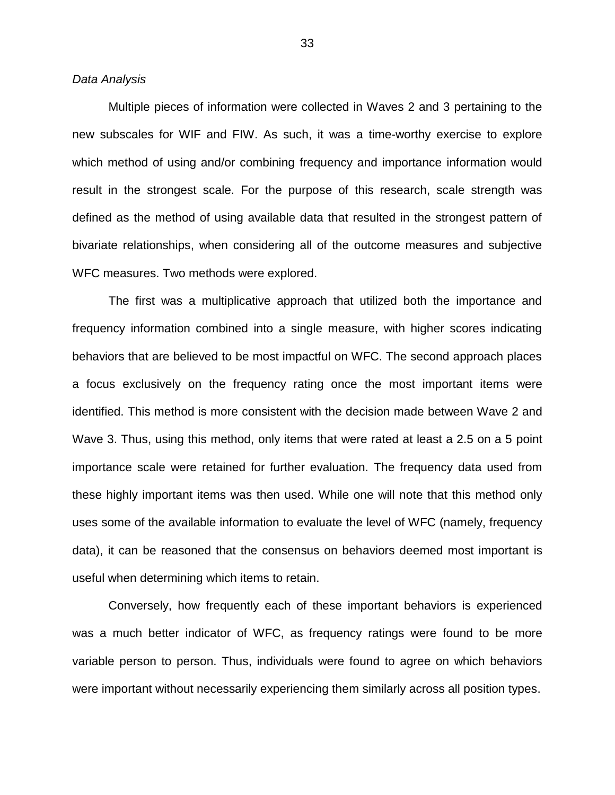*Data Analysis*

Multiple pieces of information were collected in Waves 2 and 3 pertaining to the new subscales for WIF and FIW. As such, it was a time-worthy exercise to explore which method of using and/or combining frequency and importance information would result in the strongest scale. For the purpose of this research, scale strength was defined as the method of using available data that resulted in the strongest pattern of bivariate relationships, when considering all of the outcome measures and subjective WFC measures. Two methods were explored.

The first was a multiplicative approach that utilized both the importance and frequency information combined into a single measure, with higher scores indicating behaviors that are believed to be most impactful on WFC. The second approach places a focus exclusively on the frequency rating once the most important items were identified. This method is more consistent with the decision made between Wave 2 and Wave 3. Thus, using this method, only items that were rated at least a 2.5 on a 5 point importance scale were retained for further evaluation. The frequency data used from these highly important items was then used. While one will note that this method only uses some of the available information to evaluate the level of WFC (namely, frequency data), it can be reasoned that the consensus on behaviors deemed most important is useful when determining which items to retain.

Conversely, how frequently each of these important behaviors is experienced was a much better indicator of WFC, as frequency ratings were found to be more variable person to person. Thus, individuals were found to agree on which behaviors were important without necessarily experiencing them similarly across all position types.

33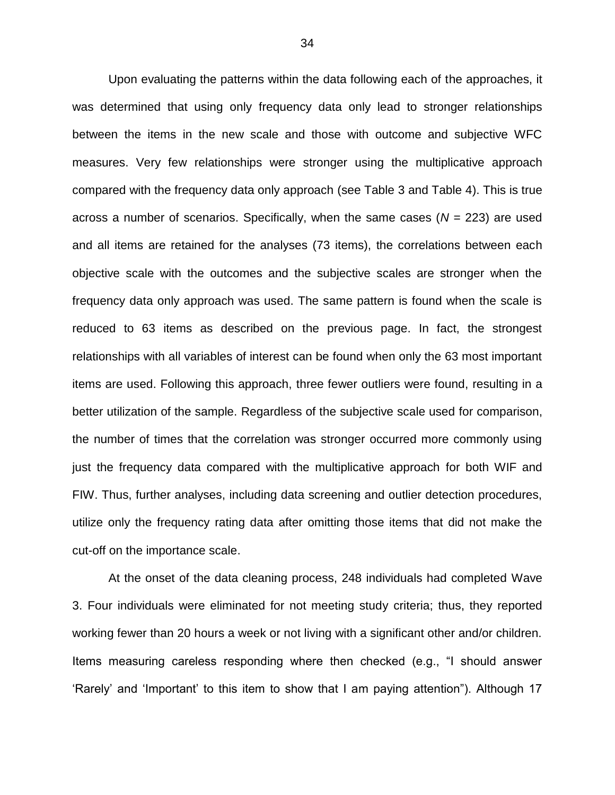Upon evaluating the patterns within the data following each of the approaches, it was determined that using only frequency data only lead to stronger relationships between the items in the new scale and those with outcome and subjective WFC measures. Very few relationships were stronger using the multiplicative approach compared with the frequency data only approach (see Table 3 and Table 4). This is true across a number of scenarios. Specifically, when the same cases  $(N = 223)$  are used and all items are retained for the analyses (73 items), the correlations between each objective scale with the outcomes and the subjective scales are stronger when the frequency data only approach was used. The same pattern is found when the scale is reduced to 63 items as described on the previous page. In fact, the strongest relationships with all variables of interest can be found when only the 63 most important items are used. Following this approach, three fewer outliers were found, resulting in a better utilization of the sample. Regardless of the subjective scale used for comparison, the number of times that the correlation was stronger occurred more commonly using just the frequency data compared with the multiplicative approach for both WIF and FIW. Thus, further analyses, including data screening and outlier detection procedures, utilize only the frequency rating data after omitting those items that did not make the cut-off on the importance scale.

At the onset of the data cleaning process, 248 individuals had completed Wave 3. Four individuals were eliminated for not meeting study criteria; thus, they reported working fewer than 20 hours a week or not living with a significant other and/or children. Items measuring careless responding where then checked (e.g., "I should answer 'Rarely' and 'Important' to this item to show that I am paying attention"). Although 17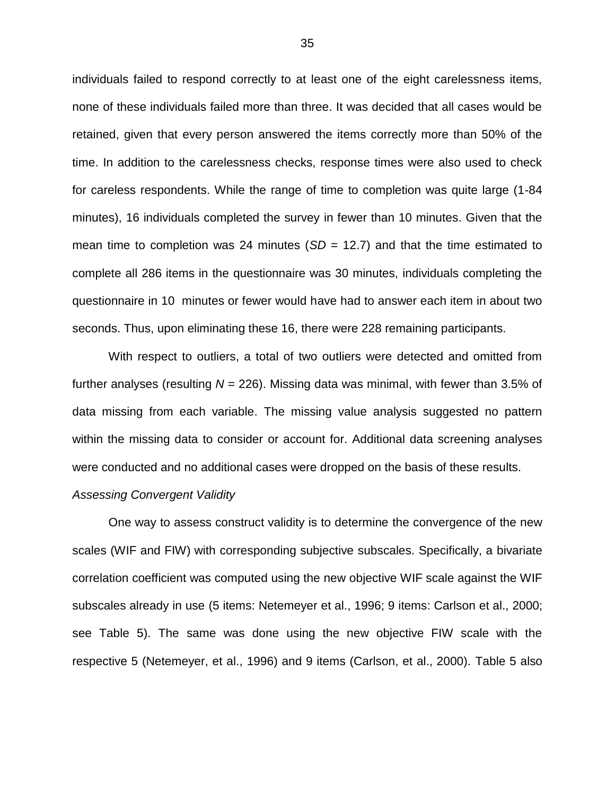individuals failed to respond correctly to at least one of the eight carelessness items, none of these individuals failed more than three. It was decided that all cases would be retained, given that every person answered the items correctly more than 50% of the time. In addition to the carelessness checks, response times were also used to check for careless respondents. While the range of time to completion was quite large (1-84 minutes), 16 individuals completed the survey in fewer than 10 minutes. Given that the mean time to completion was 24 minutes (*SD* = 12.7) and that the time estimated to complete all 286 items in the questionnaire was 30 minutes, individuals completing the questionnaire in 10 minutes or fewer would have had to answer each item in about two seconds. Thus, upon eliminating these 16, there were 228 remaining participants.

With respect to outliers, a total of two outliers were detected and omitted from further analyses (resulting *N* = 226). Missing data was minimal, with fewer than 3.5% of data missing from each variable. The missing value analysis suggested no pattern within the missing data to consider or account for. Additional data screening analyses were conducted and no additional cases were dropped on the basis of these results.

#### *Assessing Convergent Validity*

One way to assess construct validity is to determine the convergence of the new scales (WIF and FIW) with corresponding subjective subscales. Specifically, a bivariate correlation coefficient was computed using the new objective WIF scale against the WIF subscales already in use (5 items: Netemeyer et al., 1996; 9 items: Carlson et al., 2000; see Table 5). The same was done using the new objective FIW scale with the respective 5 (Netemeyer, et al., 1996) and 9 items (Carlson, et al., 2000). Table 5 also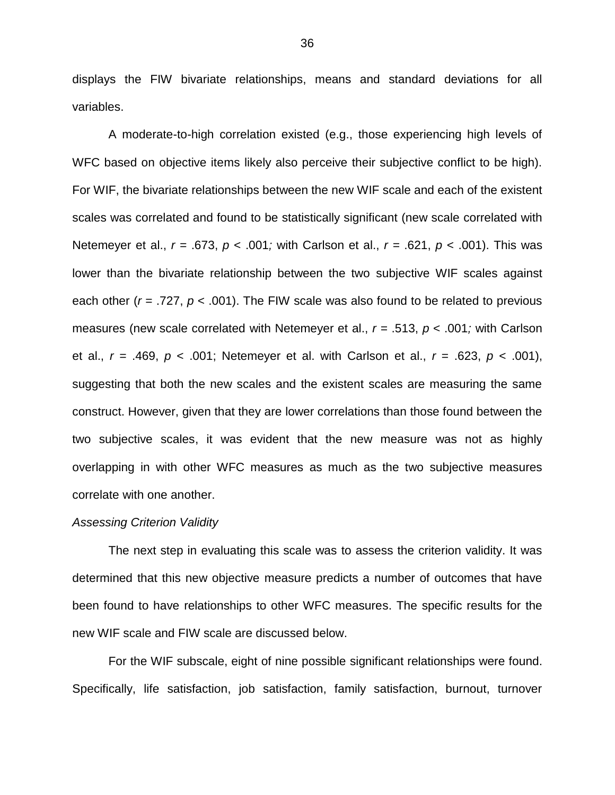displays the FIW bivariate relationships, means and standard deviations for all variables.

A moderate-to-high correlation existed (e.g., those experiencing high levels of WFC based on objective items likely also perceive their subjective conflict to be high). For WIF, the bivariate relationships between the new WIF scale and each of the existent scales was correlated and found to be statistically significant (new scale correlated with Netemeyer et al., *r =* .673, *p* < .001*;* with Carlson et al., *r =* .621, *p* < .001). This was lower than the bivariate relationship between the two subjective WIF scales against each other (*r* = .727, *p* < .001). The FIW scale was also found to be related to previous measures (new scale correlated with Netemeyer et al., *r =* .513, *p* < .001*;* with Carlson et al., *r =* .469, *p* < .001; Netemeyer et al. with Carlson et al., *r* = .623, *p* < .001), suggesting that both the new scales and the existent scales are measuring the same construct. However, given that they are lower correlations than those found between the two subjective scales, it was evident that the new measure was not as highly overlapping in with other WFC measures as much as the two subjective measures correlate with one another.

#### *Assessing Criterion Validity*

The next step in evaluating this scale was to assess the criterion validity. It was determined that this new objective measure predicts a number of outcomes that have been found to have relationships to other WFC measures. The specific results for the new WIF scale and FIW scale are discussed below.

For the WIF subscale, eight of nine possible significant relationships were found. Specifically, life satisfaction, job satisfaction, family satisfaction, burnout, turnover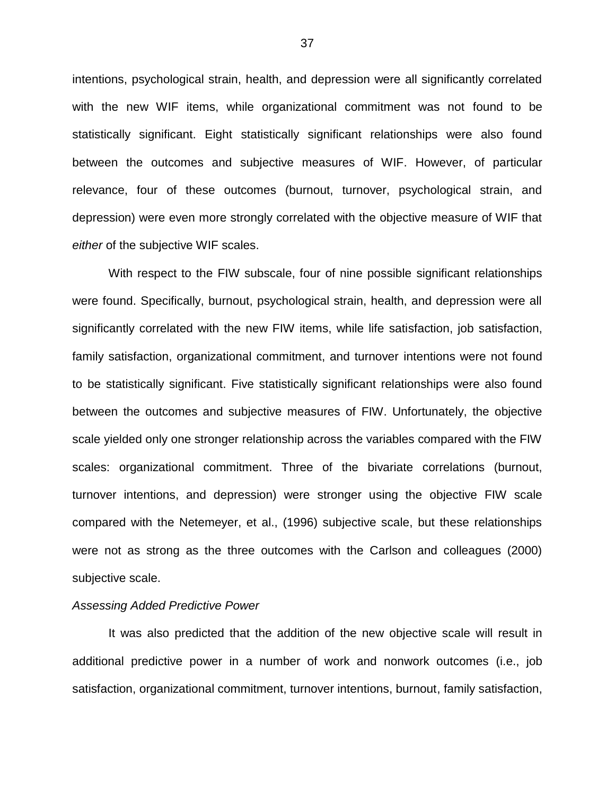intentions, psychological strain, health, and depression were all significantly correlated with the new WIF items, while organizational commitment was not found to be statistically significant. Eight statistically significant relationships were also found between the outcomes and subjective measures of WIF. However, of particular relevance, four of these outcomes (burnout, turnover, psychological strain, and depression) were even more strongly correlated with the objective measure of WIF that *either* of the subjective WIF scales.

With respect to the FIW subscale, four of nine possible significant relationships were found. Specifically, burnout, psychological strain, health, and depression were all significantly correlated with the new FIW items, while life satisfaction, job satisfaction, family satisfaction, organizational commitment, and turnover intentions were not found to be statistically significant. Five statistically significant relationships were also found between the outcomes and subjective measures of FIW. Unfortunately, the objective scale yielded only one stronger relationship across the variables compared with the FIW scales: organizational commitment. Three of the bivariate correlations (burnout, turnover intentions, and depression) were stronger using the objective FIW scale compared with the Netemeyer, et al., (1996) subjective scale, but these relationships were not as strong as the three outcomes with the Carlson and colleagues (2000) subjective scale.

#### *Assessing Added Predictive Power*

It was also predicted that the addition of the new objective scale will result in additional predictive power in a number of work and nonwork outcomes (i.e., job satisfaction, organizational commitment, turnover intentions, burnout, family satisfaction,

37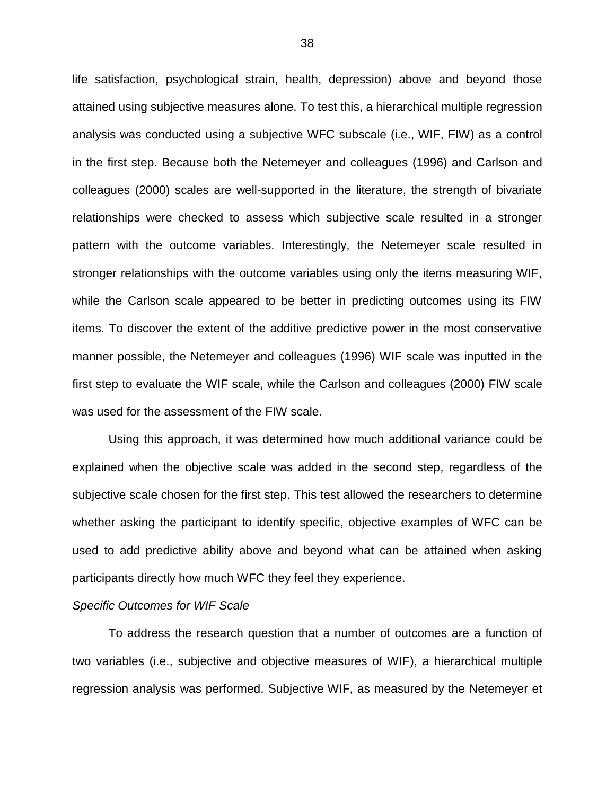life satisfaction, psychological strain, health, depression) above and beyond those attained using subjective measures alone. To test this, a hierarchical multiple regression analysis was conducted using a subjective WFC subscale (i.e., WIF, FIW) as a control in the first step. Because both the Netemeyer and colleagues (1996) and Carlson and colleagues (2000) scales are well-supported in the literature, the strength of bivariate relationships were checked to assess which subjective scale resulted in a stronger pattern with the outcome variables. Interestingly, the Netemeyer scale resulted in stronger relationships with the outcome variables using only the items measuring WIF, while the Carlson scale appeared to be better in predicting outcomes using its FIW items. To discover the extent of the additive predictive power in the most conservative manner possible, the Netemeyer and colleagues (1996) WIF scale was inputted in the first step to evaluate the WIF scale, while the Carlson and colleagues (2000) FIW scale was used for the assessment of the FIW scale.

Using this approach, it was determined how much additional variance could be explained when the objective scale was added in the second step, regardless of the subjective scale chosen for the first step. This test allowed the researchers to determine whether asking the participant to identify specific, objective examples of WFC can be used to add predictive ability above and beyond what can be attained when asking participants directly how much WFC they feel they experience.

#### *Specific Outcomes for WIF Scale*

To address the research question that a number of outcomes are a function of two variables (i.e., subjective and objective measures of WIF), a hierarchical multiple regression analysis was performed. Subjective WIF, as measured by the Netemeyer et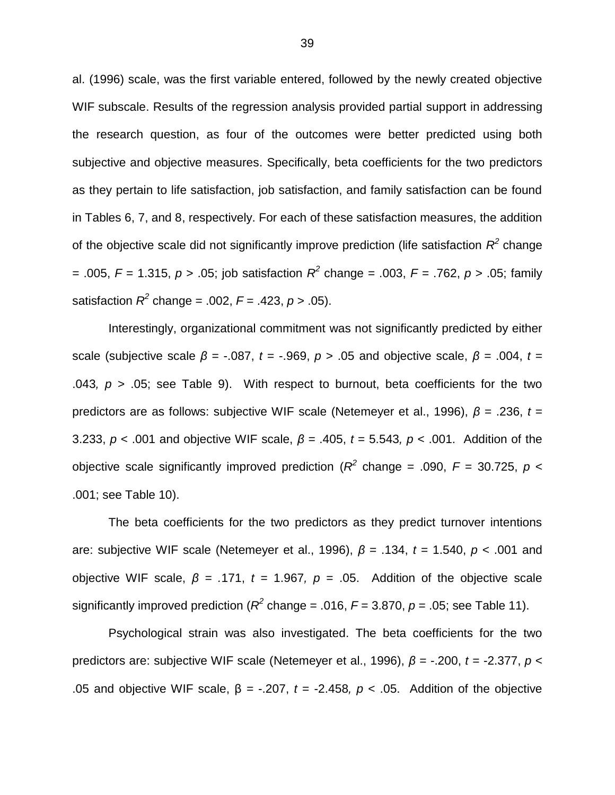al. (1996) scale, was the first variable entered, followed by the newly created objective WIF subscale. Results of the regression analysis provided partial support in addressing the research question, as four of the outcomes were better predicted using both subjective and objective measures. Specifically, beta coefficients for the two predictors as they pertain to life satisfaction, job satisfaction, and family satisfaction can be found in Tables 6, 7, and 8, respectively. For each of these satisfaction measures, the addition of the objective scale did not significantly improve prediction (life satisfaction  $R^2$  change = .005,  $F = 1.315$ ,  $p > .05$ ; job satisfaction  $R^2$  change = .003,  $F = .762$ ,  $p > .05$ ; family satisfaction  $R^2$  change = .002,  $F = .423$ ,  $p > .05$ ).

Interestingly, organizational commitment was not significantly predicted by either scale (subjective scale  $β = -.087$ ,  $t = -.969$ ,  $p > .05$  and objective scale,  $β = .004$ ,  $t =$ .043,  $p > 0.05$ ; see Table 9). With respect to burnout, beta coefficients for the two predictors are as follows: subjective WIF scale (Netemeyer et al., 1996), *β* = .236, *t* = 3.233, *p* < .001 and objective WIF scale, *β =* .405, *t* = 5.543*, p* < .001. Addition of the objective scale significantly improved prediction ( $R^2$  change = .090,  $F = 30.725$ ,  $p <$ .001; see Table 10).

The beta coefficients for the two predictors as they predict turnover intentions are: subjective WIF scale (Netemeyer et al., 1996), *β* = .134, *t* = 1.540, *p* < .001 and objective WIF scale,  $β = .171$ ,  $t = 1.967$ ,  $p = .05$ . Addition of the objective scale significantly improved prediction ( $R^2$  change = .016,  $F$  = 3.870,  $p$  = .05; see Table 11).

Psychological strain was also investigated. The beta coefficients for the two predictors are: subjective WIF scale (Netemeyer et al., 1996), *β* = -.200, *t* = -2.377, *p* < .05 and objective WIF scale, β *=* -.207, *t* = -2.458*, p* < .05. Addition of the objective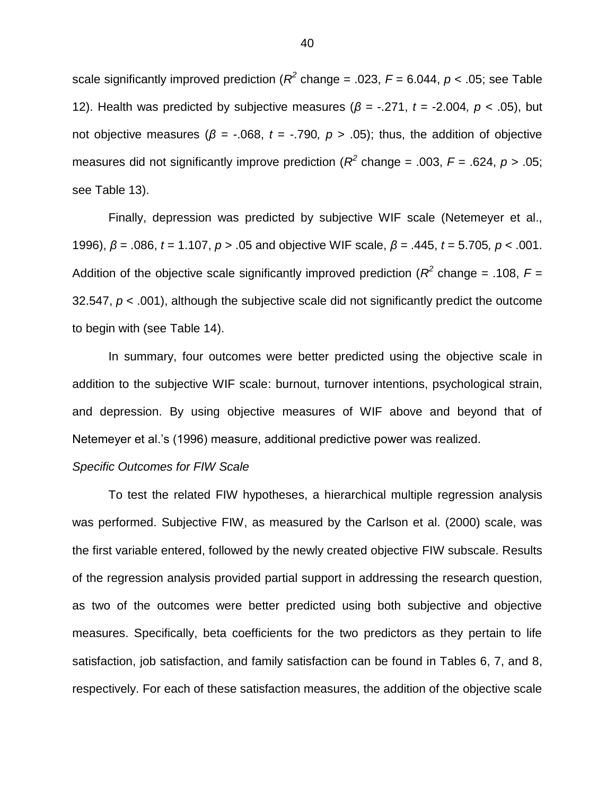scale significantly improved prediction ( $R^2$  change = .023,  $F$  = 6.044,  $p$  < .05; see Table 12). Health was predicted by subjective measures (*β =* -.271, *t* = -2.004*, p* < .05), but not objective measures (*β =* -.068, *t* = -.790*, p* > .05); thus, the addition of objective measures did not significantly improve prediction ( $R^2$  change = .003,  $F$  = .624,  $p$  > .05; see Table 13).

Finally, depression was predicted by subjective WIF scale (Netemeyer et al., 1996), *β* = .086, *t* = 1.107, *p* > .05 and objective WIF scale, *β =* .445, *t* = 5.705*, p* < .001. Addition of the objective scale significantly improved prediction ( $R^2$  change = .108,  $F =$ 32.547, *p* < .001), although the subjective scale did not significantly predict the outcome to begin with (see Table 14).

In summary, four outcomes were better predicted using the objective scale in addition to the subjective WIF scale: burnout, turnover intentions, psychological strain, and depression. By using objective measures of WIF above and beyond that of Netemeyer et al.'s (1996) measure, additional predictive power was realized.

#### *Specific Outcomes for FIW Scale*

To test the related FIW hypotheses, a hierarchical multiple regression analysis was performed. Subjective FIW, as measured by the Carlson et al. (2000) scale, was the first variable entered, followed by the newly created objective FIW subscale. Results of the regression analysis provided partial support in addressing the research question, as two of the outcomes were better predicted using both subjective and objective measures. Specifically, beta coefficients for the two predictors as they pertain to life satisfaction, job satisfaction, and family satisfaction can be found in Tables 6, 7, and 8, respectively. For each of these satisfaction measures, the addition of the objective scale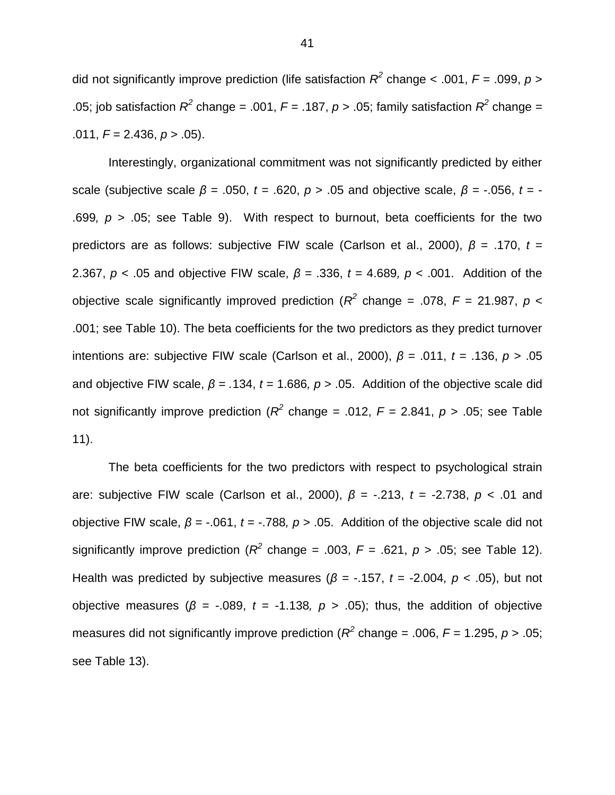did not significantly improve prediction (life satisfaction  $R^2$  change < .001,  $F = .099$ ,  $p >$ .05; job satisfaction  $R^2$  change = .001,  $F = .187$ ,  $p > .05$ ; family satisfaction  $R^2$  change = .011, *F* = 2.436, *p* > .05).

Interestingly, organizational commitment was not significantly predicted by either scale (subjective scale *β* = .050, *t* = .620, *p* > .05 and objective scale, *β =* -.056, *t* = - .699,  $p > 0.05$ ; see Table 9). With respect to burnout, beta coefficients for the two predictors are as follows: subjective FIW scale (Carlson et al., 2000), *β* = .170, *t* = 2.367, *p* < .05 and objective FIW scale, *β =* .336, *t* = 4.689*, p* < .001. Addition of the objective scale significantly improved prediction ( $R^2$  change = .078,  $F = 21.987$ ,  $p <$ .001; see Table 10). The beta coefficients for the two predictors as they predict turnover intentions are: subjective FIW scale (Carlson et al., 2000), *β* = .011, *t* = .136, *p* > .05 and objective FIW scale, *β = .*134, *t* = 1.686*, p* > .05. Addition of the objective scale did not significantly improve prediction ( $R^2$  change = .012,  $F = 2.841$ ,  $p > .05$ ; see Table 11).

The beta coefficients for the two predictors with respect to psychological strain are: subjective FIW scale (Carlson et al., 2000), *β* = -.213, *t* = -2.738, *p* < .01 and objective FIW scale, *β =* -.061, *t* = -.788*, p* > .05. Addition of the objective scale did not significantly improve prediction ( $R^2$  change = .003,  $F = .621$ ,  $p > .05$ ; see Table 12). Health was predicted by subjective measures ( $\beta$  = -.157,  $t$  = -2.004,  $p$  < .05), but not objective measures ( $β = -.089$ ,  $t = -1.138$ ,  $p > .05$ ); thus, the addition of objective measures did not significantly improve prediction ( $R^2$  change = .006,  $F$  = 1.295,  $p$  > .05; see Table 13).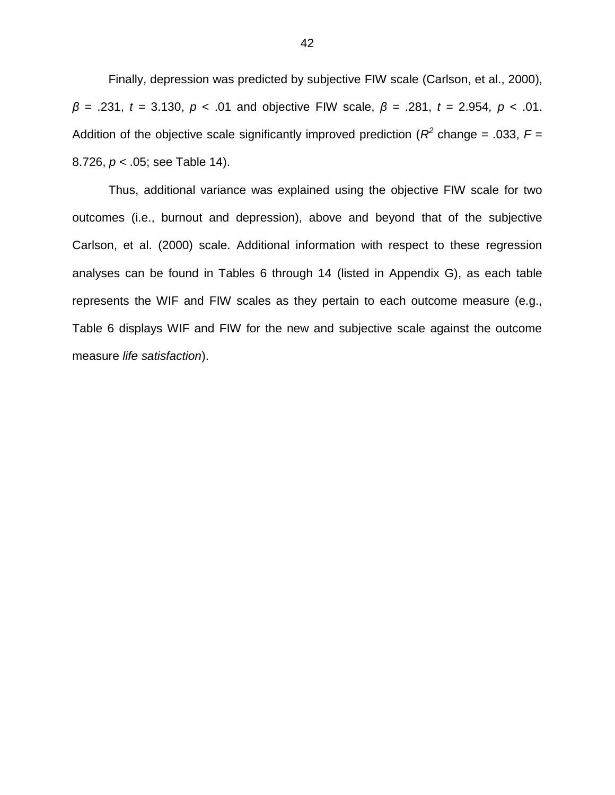Finally, depression was predicted by subjective FIW scale (Carlson, et al., 2000), *β* = .231, *t* = 3.130, *p* < .01 and objective FIW scale, *β =* .281, *t* = 2.954*, p* < .01. Addition of the objective scale significantly improved prediction ( $R^2$  change = .033,  $F =$ 8.726, *p* < .05; see Table 14).

Thus, additional variance was explained using the objective FIW scale for two outcomes (i.e., burnout and depression), above and beyond that of the subjective Carlson, et al. (2000) scale. Additional information with respect to these regression analyses can be found in Tables 6 through 14 (listed in Appendix G), as each table represents the WIF and FIW scales as they pertain to each outcome measure (e.g., Table 6 displays WIF and FIW for the new and subjective scale against the outcome measure *life satisfaction*).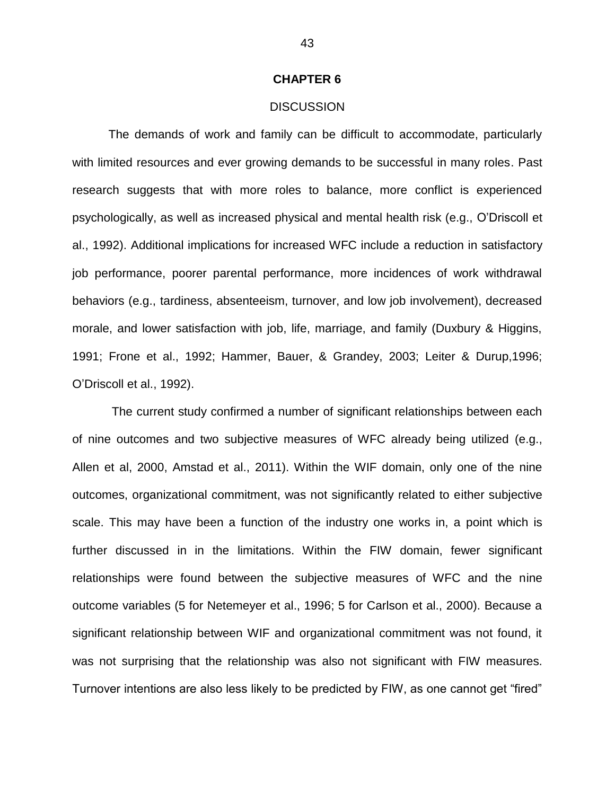#### **CHAPTER 6**

#### **DISCUSSION**

The demands of work and family can be difficult to accommodate, particularly with limited resources and ever growing demands to be successful in many roles. Past research suggests that with more roles to balance, more conflict is experienced psychologically, as well as increased physical and mental health risk (e.g., O'Driscoll et al., 1992). Additional implications for increased WFC include a reduction in satisfactory job performance, poorer parental performance, more incidences of work withdrawal behaviors (e.g., tardiness, absenteeism, turnover, and low job involvement), decreased morale, and lower satisfaction with job, life, marriage, and family (Duxbury & Higgins, 1991; Frone et al., 1992; Hammer, Bauer, & Grandey, 2003; Leiter & Durup,1996; O'Driscoll et al., 1992).

The current study confirmed a number of significant relationships between each of nine outcomes and two subjective measures of WFC already being utilized (e.g., Allen et al, 2000, Amstad et al., 2011). Within the WIF domain, only one of the nine outcomes, organizational commitment, was not significantly related to either subjective scale. This may have been a function of the industry one works in, a point which is further discussed in in the limitations. Within the FIW domain, fewer significant relationships were found between the subjective measures of WFC and the nine outcome variables (5 for Netemeyer et al., 1996; 5 for Carlson et al., 2000). Because a significant relationship between WIF and organizational commitment was not found, it was not surprising that the relationship was also not significant with FIW measures. Turnover intentions are also less likely to be predicted by FIW, as one cannot get "fired"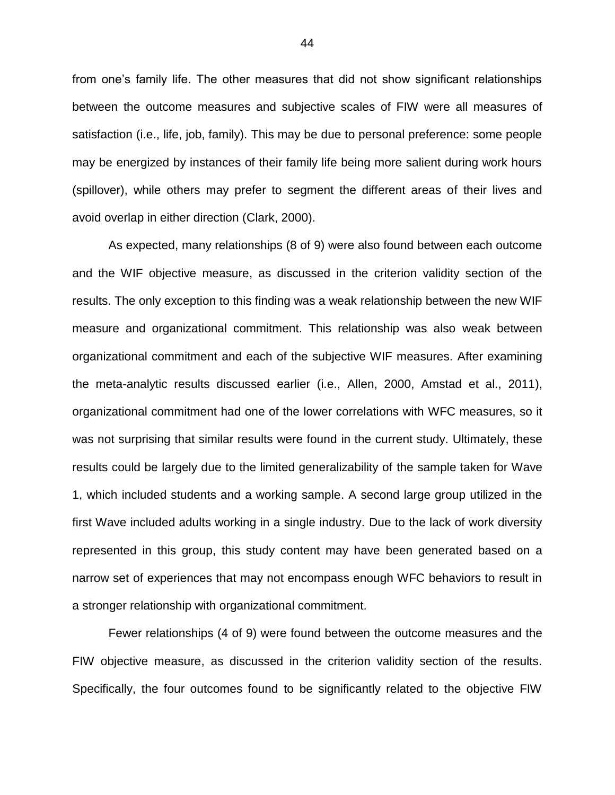from one's family life. The other measures that did not show significant relationships between the outcome measures and subjective scales of FIW were all measures of satisfaction (i.e., life, job, family). This may be due to personal preference: some people may be energized by instances of their family life being more salient during work hours (spillover), while others may prefer to segment the different areas of their lives and avoid overlap in either direction (Clark, 2000).

As expected, many relationships (8 of 9) were also found between each outcome and the WIF objective measure, as discussed in the criterion validity section of the results. The only exception to this finding was a weak relationship between the new WIF measure and organizational commitment. This relationship was also weak between organizational commitment and each of the subjective WIF measures. After examining the meta-analytic results discussed earlier (i.e., Allen, 2000, Amstad et al., 2011), organizational commitment had one of the lower correlations with WFC measures, so it was not surprising that similar results were found in the current study. Ultimately, these results could be largely due to the limited generalizability of the sample taken for Wave 1, which included students and a working sample. A second large group utilized in the first Wave included adults working in a single industry. Due to the lack of work diversity represented in this group, this study content may have been generated based on a narrow set of experiences that may not encompass enough WFC behaviors to result in a stronger relationship with organizational commitment.

Fewer relationships (4 of 9) were found between the outcome measures and the FIW objective measure, as discussed in the criterion validity section of the results. Specifically, the four outcomes found to be significantly related to the objective FIW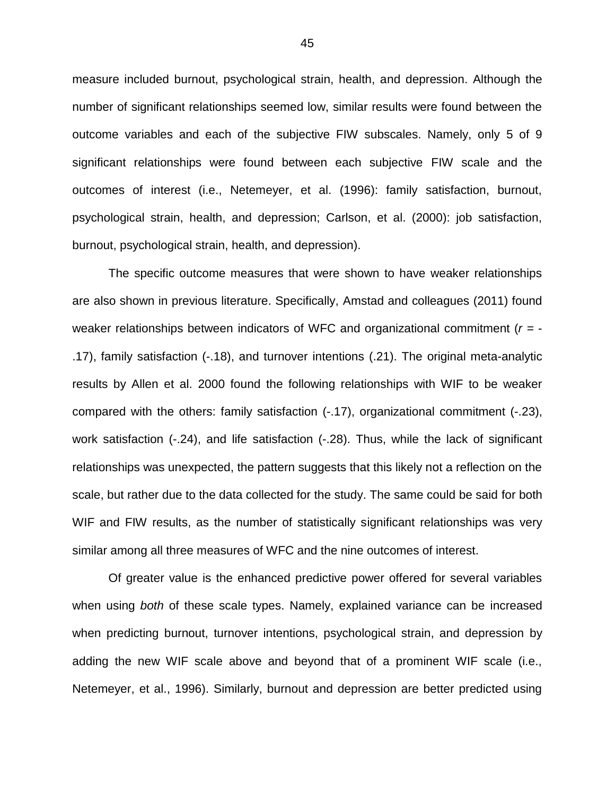measure included burnout, psychological strain, health, and depression. Although the number of significant relationships seemed low, similar results were found between the outcome variables and each of the subjective FIW subscales. Namely, only 5 of 9 significant relationships were found between each subjective FIW scale and the outcomes of interest (i.e., Netemeyer, et al. (1996): family satisfaction, burnout, psychological strain, health, and depression; Carlson, et al. (2000): job satisfaction, burnout, psychological strain, health, and depression).

The specific outcome measures that were shown to have weaker relationships are also shown in previous literature. Specifically, Amstad and colleagues (2011) found weaker relationships between indicators of WFC and organizational commitment (*r =* - .17), family satisfaction (-.18), and turnover intentions (.21). The original meta-analytic results by Allen et al. 2000 found the following relationships with WIF to be weaker compared with the others: family satisfaction (-.17), organizational commitment (-.23), work satisfaction (-.24), and life satisfaction (-.28). Thus, while the lack of significant relationships was unexpected, the pattern suggests that this likely not a reflection on the scale, but rather due to the data collected for the study. The same could be said for both WIF and FIW results, as the number of statistically significant relationships was very similar among all three measures of WFC and the nine outcomes of interest.

Of greater value is the enhanced predictive power offered for several variables when using *both* of these scale types. Namely, explained variance can be increased when predicting burnout, turnover intentions, psychological strain, and depression by adding the new WIF scale above and beyond that of a prominent WIF scale (i.e., Netemeyer, et al., 1996). Similarly, burnout and depression are better predicted using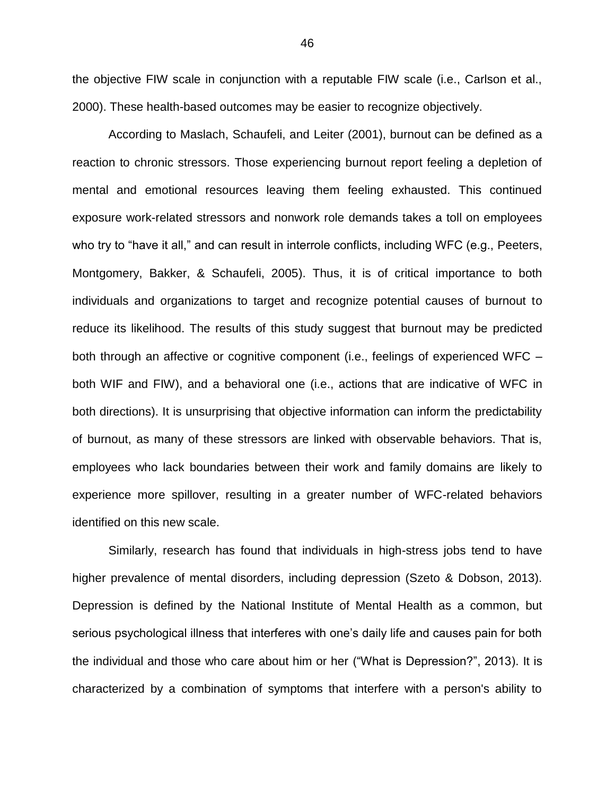the objective FIW scale in conjunction with a reputable FIW scale (i.e., Carlson et al., 2000). These health-based outcomes may be easier to recognize objectively.

According to Maslach, Schaufeli, and Leiter (2001), burnout can be defined as a reaction to chronic stressors. Those experiencing burnout report feeling a depletion of mental and emotional resources leaving them feeling exhausted. This continued exposure work-related stressors and nonwork role demands takes a toll on employees who try to "have it all," and can result in interrole conflicts, including WFC (e.g., [Peeters,](http://web.ebscohost.com.proxy.lib.wayne.edu/ehost/detail?vid=3&sid=2b379b0d-5d00-45de-84fc-38e050bd2a51%40sessionmgr110&hid=103&bdata=JnNpdGU9ZWhvc3QtbGl2ZSZzY29wZT1zaXRl#c56)  [Montgomery, Bakker, & Schaufeli, 2005\)](http://web.ebscohost.com.proxy.lib.wayne.edu/ehost/detail?vid=3&sid=2b379b0d-5d00-45de-84fc-38e050bd2a51%40sessionmgr110&hid=103&bdata=JnNpdGU9ZWhvc3QtbGl2ZSZzY29wZT1zaXRl#c56). Thus, it is of critical importance to both individuals and organizations to target and recognize potential causes of burnout to reduce its likelihood. The results of this study suggest that burnout may be predicted both through an affective or cognitive component (i.e., feelings of experienced WFC – both WIF and FIW), and a behavioral one (i.e., actions that are indicative of WFC in both directions). It is unsurprising that objective information can inform the predictability of burnout, as many of these stressors are linked with observable behaviors. That is, employees who lack boundaries between their work and family domains are likely to experience more spillover, resulting in a greater number of WFC-related behaviors identified on this new scale.

Similarly, research has found that individuals in high-stress jobs tend to have higher prevalence of mental disorders, including depression (Szeto & Dobson, 2013). Depression is defined by the National Institute of Mental Health as a common, but serious psychological illness that interferes with one's daily life and causes pain for both the individual and those who care about him or her ("What is Depression?", 2013). It is characterized by a combination of symptoms that interfere with a person's ability to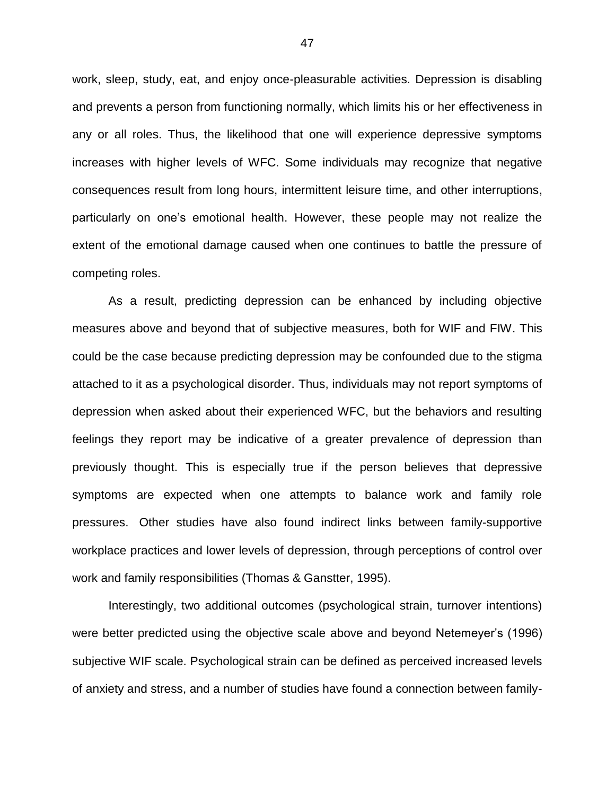work, sleep, study, eat, and enjoy once-pleasurable activities. Depression is disabling and prevents a person from functioning normally, which limits his or her effectiveness in any or all roles. Thus, the likelihood that one will experience depressive symptoms increases with higher levels of WFC. Some individuals may recognize that negative consequences result from long hours, intermittent leisure time, and other interruptions, particularly on one's emotional health. However, these people may not realize the extent of the emotional damage caused when one continues to battle the pressure of competing roles.

As a result, predicting depression can be enhanced by including objective measures above and beyond that of subjective measures, both for WIF and FIW. This could be the case because predicting depression may be confounded due to the stigma attached to it as a psychological disorder. Thus, individuals may not report symptoms of depression when asked about their experienced WFC, but the behaviors and resulting feelings they report may be indicative of a greater prevalence of depression than previously thought. This is especially true if the person believes that depressive symptoms are expected when one attempts to balance work and family role pressures. Other studies have also found indirect links between family-supportive workplace practices and lower levels of depression, through perceptions of control over work and family responsibilities (Thomas & Ganstter, 1995).

Interestingly, two additional outcomes (psychological strain, turnover intentions) were better predicted using the objective scale above and beyond Netemeyer's (1996) subjective WIF scale. Psychological strain can be defined as perceived increased levels of anxiety and stress, and a number of studies have found a connection between family-

47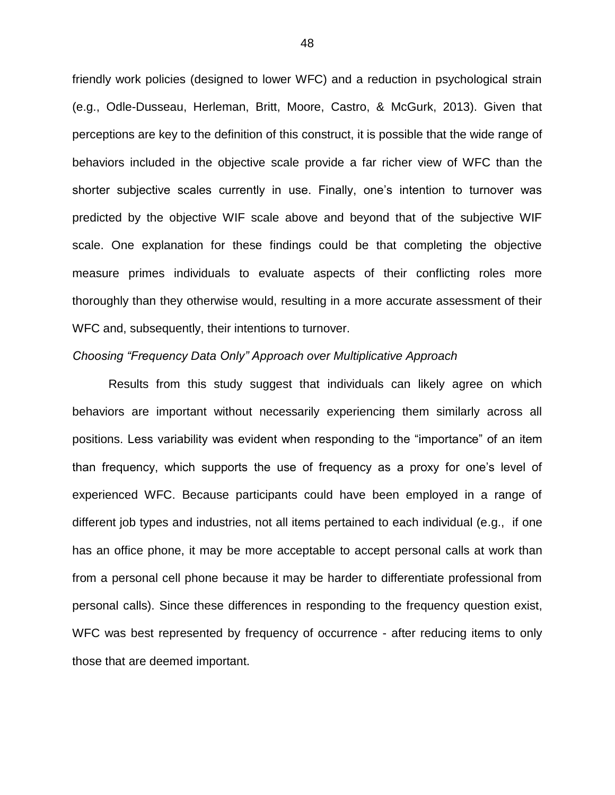friendly work policies (designed to lower WFC) and a reduction in psychological strain (e.g., Odle-Dusseau, Herleman, Britt, Moore, Castro, & McGurk, 2013). Given that perceptions are key to the definition of this construct, it is possible that the wide range of behaviors included in the objective scale provide a far richer view of WFC than the shorter subjective scales currently in use. Finally, one's intention to turnover was predicted by the objective WIF scale above and beyond that of the subjective WIF scale. One explanation for these findings could be that completing the objective measure primes individuals to evaluate aspects of their conflicting roles more thoroughly than they otherwise would, resulting in a more accurate assessment of their WFC and, subsequently, their intentions to turnover.

#### *Choosing "Frequency Data Only" Approach over Multiplicative Approach*

Results from this study suggest that individuals can likely agree on which behaviors are important without necessarily experiencing them similarly across all positions. Less variability was evident when responding to the "importance" of an item than frequency, which supports the use of frequency as a proxy for one's level of experienced WFC. Because participants could have been employed in a range of different job types and industries, not all items pertained to each individual (e.g., if one has an office phone, it may be more acceptable to accept personal calls at work than from a personal cell phone because it may be harder to differentiate professional from personal calls). Since these differences in responding to the frequency question exist, WFC was best represented by frequency of occurrence - after reducing items to only those that are deemed important.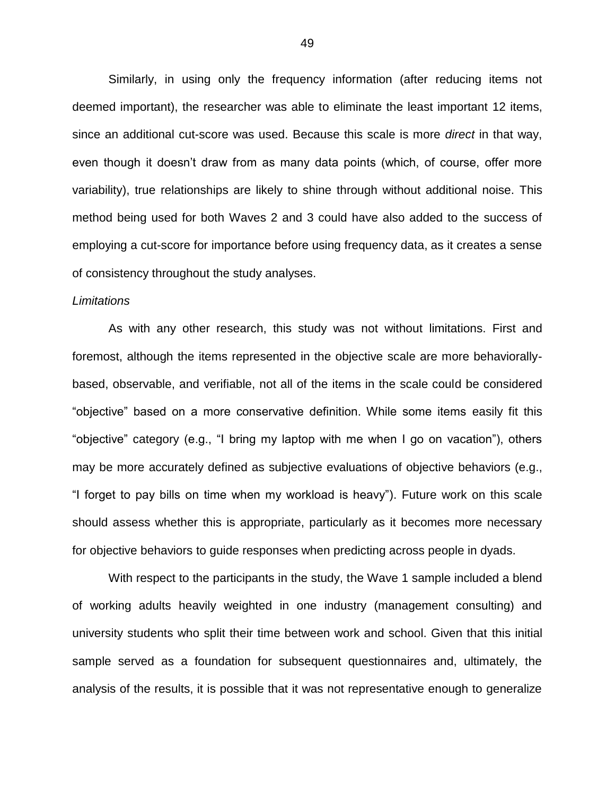Similarly, in using only the frequency information (after reducing items not deemed important), the researcher was able to eliminate the least important 12 items, since an additional cut-score was used. Because this scale is more *direct* in that way, even though it doesn't draw from as many data points (which, of course, offer more variability), true relationships are likely to shine through without additional noise. This method being used for both Waves 2 and 3 could have also added to the success of employing a cut-score for importance before using frequency data, as it creates a sense of consistency throughout the study analyses.

#### *Limitations*

As with any other research, this study was not without limitations. First and foremost, although the items represented in the objective scale are more behaviorallybased, observable, and verifiable, not all of the items in the scale could be considered "objective" based on a more conservative definition. While some items easily fit this "objective" category (e.g., "I bring my laptop with me when I go on vacation"), others may be more accurately defined as subjective evaluations of objective behaviors (e.g., "I forget to pay bills on time when my workload is heavy"). Future work on this scale should assess whether this is appropriate, particularly as it becomes more necessary for objective behaviors to guide responses when predicting across people in dyads.

With respect to the participants in the study, the Wave 1 sample included a blend of working adults heavily weighted in one industry (management consulting) and university students who split their time between work and school. Given that this initial sample served as a foundation for subsequent questionnaires and, ultimately, the analysis of the results, it is possible that it was not representative enough to generalize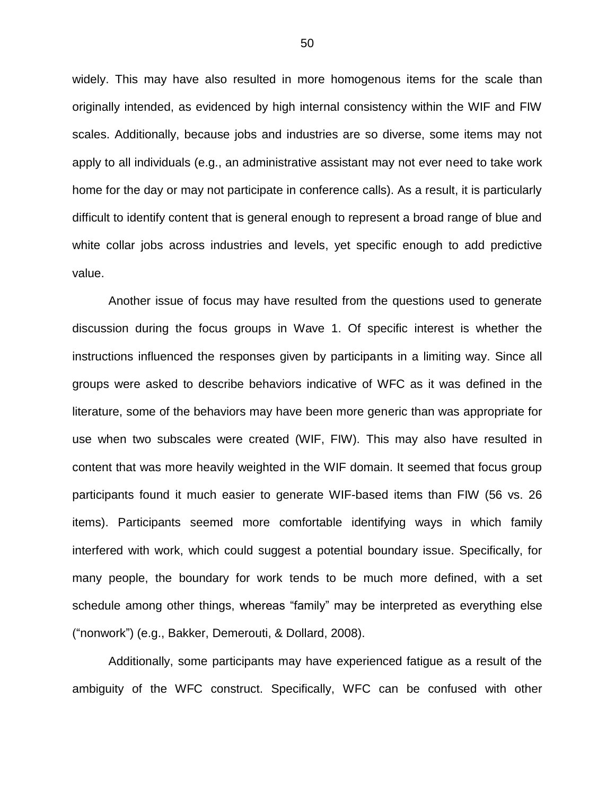widely. This may have also resulted in more homogenous items for the scale than originally intended, as evidenced by high internal consistency within the WIF and FIW scales. Additionally, because jobs and industries are so diverse, some items may not apply to all individuals (e.g., an administrative assistant may not ever need to take work home for the day or may not participate in conference calls). As a result, it is particularly difficult to identify content that is general enough to represent a broad range of blue and white collar jobs across industries and levels, yet specific enough to add predictive value.

Another issue of focus may have resulted from the questions used to generate discussion during the focus groups in Wave 1. Of specific interest is whether the instructions influenced the responses given by participants in a limiting way. Since all groups were asked to describe behaviors indicative of WFC as it was defined in the literature, some of the behaviors may have been more generic than was appropriate for use when two subscales were created (WIF, FIW). This may also have resulted in content that was more heavily weighted in the WIF domain. It seemed that focus group participants found it much easier to generate WIF-based items than FIW (56 vs. 26 items). Participants seemed more comfortable identifying ways in which family interfered with work, which could suggest a potential boundary issue. Specifically, for many people, the boundary for work tends to be much more defined, with a set schedule among other things, whereas "family" may be interpreted as everything else ("nonwork") (e.g., Bakker, Demerouti, & Dollard, 2008).

Additionally, some participants may have experienced fatigue as a result of the ambiguity of the WFC construct. Specifically, WFC can be confused with other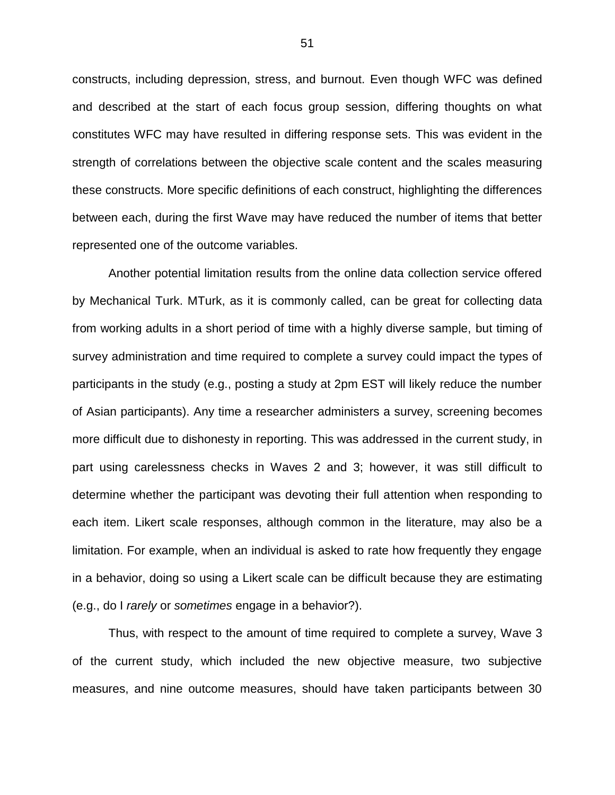constructs, including depression, stress, and burnout. Even though WFC was defined and described at the start of each focus group session, differing thoughts on what constitutes WFC may have resulted in differing response sets. This was evident in the strength of correlations between the objective scale content and the scales measuring these constructs. More specific definitions of each construct, highlighting the differences between each, during the first Wave may have reduced the number of items that better represented one of the outcome variables.

Another potential limitation results from the online data collection service offered by Mechanical Turk. MTurk, as it is commonly called, can be great for collecting data from working adults in a short period of time with a highly diverse sample, but timing of survey administration and time required to complete a survey could impact the types of participants in the study (e.g., posting a study at 2pm EST will likely reduce the number of Asian participants). Any time a researcher administers a survey, screening becomes more difficult due to dishonesty in reporting. This was addressed in the current study, in part using carelessness checks in Waves 2 and 3; however, it was still difficult to determine whether the participant was devoting their full attention when responding to each item. Likert scale responses, although common in the literature, may also be a limitation. For example, when an individual is asked to rate how frequently they engage in a behavior, doing so using a Likert scale can be difficult because they are estimating (e.g., do I *rarely* or *sometimes* engage in a behavior?).

Thus, with respect to the amount of time required to complete a survey, Wave 3 of the current study, which included the new objective measure, two subjective measures, and nine outcome measures, should have taken participants between 30

51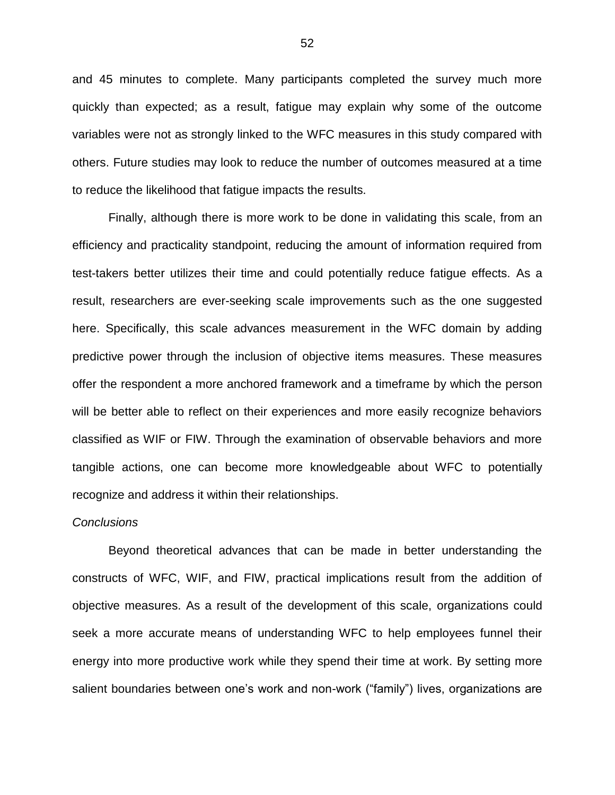and 45 minutes to complete. Many participants completed the survey much more quickly than expected; as a result, fatigue may explain why some of the outcome variables were not as strongly linked to the WFC measures in this study compared with others. Future studies may look to reduce the number of outcomes measured at a time to reduce the likelihood that fatigue impacts the results.

Finally, although there is more work to be done in validating this scale, from an efficiency and practicality standpoint, reducing the amount of information required from test-takers better utilizes their time and could potentially reduce fatigue effects. As a result, researchers are ever-seeking scale improvements such as the one suggested here. Specifically, this scale advances measurement in the WFC domain by adding predictive power through the inclusion of objective items measures. These measures offer the respondent a more anchored framework and a timeframe by which the person will be better able to reflect on their experiences and more easily recognize behaviors classified as WIF or FIW. Through the examination of observable behaviors and more tangible actions, one can become more knowledgeable about WFC to potentially recognize and address it within their relationships.

#### *Conclusions*

Beyond theoretical advances that can be made in better understanding the constructs of WFC, WIF, and FIW, practical implications result from the addition of objective measures. As a result of the development of this scale, organizations could seek a more accurate means of understanding WFC to help employees funnel their energy into more productive work while they spend their time at work. By setting more salient boundaries between one's work and non-work ("family") lives, organizations are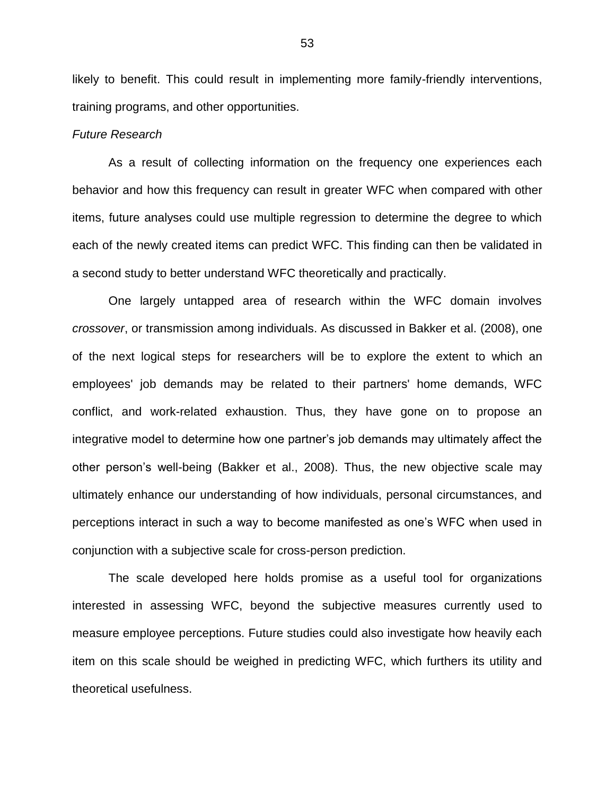likely to benefit. This could result in implementing more family-friendly interventions, training programs, and other opportunities.

#### *Future Research*

As a result of collecting information on the frequency one experiences each behavior and how this frequency can result in greater WFC when compared with other items, future analyses could use multiple regression to determine the degree to which each of the newly created items can predict WFC. This finding can then be validated in a second study to better understand WFC theoretically and practically.

One largely untapped area of research within the WFC domain involves *crossover*, or transmission among individuals. As discussed in Bakker et al. (2008), one of the next logical steps for researchers will be to explore the extent to which an employees' job demands may be related to their partners' home demands, WFC conflict, and work-related exhaustion. Thus, they have gone on to propose an integrative model to determine how one partner's job demands may ultimately affect the other person's well-being (Bakker et al., 2008). Thus, the new objective scale may ultimately enhance our understanding of how individuals, personal circumstances, and perceptions interact in such a way to become manifested as one's WFC when used in conjunction with a subjective scale for cross-person prediction.

The scale developed here holds promise as a useful tool for organizations interested in assessing WFC, beyond the subjective measures currently used to measure employee perceptions. Future studies could also investigate how heavily each item on this scale should be weighed in predicting WFC, which furthers its utility and theoretical usefulness.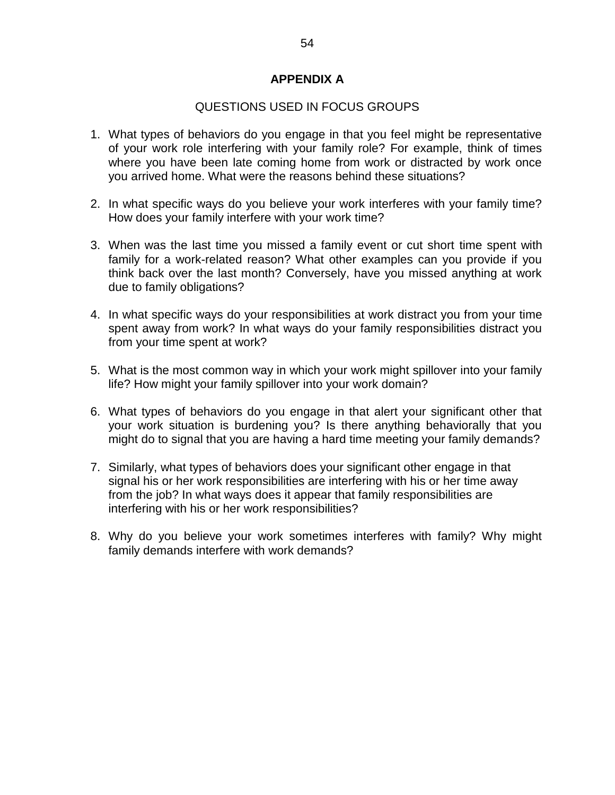### **APPENDIX A**

### QUESTIONS USED IN FOCUS GROUPS

- 1. What types of behaviors do you engage in that you feel might be representative of your work role interfering with your family role? For example, think of times where you have been late coming home from work or distracted by work once you arrived home. What were the reasons behind these situations?
- 2. In what specific ways do you believe your work interferes with your family time? How does your family interfere with your work time?
- 3. When was the last time you missed a family event or cut short time spent with family for a work-related reason? What other examples can you provide if you think back over the last month? Conversely, have you missed anything at work due to family obligations?
- 4. In what specific ways do your responsibilities at work distract you from your time spent away from work? In what ways do your family responsibilities distract you from your time spent at work?
- 5. What is the most common way in which your work might spillover into your family life? How might your family spillover into your work domain?
- 6. What types of behaviors do you engage in that alert your significant other that your work situation is burdening you? Is there anything behaviorally that you might do to signal that you are having a hard time meeting your family demands?
- 7. Similarly, what types of behaviors does your significant other engage in that signal his or her work responsibilities are interfering with his or her time away from the job? In what ways does it appear that family responsibilities are interfering with his or her work responsibilities?
- 8. Why do you believe your work sometimes interferes with family? Why might family demands interfere with work demands?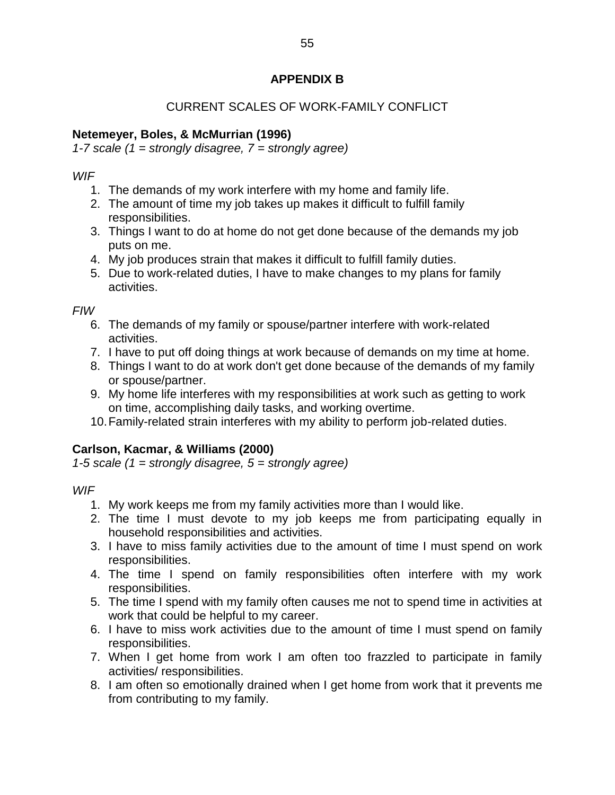# **APPENDIX B**

# CURRENT SCALES OF WORK-FAMILY CONFLICT

## **Netemeyer, Boles, & McMurrian (1996)**

*1-7 scale (1 = strongly disagree, 7 = strongly agree)*

### *WIF*

- 1. The demands of my work interfere with my home and family life.
- 2. The amount of time my job takes up makes it difficult to fulfill family responsibilities.
- 3. Things I want to do at home do not get done because of the demands my job puts on me.
- 4. My job produces strain that makes it difficult to fulfill family duties.
- 5. Due to work-related duties, I have to make changes to my plans for family activities.

*FIW*

- 6. The demands of my family or spouse/partner interfere with work-related activities.
- 7. I have to put off doing things at work because of demands on my time at home.
- 8. Things I want to do at work don't get done because of the demands of my family or spouse/partner.
- 9. My home life interferes with my responsibilities at work such as getting to work on time, accomplishing daily tasks, and working overtime.
- 10.Family-related strain interferes with my ability to perform job-related duties.

# **Carlson, Kacmar, & Williams (2000)**

*1-5 scale (1 = strongly disagree, 5 = strongly agree)*

*WIF*

- 1. My work keeps me from my family activities more than I would like.
- 2. The time I must devote to my job keeps me from participating equally in household responsibilities and activities.
- 3. I have to miss family activities due to the amount of time I must spend on work responsibilities.
- 4. The time I spend on family responsibilities often interfere with my work responsibilities.
- 5. The time I spend with my family often causes me not to spend time in activities at work that could be helpful to my career.
- 6. I have to miss work activities due to the amount of time I must spend on family responsibilities.
- 7. When I get home from work I am often too frazzled to participate in family activities/ responsibilities.
- 8. I am often so emotionally drained when I get home from work that it prevents me from contributing to my family.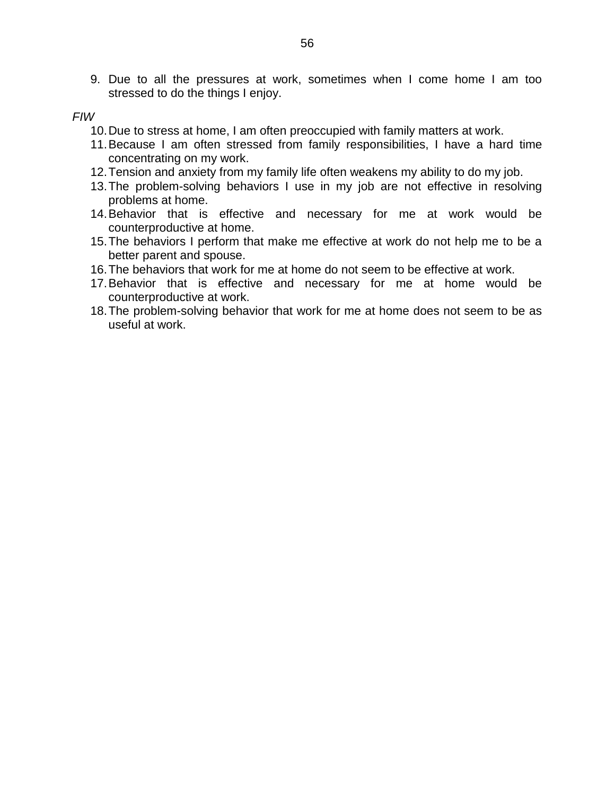9. Due to all the pressures at work, sometimes when I come home I am too stressed to do the things I enjoy.

#### *FIW*

- 10.Due to stress at home, I am often preoccupied with family matters at work.
- 11.Because I am often stressed from family responsibilities, I have a hard time concentrating on my work.
- 12.Tension and anxiety from my family life often weakens my ability to do my job.
- 13.The problem-solving behaviors I use in my job are not effective in resolving problems at home.
- 14.Behavior that is effective and necessary for me at work would be counterproductive at home.
- 15.The behaviors I perform that make me effective at work do not help me to be a better parent and spouse.
- 16.The behaviors that work for me at home do not seem to be effective at work.
- 17.Behavior that is effective and necessary for me at home would be counterproductive at work.
- 18.The problem-solving behavior that work for me at home does not seem to be as useful at work.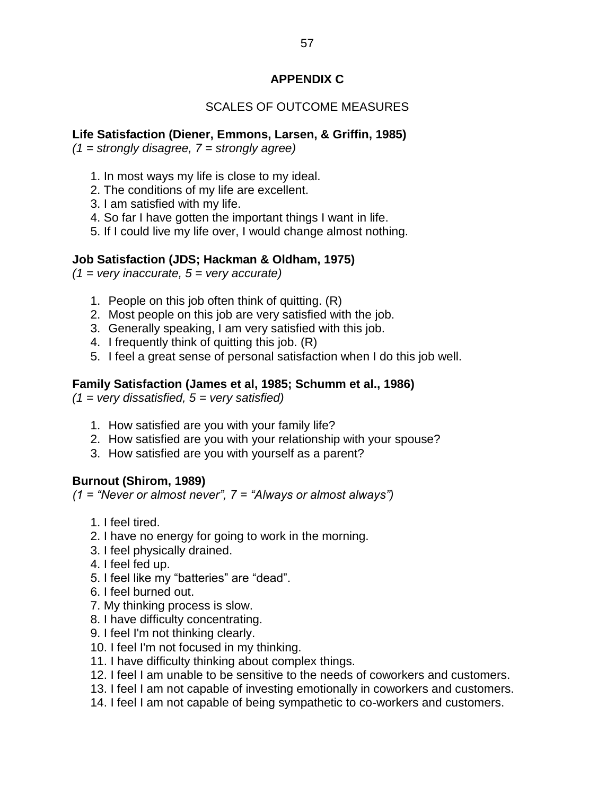# **APPENDIX C**

# SCALES OF OUTCOME MEASURES

## **Life Satisfaction (Diener, Emmons, Larsen, & Griffin, 1985)**

*(1 = strongly disagree, 7 = strongly agree)*

- 1. In most ways my life is close to my ideal.
- 2. The conditions of my life are excellent.
- 3. I am satisfied with my life.
- 4. So far I have gotten the important things I want in life.
- 5. If I could live my life over, I would change almost nothing.

### **Job Satisfaction (JDS; Hackman & Oldham, 1975)**

*(1 = very inaccurate, 5 = very accurate)*

- 1. People on this job often think of quitting. (R)
- 2. Most people on this job are very satisfied with the job.
- 3. Generally speaking, I am very satisfied with this job.
- 4. I frequently think of quitting this job. (R)
- 5. I feel a great sense of personal satisfaction when I do this job well.

### **Family Satisfaction (James et al, 1985; Schumm et al., 1986)**

*(1 = very dissatisfied, 5 = very satisfied)*

- 1. How satisfied are you with your family life?
- 2. How satisfied are you with your relationship with your spouse?
- 3. How satisfied are you with yourself as a parent?

### **Burnout (Shirom, 1989)**

*(1 = "Never or almost never", 7 = "Always or almost always")*

- 1. I feel tired.
- 2. I have no energy for going to work in the morning.
- 3. I feel physically drained.
- 4. I feel fed up.
- 5. I feel like my "batteries" are "dead".
- 6. I feel burned out.
- 7. My thinking process is slow.
- 8. I have difficulty concentrating.
- 9. I feel I'm not thinking clearly.
- 10. I feel I'm not focused in my thinking.
- 11. I have difficulty thinking about complex things.
- 12. I feel I am unable to be sensitive to the needs of coworkers and customers.
- 13. I feel I am not capable of investing emotionally in coworkers and customers.
- 14. I feel I am not capable of being sympathetic to co-workers and customers.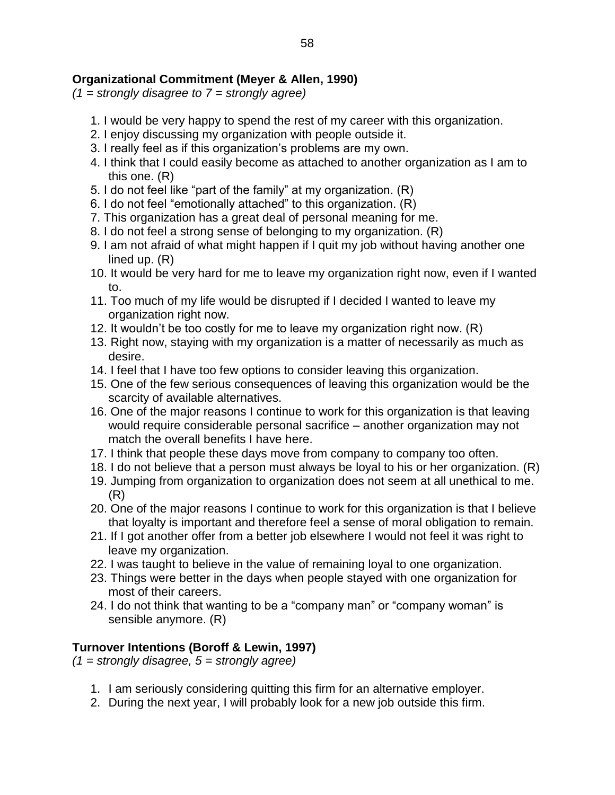## **Organizational Commitment (Meyer & Allen, 1990)**

*(1 = strongly disagree to 7 = strongly agree)*

- 1. I would be very happy to spend the rest of my career with this organization.
- 2. I enjoy discussing my organization with people outside it.
- 3. I really feel as if this organization's problems are my own.
- 4. I think that I could easily become as attached to another organization as I am to this one. (R)
- 5. I do not feel like "part of the family" at my organization. (R)
- 6. I do not feel "emotionally attached" to this organization. (R)
- 7. This organization has a great deal of personal meaning for me.
- 8. I do not feel a strong sense of belonging to my organization. (R)
- 9. I am not afraid of what might happen if I quit my job without having another one lined up. (R)
- 10. It would be very hard for me to leave my organization right now, even if I wanted to.
- 11. Too much of my life would be disrupted if I decided I wanted to leave my organization right now.
- 12. It wouldn't be too costly for me to leave my organization right now. (R)
- 13. Right now, staying with my organization is a matter of necessarily as much as desire.
- 14. I feel that I have too few options to consider leaving this organization.
- 15. One of the few serious consequences of leaving this organization would be the scarcity of available alternatives.
- 16. One of the major reasons I continue to work for this organization is that leaving would require considerable personal sacrifice – another organization may not match the overall benefits I have here.
- 17. I think that people these days move from company to company too often.
- 18. I do not believe that a person must always be loyal to his or her organization. (R)
- 19. Jumping from organization to organization does not seem at all unethical to me. (R)
- 20. One of the major reasons I continue to work for this organization is that I believe that loyalty is important and therefore feel a sense of moral obligation to remain.
- 21. If I got another offer from a better job elsewhere I would not feel it was right to leave my organization.
- 22. I was taught to believe in the value of remaining loyal to one organization.
- 23. Things were better in the days when people stayed with one organization for most of their careers.
- 24. I do not think that wanting to be a "company man" or "company woman" is sensible anymore. (R)

## **Turnover Intentions (Boroff & Lewin, 1997)**

*(1 = strongly disagree, 5 = strongly agree)*

- 1. I am seriously considering quitting this firm for an alternative employer.
- 2. During the next year, I will probably look for a new job outside this firm.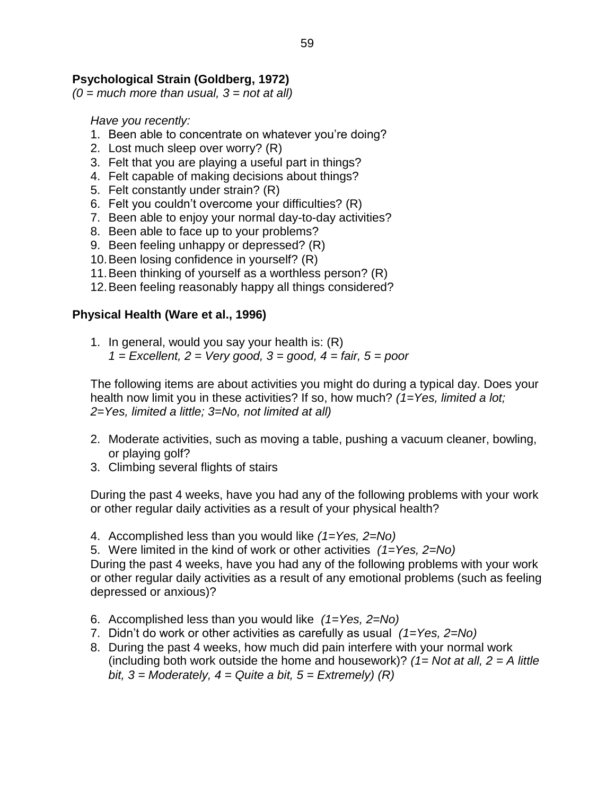## **Psychological Strain (Goldberg, 1972)**

*(0 = much more than usual, 3 = not at all)*

*Have you recently:* 

- 1. Been able to concentrate on whatever you're doing?
- 2. Lost much sleep over worry? (R)
- 3. Felt that you are playing a useful part in things?
- 4. Felt capable of making decisions about things?
- 5. Felt constantly under strain? (R)
- 6. Felt you couldn't overcome your difficulties? (R)
- 7. Been able to enjoy your normal day-to-day activities?
- 8. Been able to face up to your problems?
- 9. Been feeling unhappy or depressed? (R)
- 10.Been losing confidence in yourself? (R)
- 11.Been thinking of yourself as a worthless person? (R)
- 12.Been feeling reasonably happy all things considered?

### **Physical Health (Ware et al., 1996)**

1. In general, would you say your health is: (R) *1 = Excellent, 2 = Very good, 3 = good, 4 = fair, 5 = poor*

The following items are about activities you might do during a typical day. Does your health now limit you in these activities? If so, how much? *(1=Yes, limited a lot; 2=Yes, limited a little; 3=No, not limited at all)*

- 2. Moderate activities, such as moving a table, pushing a vacuum cleaner, bowling, or playing golf?
- 3. Climbing several flights of stairs

During the past 4 weeks, have you had any of the following problems with your work or other regular daily activities as a result of your physical health?

4. Accomplished less than you would like *(1=Yes, 2=No)*

5. Were limited in the kind of work or other activities *(1=Yes, 2=No)* During the past 4 weeks, have you had any of the following problems with your work or other regular daily activities as a result of any emotional problems (such as feeling depressed or anxious)?

- 6. Accomplished less than you would like *(1=Yes, 2=No)*
- 7. Didn't do work or other activities as carefully as usual *(1=Yes, 2=No)*
- 8. During the past 4 weeks, how much did pain interfere with your normal work (including both work outside the home and housework)? *(1= Not at all, 2 = A little bit, 3 = Moderately, 4 = Quite a bit, 5 = Extremely) (R)*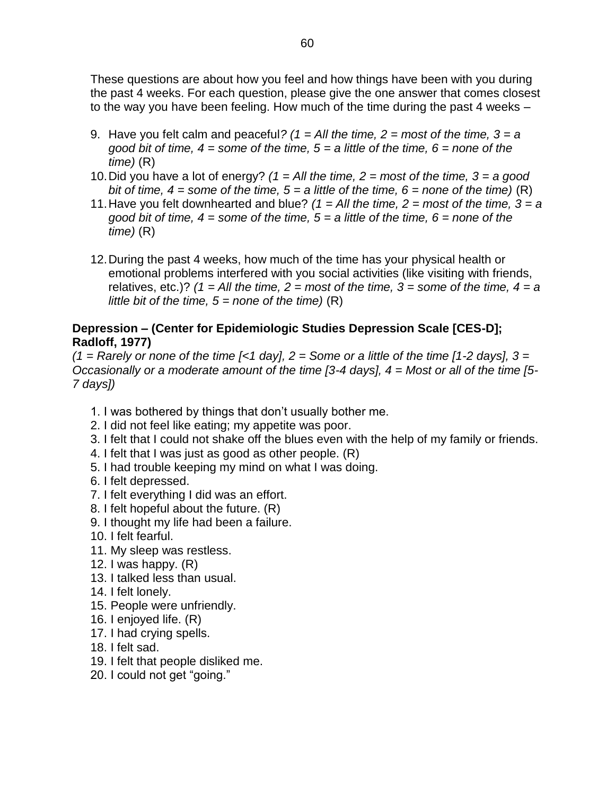These questions are about how you feel and how things have been with you during the past 4 weeks. For each question, please give the one answer that comes closest to the way you have been feeling. How much of the time during the past 4 weeks –

- 9. Have you felt calm and peaceful*? (1 = All the time, 2 = most of the time, 3 = a good bit of time, 4 = some of the time, 5 = a little of the time, 6 = none of the time)* (R)
- 10.Did you have a lot of energy? *(1 = All the time, 2 = most of the time, 3 = a good bit of time, 4 = some of the time, 5 = a little of the time, 6 = none of the time)*  $(R)$
- 11.Have you felt downhearted and blue? *(1 = All the time, 2 = most of the time, 3 = a good bit of time, 4 = some of the time, 5 = a little of the time, 6 = none of the time)* (R)
- 12.During the past 4 weeks, how much of the time has your physical health or emotional problems interfered with you social activities (like visiting with friends, relatives, etc.)?  $(1 = All$  the time,  $2 = most$  of the time,  $3 = some$  of the time,  $4 = a$ *little bit of the time, 5 = none of the time)* (R)

## **Depression – (Center for Epidemiologic Studies Depression Scale [CES-D]; Radloff, 1977)**

*(1 = Rarely or none of the time [<1 day], 2 = Some or a little of the time [1-2 days], 3 = Occasionally or a moderate amount of the time [3-4 days], 4 = Most or all of the time [5- 7 days])*

- 1. I was bothered by things that don't usually bother me.
- 2. I did not feel like eating; my appetite was poor.
- 3. I felt that I could not shake off the blues even with the help of my family or friends.
- 4. I felt that I was just as good as other people. (R)
- 5. I had trouble keeping my mind on what I was doing.
- 6. I felt depressed.
- 7. I felt everything I did was an effort.
- 8. I felt hopeful about the future. (R)
- 9. I thought my life had been a failure.
- 10. I felt fearful.
- 11. My sleep was restless.
- 12. I was happy. (R)
- 13. I talked less than usual.
- 14. I felt lonely.
- 15. People were unfriendly.
- 16. I enjoyed life. (R)
- 17. I had crying spells.
- 18. I felt sad.
- 19. I felt that people disliked me.
- 20. I could not get "going."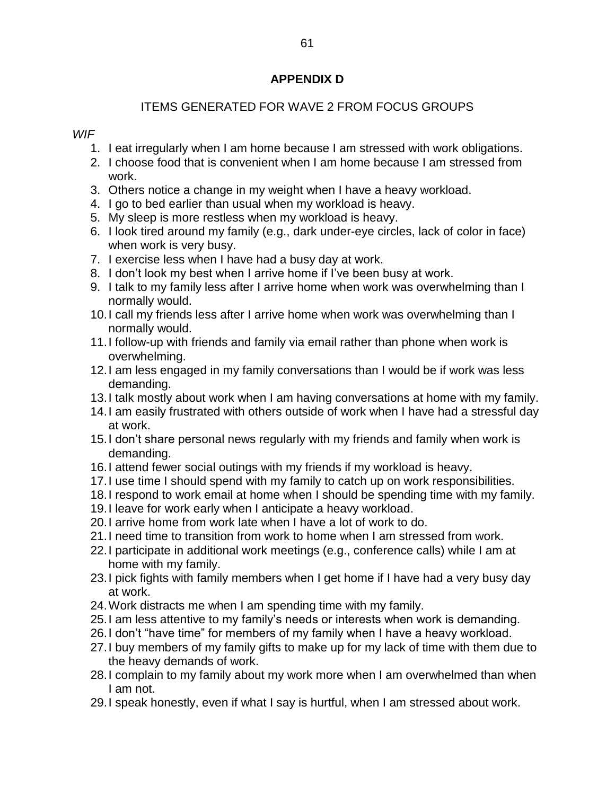# **APPENDIX D**

# ITEMS GENERATED FOR WAVE 2 FROM FOCUS GROUPS

### *WIF*

- 1. I eat irregularly when I am home because I am stressed with work obligations.
- 2. I choose food that is convenient when I am home because I am stressed from work.
- 3. Others notice a change in my weight when I have a heavy workload.
- 4. I go to bed earlier than usual when my workload is heavy.
- 5. My sleep is more restless when my workload is heavy.
- 6. I look tired around my family (e.g., dark under-eye circles, lack of color in face) when work is very busy.
- 7. I exercise less when I have had a busy day at work.
- 8. I don't look my best when I arrive home if I've been busy at work.
- 9. I talk to my family less after I arrive home when work was overwhelming than I normally would.
- 10.I call my friends less after I arrive home when work was overwhelming than I normally would.
- 11.I follow-up with friends and family via email rather than phone when work is overwhelming.
- 12.I am less engaged in my family conversations than I would be if work was less demanding.
- 13.I talk mostly about work when I am having conversations at home with my family.
- 14.I am easily frustrated with others outside of work when I have had a stressful day at work.
- 15.I don't share personal news regularly with my friends and family when work is demanding.
- 16.I attend fewer social outings with my friends if my workload is heavy.
- 17.I use time I should spend with my family to catch up on work responsibilities.
- 18.I respond to work email at home when I should be spending time with my family.
- 19.I leave for work early when I anticipate a heavy workload.
- 20.I arrive home from work late when I have a lot of work to do.
- 21.I need time to transition from work to home when I am stressed from work.
- 22.I participate in additional work meetings (e.g., conference calls) while I am at home with my family.
- 23.I pick fights with family members when I get home if I have had a very busy day at work.
- 24.Work distracts me when I am spending time with my family.
- 25.I am less attentive to my family's needs or interests when work is demanding.
- 26.I don't "have time" for members of my family when I have a heavy workload.
- 27.I buy members of my family gifts to make up for my lack of time with them due to the heavy demands of work.
- 28.I complain to my family about my work more when I am overwhelmed than when I am not.
- 29.I speak honestly, even if what I say is hurtful, when I am stressed about work.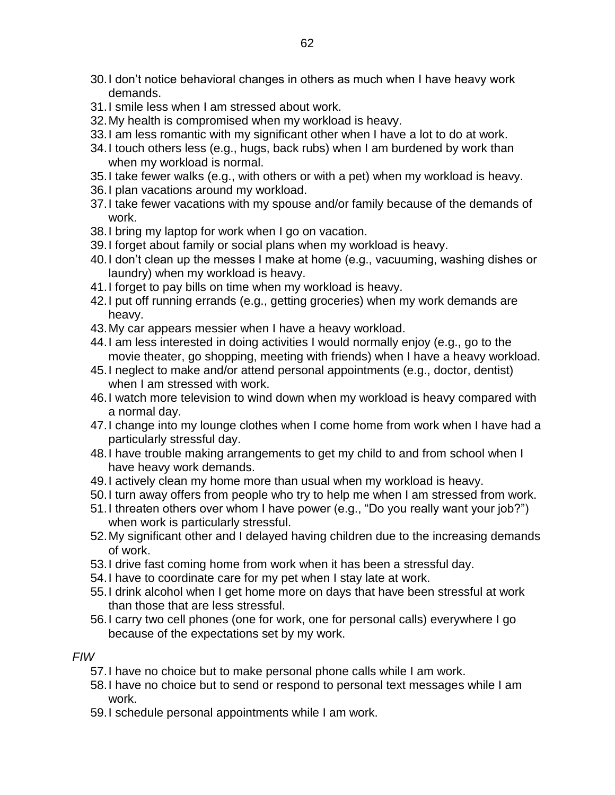- 30.I don't notice behavioral changes in others as much when I have heavy work demands.
- 31.I smile less when I am stressed about work.
- 32.My health is compromised when my workload is heavy.
- 33.I am less romantic with my significant other when I have a lot to do at work.
- 34.I touch others less (e.g., hugs, back rubs) when I am burdened by work than when my workload is normal.
- 35.I take fewer walks (e.g., with others or with a pet) when my workload is heavy.
- 36.I plan vacations around my workload.
- 37.I take fewer vacations with my spouse and/or family because of the demands of work.
- 38.I bring my laptop for work when I go on vacation.
- 39.I forget about family or social plans when my workload is heavy.
- 40.I don't clean up the messes I make at home (e.g., vacuuming, washing dishes or laundry) when my workload is heavy.
- 41.I forget to pay bills on time when my workload is heavy.
- 42.I put off running errands (e.g., getting groceries) when my work demands are heavy.
- 43.My car appears messier when I have a heavy workload.
- 44.I am less interested in doing activities I would normally enjoy (e.g., go to the movie theater, go shopping, meeting with friends) when I have a heavy workload.
- 45.I neglect to make and/or attend personal appointments (e.g., doctor, dentist) when I am stressed with work.
- 46.I watch more television to wind down when my workload is heavy compared with a normal day.
- 47.I change into my lounge clothes when I come home from work when I have had a particularly stressful day.
- 48.I have trouble making arrangements to get my child to and from school when I have heavy work demands.
- 49.I actively clean my home more than usual when my workload is heavy.
- 50.I turn away offers from people who try to help me when I am stressed from work.
- 51.I threaten others over whom I have power (e.g., "Do you really want your job?") when work is particularly stressful.
- 52.My significant other and I delayed having children due to the increasing demands of work.
- 53.I drive fast coming home from work when it has been a stressful day.
- 54.I have to coordinate care for my pet when I stay late at work.
- 55.I drink alcohol when I get home more on days that have been stressful at work than those that are less stressful.
- 56.I carry two cell phones (one for work, one for personal calls) everywhere I go because of the expectations set by my work.

## *FIW*

- 57.I have no choice but to make personal phone calls while I am work.
- 58.I have no choice but to send or respond to personal text messages while I am work.
- 59.I schedule personal appointments while I am work.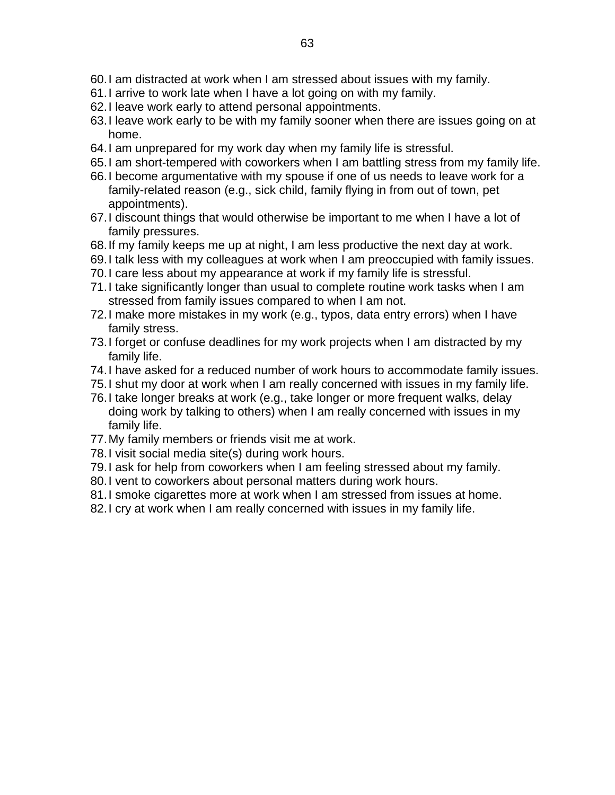- 60.I am distracted at work when I am stressed about issues with my family.
- 61.I arrive to work late when I have a lot going on with my family.
- 62.I leave work early to attend personal appointments.
- 63.I leave work early to be with my family sooner when there are issues going on at home.
- 64.I am unprepared for my work day when my family life is stressful.
- 65.I am short-tempered with coworkers when I am battling stress from my family life.
- 66.I become argumentative with my spouse if one of us needs to leave work for a family-related reason (e.g., sick child, family flying in from out of town, pet appointments).
- 67.I discount things that would otherwise be important to me when I have a lot of family pressures.
- 68.If my family keeps me up at night, I am less productive the next day at work.
- 69.I talk less with my colleagues at work when I am preoccupied with family issues.
- 70.I care less about my appearance at work if my family life is stressful.
- 71.I take significantly longer than usual to complete routine work tasks when I am stressed from family issues compared to when I am not.
- 72.I make more mistakes in my work (e.g., typos, data entry errors) when I have family stress.
- 73.I forget or confuse deadlines for my work projects when I am distracted by my family life.
- 74.I have asked for a reduced number of work hours to accommodate family issues.
- 75.I shut my door at work when I am really concerned with issues in my family life.
- 76.I take longer breaks at work (e.g., take longer or more frequent walks, delay doing work by talking to others) when I am really concerned with issues in my family life.
- 77.My family members or friends visit me at work.
- 78.I visit social media site(s) during work hours.
- 79.I ask for help from coworkers when I am feeling stressed about my family.
- 80.I vent to coworkers about personal matters during work hours.
- 81.I smoke cigarettes more at work when I am stressed from issues at home.
- 82. I cry at work when I am really concerned with issues in my family life.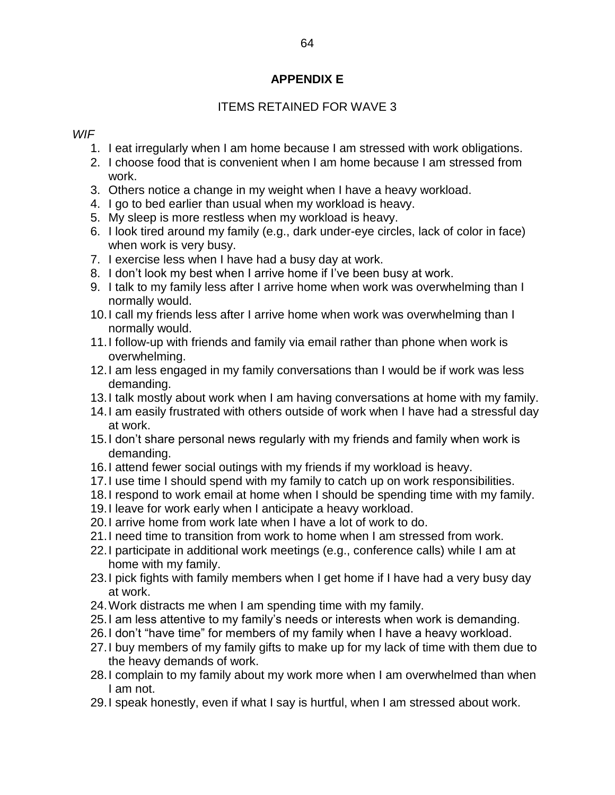## **APPENDIX E**

## ITEMS RETAINED FOR WAVE 3

#### *WIF*

- 1. I eat irregularly when I am home because I am stressed with work obligations.
- 2. I choose food that is convenient when I am home because I am stressed from work.
- 3. Others notice a change in my weight when I have a heavy workload.
- 4. I go to bed earlier than usual when my workload is heavy.
- 5. My sleep is more restless when my workload is heavy.
- 6. I look tired around my family (e.g., dark under-eye circles, lack of color in face) when work is very busy.
- 7. I exercise less when I have had a busy day at work.
- 8. I don't look my best when I arrive home if I've been busy at work.
- 9. I talk to my family less after I arrive home when work was overwhelming than I normally would.
- 10.I call my friends less after I arrive home when work was overwhelming than I normally would.
- 11.I follow-up with friends and family via email rather than phone when work is overwhelming.
- 12.I am less engaged in my family conversations than I would be if work was less demanding.
- 13.I talk mostly about work when I am having conversations at home with my family.
- 14.I am easily frustrated with others outside of work when I have had a stressful day at work.
- 15.I don't share personal news regularly with my friends and family when work is demanding.
- 16.I attend fewer social outings with my friends if my workload is heavy.
- 17.I use time I should spend with my family to catch up on work responsibilities.
- 18.I respond to work email at home when I should be spending time with my family.
- 19.I leave for work early when I anticipate a heavy workload.
- 20.I arrive home from work late when I have a lot of work to do.
- 21.I need time to transition from work to home when I am stressed from work.
- 22.I participate in additional work meetings (e.g., conference calls) while I am at home with my family.
- 23.I pick fights with family members when I get home if I have had a very busy day at work.
- 24.Work distracts me when I am spending time with my family.
- 25.I am less attentive to my family's needs or interests when work is demanding.
- 26.I don't "have time" for members of my family when I have a heavy workload.
- 27.I buy members of my family gifts to make up for my lack of time with them due to the heavy demands of work.
- 28.I complain to my family about my work more when I am overwhelmed than when I am not.
- 29.I speak honestly, even if what I say is hurtful, when I am stressed about work.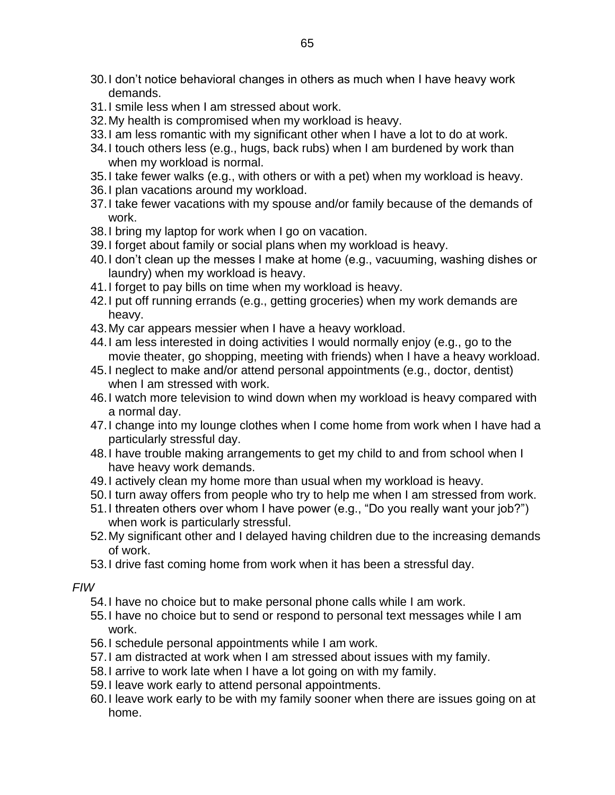- 30.I don't notice behavioral changes in others as much when I have heavy work demands.
- 31.I smile less when I am stressed about work.
- 32.My health is compromised when my workload is heavy.
- 33.I am less romantic with my significant other when I have a lot to do at work.
- 34.I touch others less (e.g., hugs, back rubs) when I am burdened by work than when my workload is normal.
- 35.I take fewer walks (e.g., with others or with a pet) when my workload is heavy.
- 36.I plan vacations around my workload.
- 37.I take fewer vacations with my spouse and/or family because of the demands of work.
- 38.I bring my laptop for work when I go on vacation.
- 39.I forget about family or social plans when my workload is heavy.
- 40.I don't clean up the messes I make at home (e.g., vacuuming, washing dishes or laundry) when my workload is heavy.
- 41.I forget to pay bills on time when my workload is heavy.
- 42.I put off running errands (e.g., getting groceries) when my work demands are heavy.
- 43.My car appears messier when I have a heavy workload.
- 44.I am less interested in doing activities I would normally enjoy (e.g., go to the movie theater, go shopping, meeting with friends) when I have a heavy workload.
- 45.I neglect to make and/or attend personal appointments (e.g., doctor, dentist) when I am stressed with work.
- 46.I watch more television to wind down when my workload is heavy compared with a normal day.
- 47.I change into my lounge clothes when I come home from work when I have had a particularly stressful day.
- 48.I have trouble making arrangements to get my child to and from school when I have heavy work demands.
- 49.I actively clean my home more than usual when my workload is heavy.
- 50.I turn away offers from people who try to help me when I am stressed from work.
- 51.I threaten others over whom I have power (e.g., "Do you really want your job?") when work is particularly stressful.
- 52.My significant other and I delayed having children due to the increasing demands of work.
- 53.I drive fast coming home from work when it has been a stressful day.

*FIW*

- 54.I have no choice but to make personal phone calls while I am work.
- 55.I have no choice but to send or respond to personal text messages while I am work.
- 56.I schedule personal appointments while I am work.
- 57.I am distracted at work when I am stressed about issues with my family.
- 58.I arrive to work late when I have a lot going on with my family.
- 59.I leave work early to attend personal appointments.
- 60.I leave work early to be with my family sooner when there are issues going on at home.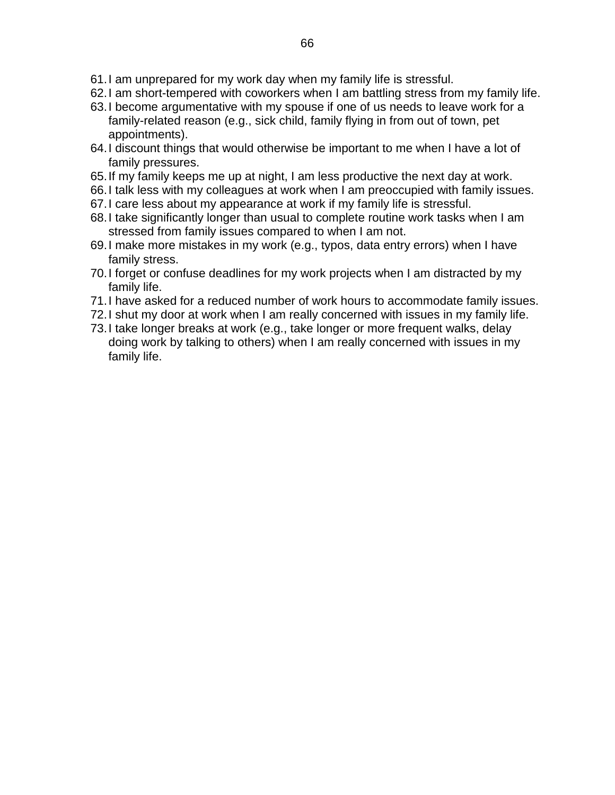- 61.I am unprepared for my work day when my family life is stressful.
- 62.I am short-tempered with coworkers when I am battling stress from my family life.
- 63.I become argumentative with my spouse if one of us needs to leave work for a family-related reason (e.g., sick child, family flying in from out of town, pet appointments).
- 64.I discount things that would otherwise be important to me when I have a lot of family pressures.
- 65.If my family keeps me up at night, I am less productive the next day at work.
- 66.I talk less with my colleagues at work when I am preoccupied with family issues.
- 67.I care less about my appearance at work if my family life is stressful.
- 68.I take significantly longer than usual to complete routine work tasks when I am stressed from family issues compared to when I am not.
- 69.I make more mistakes in my work (e.g., typos, data entry errors) when I have family stress.
- 70.I forget or confuse deadlines for my work projects when I am distracted by my family life.
- 71.I have asked for a reduced number of work hours to accommodate family issues.
- 72.I shut my door at work when I am really concerned with issues in my family life.
- 73.I take longer breaks at work (e.g., take longer or more frequent walks, delay doing work by talking to others) when I am really concerned with issues in my family life.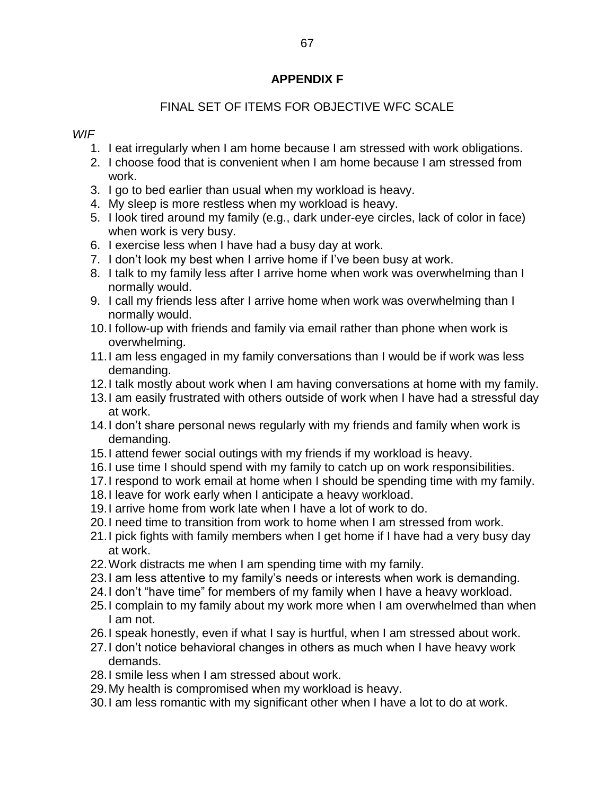#### **APPENDIX F**

# FINAL SET OF ITEMS FOR OBJECTIVE WFC SCALE

#### *WIF*

- 1. I eat irregularly when I am home because I am stressed with work obligations.
- 2. I choose food that is convenient when I am home because I am stressed from work.
- 3. I go to bed earlier than usual when my workload is heavy.
- 4. My sleep is more restless when my workload is heavy.
- 5. I look tired around my family (e.g., dark under-eye circles, lack of color in face) when work is very busy.
- 6. I exercise less when I have had a busy day at work.
- 7. I don't look my best when I arrive home if I've been busy at work.
- 8. I talk to my family less after I arrive home when work was overwhelming than I normally would.
- 9. I call my friends less after I arrive home when work was overwhelming than I normally would.
- 10.I follow-up with friends and family via email rather than phone when work is overwhelming.
- 11.I am less engaged in my family conversations than I would be if work was less demanding.
- 12.I talk mostly about work when I am having conversations at home with my family.
- 13.I am easily frustrated with others outside of work when I have had a stressful day at work.
- 14.I don't share personal news regularly with my friends and family when work is demanding.
- 15.I attend fewer social outings with my friends if my workload is heavy.
- 16.I use time I should spend with my family to catch up on work responsibilities.
- 17.I respond to work email at home when I should be spending time with my family.
- 18.I leave for work early when I anticipate a heavy workload.
- 19.I arrive home from work late when I have a lot of work to do.
- 20.I need time to transition from work to home when I am stressed from work.
- 21.I pick fights with family members when I get home if I have had a very busy day at work.
- 22.Work distracts me when I am spending time with my family.
- 23.I am less attentive to my family's needs or interests when work is demanding.
- 24.I don't "have time" for members of my family when I have a heavy workload.
- 25.I complain to my family about my work more when I am overwhelmed than when I am not.
- 26.I speak honestly, even if what I say is hurtful, when I am stressed about work.
- 27.I don't notice behavioral changes in others as much when I have heavy work demands.
- 28.I smile less when I am stressed about work.
- 29.My health is compromised when my workload is heavy.
- 30.I am less romantic with my significant other when I have a lot to do at work.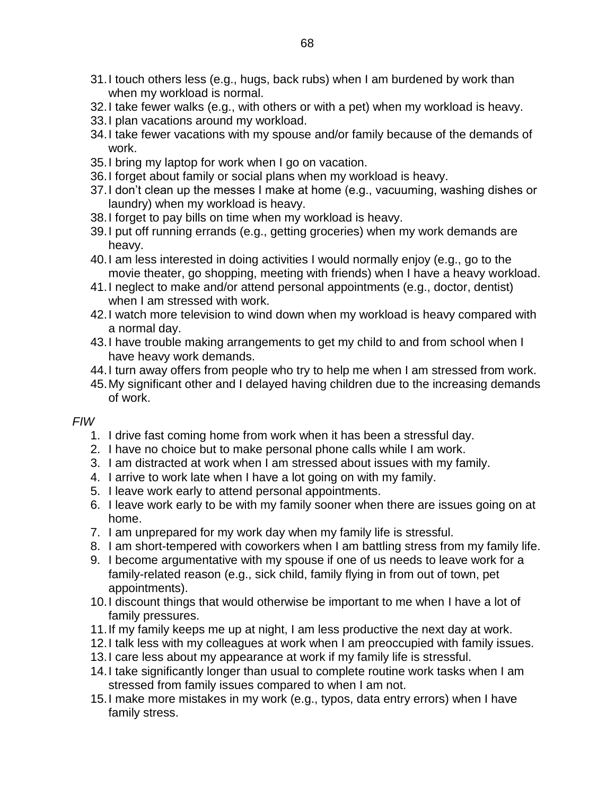- 31.I touch others less (e.g., hugs, back rubs) when I am burdened by work than when my workload is normal.
- 32.I take fewer walks (e.g., with others or with a pet) when my workload is heavy.
- 33.I plan vacations around my workload.
- 34.I take fewer vacations with my spouse and/or family because of the demands of work.
- 35.I bring my laptop for work when I go on vacation.
- 36.I forget about family or social plans when my workload is heavy.
- 37.I don't clean up the messes I make at home (e.g., vacuuming, washing dishes or laundry) when my workload is heavy.
- 38.I forget to pay bills on time when my workload is heavy.
- 39.I put off running errands (e.g., getting groceries) when my work demands are heavy.
- 40.I am less interested in doing activities I would normally enjoy (e.g., go to the movie theater, go shopping, meeting with friends) when I have a heavy workload.
- 41.I neglect to make and/or attend personal appointments (e.g., doctor, dentist) when I am stressed with work.
- 42.I watch more television to wind down when my workload is heavy compared with a normal day.
- 43.I have trouble making arrangements to get my child to and from school when I have heavy work demands.
- 44.I turn away offers from people who try to help me when I am stressed from work.
- 45.My significant other and I delayed having children due to the increasing demands of work.

#### *FIW*

- 1. I drive fast coming home from work when it has been a stressful day.
- 2. I have no choice but to make personal phone calls while I am work.
- 3. I am distracted at work when I am stressed about issues with my family.
- 4. I arrive to work late when I have a lot going on with my family.
- 5. I leave work early to attend personal appointments.
- 6. I leave work early to be with my family sooner when there are issues going on at home.
- 7. I am unprepared for my work day when my family life is stressful.
- 8. I am short-tempered with coworkers when I am battling stress from my family life.
- 9. I become argumentative with my spouse if one of us needs to leave work for a family-related reason (e.g., sick child, family flying in from out of town, pet appointments).
- 10.I discount things that would otherwise be important to me when I have a lot of family pressures.
- 11.If my family keeps me up at night, I am less productive the next day at work.
- 12.I talk less with my colleagues at work when I am preoccupied with family issues.
- 13.I care less about my appearance at work if my family life is stressful.
- 14.I take significantly longer than usual to complete routine work tasks when I am stressed from family issues compared to when I am not.
- 15.I make more mistakes in my work (e.g., typos, data entry errors) when I have family stress.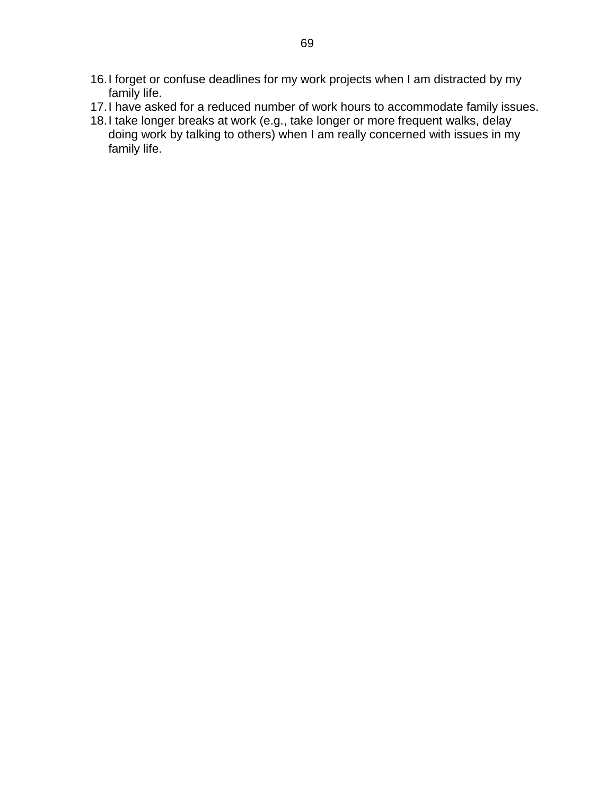- 16.I forget or confuse deadlines for my work projects when I am distracted by my family life.
- 17.I have asked for a reduced number of work hours to accommodate family issues.
- 18.I take longer breaks at work (e.g., take longer or more frequent walks, delay doing work by talking to others) when I am really concerned with issues in my family life.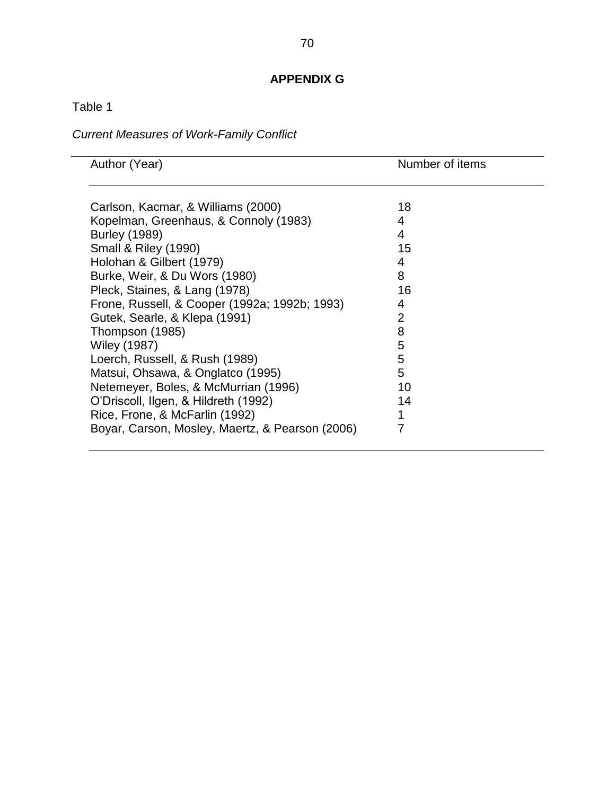# **APPENDIX G**

Table 1

٠

# *Current Measures of Work-Family Conflict*

| Author (Year)                                   | Number of items |
|-------------------------------------------------|-----------------|
|                                                 |                 |
|                                                 |                 |
| Carlson, Kacmar, & Williams (2000)              | 18              |
| Kopelman, Greenhaus, & Connoly (1983)           | 4               |
| <b>Burley (1989)</b>                            | 4               |
| <b>Small &amp; Riley (1990)</b>                 | 15              |
| Holohan & Gilbert (1979)                        | 4               |
| Burke, Weir, & Du Wors (1980)                   | 8               |
| Pleck, Staines, & Lang (1978)                   | 16              |
| Frone, Russell, & Cooper (1992a; 1992b; 1993)   | 4               |
| Gutek, Searle, & Klepa (1991)                   | 2               |
| Thompson (1985)                                 | 8               |
| <b>Wiley (1987)</b>                             | 5               |
| Loerch, Russell, & Rush (1989)                  | 5               |
| Matsui, Ohsawa, & Onglatco (1995)               | 5               |
| Netemeyer, Boles, & McMurrian (1996)            | 10              |
| O'Driscoll, Ilgen, & Hildreth (1992)            | 14              |
| Rice, Frone, & McFarlin (1992)                  |                 |
| Boyar, Carson, Mosley, Maertz, & Pearson (2006) | 7               |
|                                                 |                 |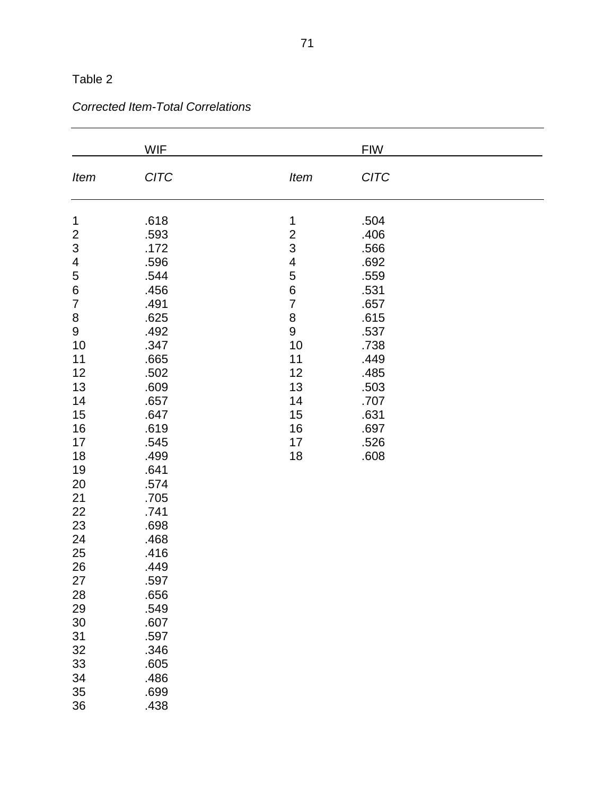|                           | <b>WIF</b>  |                          | <b>FIW</b>  |  |
|---------------------------|-------------|--------------------------|-------------|--|
| Item                      | <b>CITC</b> | Item                     | <b>CITC</b> |  |
| 1                         | .618        | $\mathbf 1$              | .504        |  |
| $\overline{c}$            | .593        | $\overline{c}$           | .406        |  |
| $\ensuremath{\mathsf{3}}$ | .172        | 3                        | .566        |  |
| 4                         | .596        | $\overline{\mathcal{A}}$ | .692        |  |
| 5                         | .544        | 5                        | .559        |  |
| $\overline{6}$            | .456        | $\overline{6}$           | .531        |  |
| $\overline{7}$            | .491        | $\overline{7}$           | .657        |  |
| $\bf 8$                   | .625        | 8                        | .615        |  |
| 9                         | .492        | $\boldsymbol{9}$         | .537        |  |
| 10                        | .347        | 10                       | .738        |  |
| 11                        | .665        | 11                       | .449        |  |
| 12                        | .502        | 12                       | .485        |  |
| 13                        | .609        | 13                       | .503        |  |
| 14                        | .657        | 14                       | .707        |  |
| 15                        | .647        | 15                       | .631        |  |
| 16                        | .619        | 16                       | .697        |  |
| 17                        | .545        | 17                       | .526        |  |
| 18                        | .499        | 18                       | .608        |  |
| 19                        | .641        |                          |             |  |
| 20                        | .574        |                          |             |  |
| 21                        | .705        |                          |             |  |
| 22                        | .741        |                          |             |  |
| 23                        | .698        |                          |             |  |
| 24                        | .468        |                          |             |  |
| 25                        | .416        |                          |             |  |
| 26                        | .449        |                          |             |  |
| 27                        | .597        |                          |             |  |
| 28                        | .656        |                          |             |  |
| 29                        | .549        |                          |             |  |
| 30                        | .607        |                          |             |  |
| 31                        | .597        |                          |             |  |
| 32                        | .346        |                          |             |  |
| 33                        | .605        |                          |             |  |
| 34                        | .486        |                          |             |  |
| $35\,$                    | .699        |                          |             |  |
| 36                        | .438        |                          |             |  |

# *Corrected Item-Total Correlations*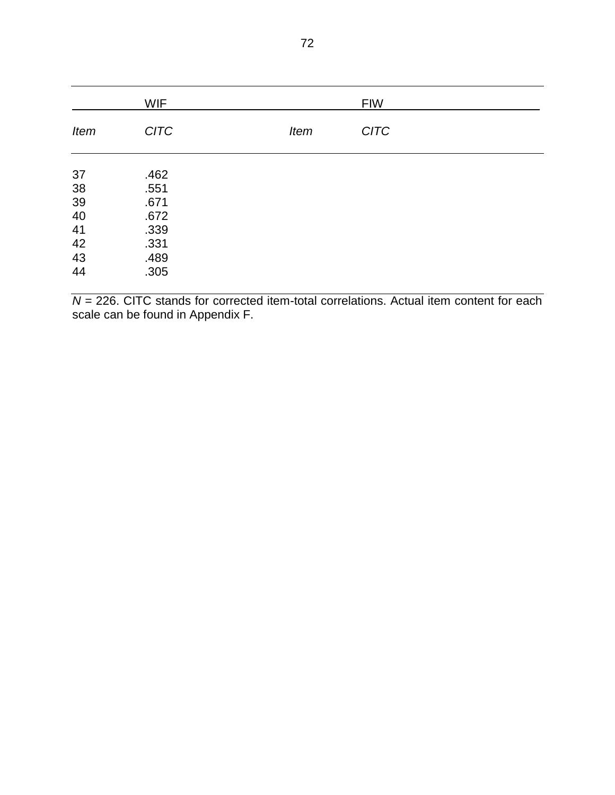|             | <b>WIF</b>  |             | <b>FIW</b>  |  |
|-------------|-------------|-------------|-------------|--|
| <b>Item</b> | <b>CITC</b> | <b>Item</b> | <b>CITC</b> |  |
| 37          | .462        |             |             |  |
| 38          | .551        |             |             |  |
| 39          | .671        |             |             |  |
| 40          | .672        |             |             |  |
| 41          | .339        |             |             |  |
| 42          | .331        |             |             |  |
| 43          | .489        |             |             |  |
| 44          | .305        |             |             |  |

 $N = 226$ . CITC stands for corrected item-total correlations. Actual item content for each scale can be found in Appendix F.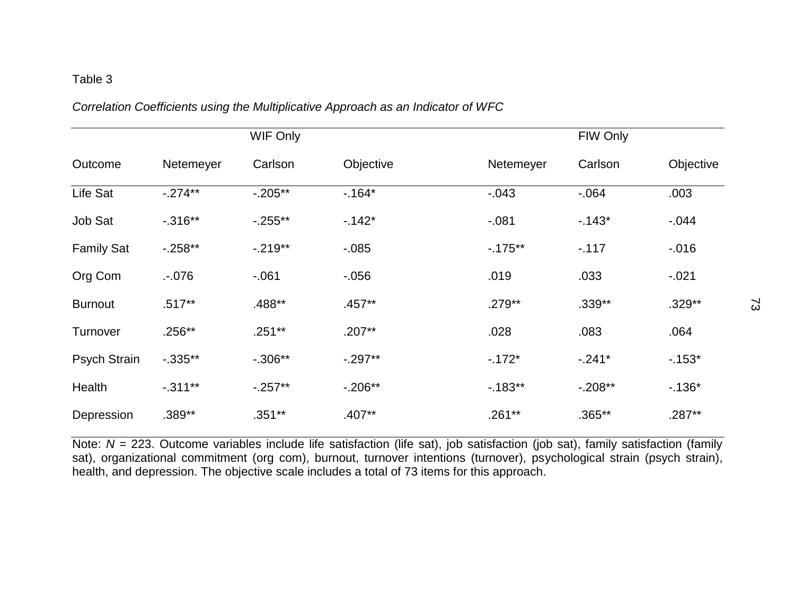#### *Correlation Coefficients using the Multiplicative Approach as an Indicator of WFC*

|                     |            | WIF Only   |            |            | FIW Only  |           |
|---------------------|------------|------------|------------|------------|-----------|-----------|
| Outcome             | Netemeyer  | Carlson    | Objective  | Netemeyer  | Carlson   | Objective |
| Life Sat            | $-.274**$  | $-.205**$  | $-164*$    | $-0.043$   | $-064$    | .003      |
| Job Sat             | $-0.316**$ | $-0.255**$ | $-142*$    | $-081$     | $-143*$   | $-0.044$  |
| <b>Family Sat</b>   | $-0.258**$ | $-.219**$  | $-0.085$   | $-0.175**$ | $-117$    | $-0.016$  |
| Org Com             | .076       | $-061$     | $-0.056$   | .019       | .033      | $-0.021$  |
| <b>Burnout</b>      | $.517**$   | .488**     | .457**     | $.279**$   | $.339**$  | $.329**$  |
| Turnover            | $.256**$   | $.251**$   | $.207**$   | .028       | .083      | .064      |
| <b>Psych Strain</b> | $-0.335**$ | $-.306**$  | $-0.297**$ | $-172*$    | $-.241*$  | $-153*$   |
| Health              | $-.311***$ | $-0.257**$ | $-0.206**$ | $-0.183**$ | $-.208**$ | $-136*$   |
| Depression          | .389**     | $.351**$   | $.407**$   | $.261**$   | $.365**$  | .287**    |

Note: *N* = 223. Outcome variables include life satisfaction (life sat), job satisfaction (job sat), family satisfaction (family sat), organizational commitment (org com), burnout, turnover intentions (turnover), psychological strain (psych strain), health, and depression. The objective scale includes a total of 73 items for this approach.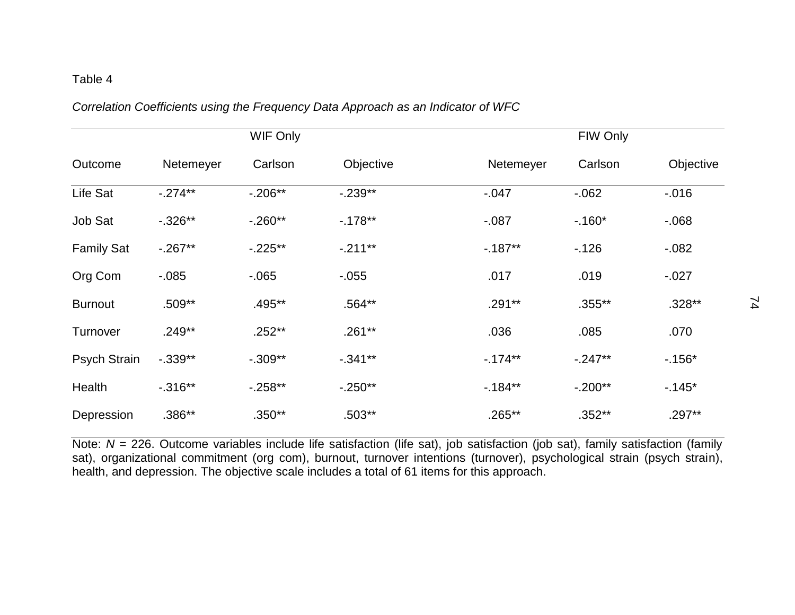# *Correlation Coefficients using the Frequency Data Approach as an Indicator of WFC*

|                     |            | <b>WIF Only</b> |            |           | FIW Only  |           |
|---------------------|------------|-----------------|------------|-----------|-----------|-----------|
| Outcome             | Netemeyer  | Carlson         | Objective  | Netemeyer | Carlson   | Objective |
| Life Sat            | $-.274**$  | $-0.206**$      | $-.239**$  | $-0.047$  | $-062$    | $-0.016$  |
| Job Sat             | $-0.326**$ | $-0.260**$      | $-0.178**$ | $-0.087$  | $-.160*$  | $-068$    |
| <b>Family Sat</b>   | $-0.267**$ | $-.225**$       | $-.211**$  | $-187**$  | $-126$    | $-0.082$  |
| Org Com             | $-0.085$   | $-065$          | $-0.055$   | .017      | .019      | $-0.027$  |
| <b>Burnout</b>      | .509**     | .495**          | .564**     | $.291**$  | $.355***$ | $.328**$  |
| Turnover            | $.249**$   | $.252**$        | $.261**$   | .036      | .085      | .070      |
| <b>Psych Strain</b> | $-.339**$  | $-.309**$       | $-.341**$  | $-174**$  | $-.247**$ | $-156*$   |
| Health              | $-0.316**$ | $-0.258**$      | $-.250**$  | $-184**$  | $-.200**$ | $-145*$   |
| Depression          | $.386**$   | $.350**$        | $.503**$   | $.265***$ | $.352**$  | .297**    |

Note: *N* = 226. Outcome variables include life satisfaction (life sat), job satisfaction (job sat), family satisfaction (family sat), organizational commitment (org com), burnout, turnover intentions (turnover), psychological strain (psych strain), health, and depression. The objective scale includes a total of 61 items for this approach.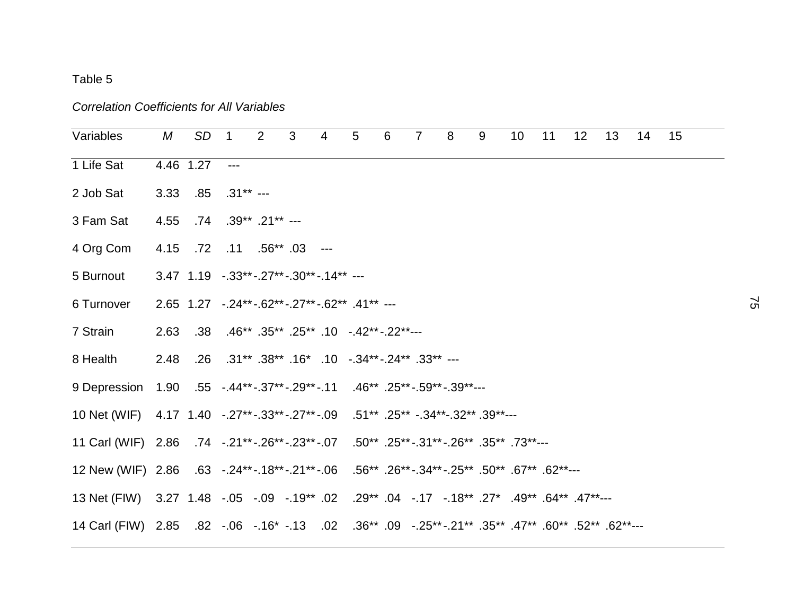#### *Correlation Coefficients for All Variables*

| Variables                                                                                      | М    | SD <sub>1</sub> |                                                                  | $\overline{\mathbf{2}}$ | $\mathbf{3}$ | $\overline{4}$ | $5\phantom{.0}$ | 6 | $\overline{7}$ | 8 | 9 | 10 | 11 | 12 | 13 | 14 | 15 |
|------------------------------------------------------------------------------------------------|------|-----------------|------------------------------------------------------------------|-------------------------|--------------|----------------|-----------------|---|----------------|---|---|----|----|----|----|----|----|
| 1 Life Sat                                                                                     |      | 4.46 1.27       | $  -$                                                            |                         |              |                |                 |   |                |   |   |    |    |    |    |    |    |
| 2 Job Sat                                                                                      | 3.33 |                 | $.85$ $.31***$ ---                                               |                         |              |                |                 |   |                |   |   |    |    |    |    |    |    |
| 3 Fam Sat                                                                                      | 4.55 |                 | $.74$ $.39**$ $.21**$ ---                                        |                         |              |                |                 |   |                |   |   |    |    |    |    |    |    |
| 4 Org Com                                                                                      |      |                 | 4.15 .72 .11 .56** .03 ---                                       |                         |              |                |                 |   |                |   |   |    |    |    |    |    |    |
| 5 Burnout                                                                                      |      |                 | $3.47$ $1.19$ $-0.33$ ** $-0.27$ ** $-0.30$ ** $-0.14$ ** $-0.5$ |                         |              |                |                 |   |                |   |   |    |    |    |    |    |    |
| 6 Turnover                                                                                     |      |                 | $2.65$ 1.27 $-.24**-.62**-.27**-.62**$ .41** ---                 |                         |              |                |                 |   |                |   |   |    |    |    |    |    |    |
| 7 Strain                                                                                       | 2.63 |                 | $.38$ $.46**$ $.35**$ $.25**$ $.10$ $.42**$ $.22**$              |                         |              |                |                 |   |                |   |   |    |    |    |    |    |    |
| 8 Health                                                                                       | 2.48 |                 | .26 .31** .38** .16* .10 -.34** -.24** .33** ---                 |                         |              |                |                 |   |                |   |   |    |    |    |    |    |    |
| 9 Depression  1.90  .55  -.44**-.37**-.29**-.11  .46**  .25**-.59**-.39**---                   |      |                 |                                                                  |                         |              |                |                 |   |                |   |   |    |    |    |    |    |    |
| 10 Net (WIF) 4.17 1.40 -.27**-.33**-.27**-.09 .51** .25** -.34**-.32** .39**---                |      |                 |                                                                  |                         |              |                |                 |   |                |   |   |    |    |    |    |    |    |
| 11 Carl (WIF) 2.86 .74 -.21**-.26**-.23**-.07 .50** .25**-.31**-.26** .35** .73**---           |      |                 |                                                                  |                         |              |                |                 |   |                |   |   |    |    |    |    |    |    |
| 12 New (WIF) 2.86 .63 -.24**-.18**-.21**-.06 .56** .26**-.34**-.25** .50** .67** .62**---      |      |                 |                                                                  |                         |              |                |                 |   |                |   |   |    |    |    |    |    |    |
| 13 Net (FIW) 3.27 1.48 -.05 -.09 -.19** .02 .29** .04 -.17 -.18** .27* .49** .47**--           |      |                 |                                                                  |                         |              |                |                 |   |                |   |   |    |    |    |    |    |    |
| 14 Carl (FIW) 2.85 .82 -.06 -.16* -.13 .02 .36** .09 -.25** -.21** .35** .60** .52** .62** --- |      |                 |                                                                  |                         |              |                |                 |   |                |   |   |    |    |    |    |    |    |
|                                                                                                |      |                 |                                                                  |                         |              |                |                 |   |                |   |   |    |    |    |    |    |    |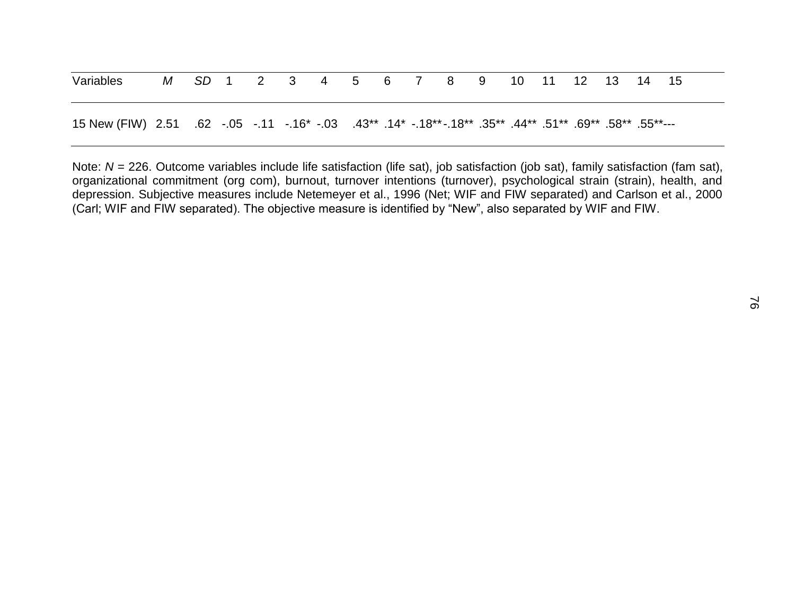| Variables                                                                                                      |  | M SD 1 2 3 4 5 6 7 8 9 |  |  |  | 10 11 12 13 14 15 |  |  |  |
|----------------------------------------------------------------------------------------------------------------|--|------------------------|--|--|--|-------------------|--|--|--|
| 150**55. **58. **69. **51. **44. **35. **18. -*14. **13. 143. 10. -.16 .16. -.11 .50. -.05 .50. 15 .50. 15 .55 |  |                        |  |  |  |                   |  |  |  |

Note: *N* = 226. Outcome variables include life satisfaction (life sat), job satisfaction (job sat), family satisfaction (fam sat), organizational commitment (org com), burnout, turnover intentions (turnover), psychological strain (strain), health, and depression. Subjective measures include Netemeyer et al., 1996 (Net; WIF and FIW separated) and Carlson et al., 2000 (Carl; WIF and FIW separated). The objective measure is identified by "New", also separated by WIF and FIW.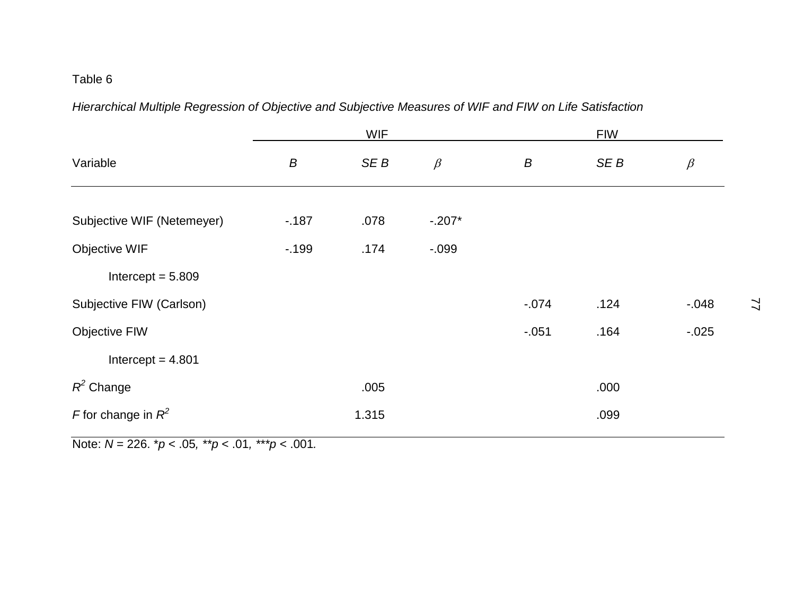*Hierarchical Multiple Regression of Objective and Subjective Measures of WIF and FIW on Life Satisfaction*

|                            |        | <b>WIF</b>      |          |          | <b>FIW</b> |          |
|----------------------------|--------|-----------------|----------|----------|------------|----------|
| Variable                   | B      | SE <sub>B</sub> | $\beta$  | B        | SE B       | $\beta$  |
|                            |        |                 |          |          |            |          |
| Subjective WIF (Netemeyer) | $-187$ | .078            | $-.207*$ |          |            |          |
| Objective WIF              | $-199$ | .174            | $-0.099$ |          |            |          |
| Intercept = $5.809$        |        |                 |          |          |            |          |
| Subjective FIW (Carlson)   |        |                 |          | $-0.074$ | .124       | $-0.048$ |
| <b>Objective FIW</b>       |        |                 |          | $-0.051$ | .164       | $-0.025$ |
| Intercept = $4.801$        |        |                 |          |          |            |          |
| $R^2$ Change               |        | .005            |          |          | .000       |          |
| F for change in $R^2$      |        | 1.315           |          |          | .099       |          |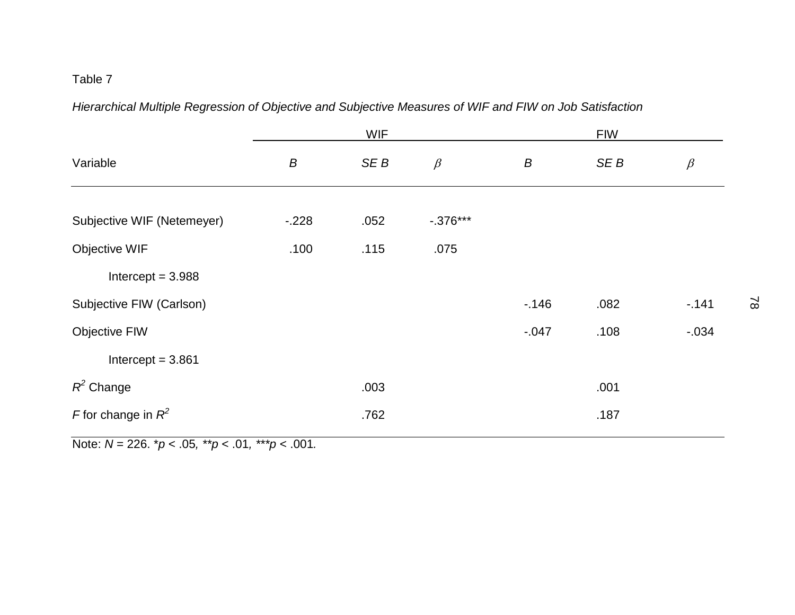*Hierarchical Multiple Regression of Objective and Subjective Measures of WIF and FIW on Job Satisfaction*

|                            |         | <b>WIF</b> |            |          | <b>FIW</b> |          |
|----------------------------|---------|------------|------------|----------|------------|----------|
| Variable                   | B       | SEB        | $\beta$    | B        | SE B       | $\beta$  |
|                            |         |            |            |          |            |          |
| Subjective WIF (Netemeyer) | $-.228$ | .052       | $-.376***$ |          |            |          |
| Objective WIF              | .100    | .115       | .075       |          |            |          |
| Intercept = $3.988$        |         |            |            |          |            |          |
| Subjective FIW (Carlson)   |         |            |            | $-146$   | .082       | $-.141$  |
| <b>Objective FIW</b>       |         |            |            | $-0.047$ | .108       | $-0.034$ |
| Intercept = $3.861$        |         |            |            |          |            |          |
| $R^2$ Change               |         | .003       |            |          | .001       |          |
| F for change in $R^2$      |         | .762       |            |          | .187       |          |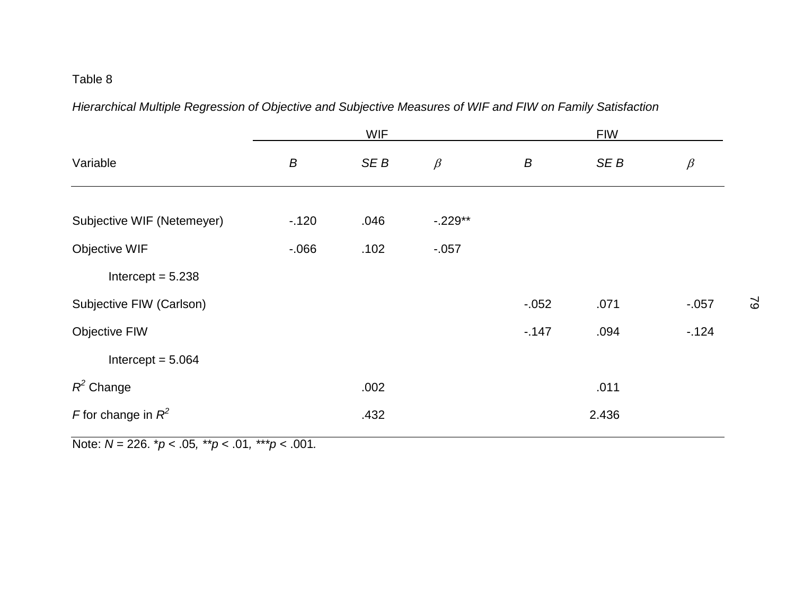*Hierarchical Multiple Regression of Objective and Subjective Measures of WIF and FIW on Family Satisfaction*

|                            |        | <b>WIF</b> |           |          | <b>FIW</b> |          |
|----------------------------|--------|------------|-----------|----------|------------|----------|
| Variable                   | B      | SE B       | $\beta$   | B        | SE B       | $\beta$  |
|                            |        |            |           |          |            |          |
| Subjective WIF (Netemeyer) | $-120$ | .046       | $-.229**$ |          |            |          |
| Objective WIF              | $-066$ | .102       | $-0.057$  |          |            |          |
| Intercept = $5.238$        |        |            |           |          |            |          |
| Subjective FIW (Carlson)   |        |            |           | $-0.052$ | .071       | $-0.057$ |
| <b>Objective FIW</b>       |        |            |           | $-147$   | .094       | $-124$   |
| Intercept = $5.064$        |        |            |           |          |            |          |
| $R^2$ Change               |        | .002       |           |          | .011       |          |
| F for change in $R^2$      |        | .432       |           |          | 2.436      |          |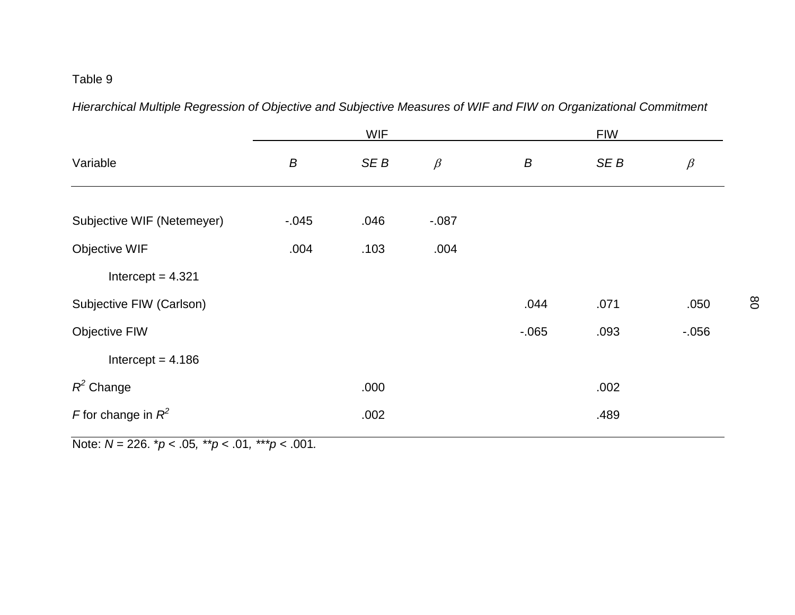*Hierarchical Multiple Regression of Objective and Subjective Measures of WIF and FIW on Organizational Commitment*

|                            |          | <b>WIF</b> |         |        | <b>FIW</b> |          |
|----------------------------|----------|------------|---------|--------|------------|----------|
| Variable                   | B        | SE B       | $\beta$ | B      | SE B       | $\beta$  |
| Subjective WIF (Netemeyer) | $-0.045$ | .046       | $-.087$ |        |            |          |
| Objective WIF              | .004     | .103       | .004    |        |            |          |
| Intercept = $4.321$        |          |            |         |        |            |          |
| Subjective FIW (Carlson)   |          |            |         | .044   | .071       | .050     |
| <b>Objective FIW</b>       |          |            |         | $-065$ | .093       | $-0.056$ |
| Intercept = $4.186$        |          |            |         |        |            |          |
| $R^2$ Change               |          | .000       |         |        | .002       |          |
| F for change in $R^2$      |          | .002       |         |        | .489       |          |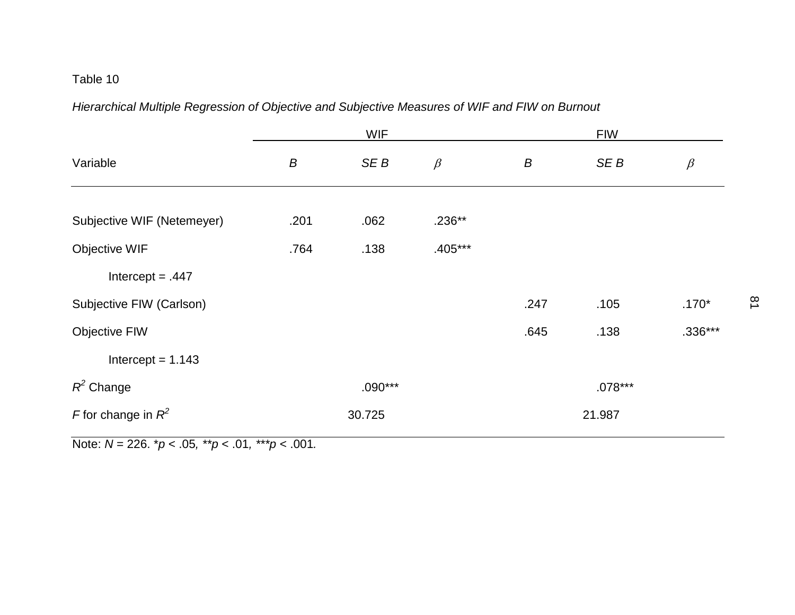*Hierarchical Multiple Regression of Objective and Subjective Measures of WIF and FIW on Burnout*

|                            |      | <b>WIF</b> |           |      | <b>FIW</b> |           |
|----------------------------|------|------------|-----------|------|------------|-----------|
| Variable                   | B    | SE B       | $\beta$   | B    | SE B       | $\beta$   |
|                            |      |            |           |      |            |           |
| Subjective WIF (Netemeyer) | .201 | .062       | $.236**$  |      |            |           |
| Objective WIF              | .764 | .138       | $.405***$ |      |            |           |
| Intercept = $.447$         |      |            |           |      |            |           |
| Subjective FIW (Carlson)   |      |            |           | .247 | .105       | $.170*$   |
| <b>Objective FIW</b>       |      |            |           | .645 | .138       | $.336***$ |
| Intercept = $1.143$        |      |            |           |      |            |           |
| $R^2$ Change               |      | $.090***$  |           |      | $.078***$  |           |
| F for change in $R^2$      |      | 30.725     |           |      | 21.987     |           |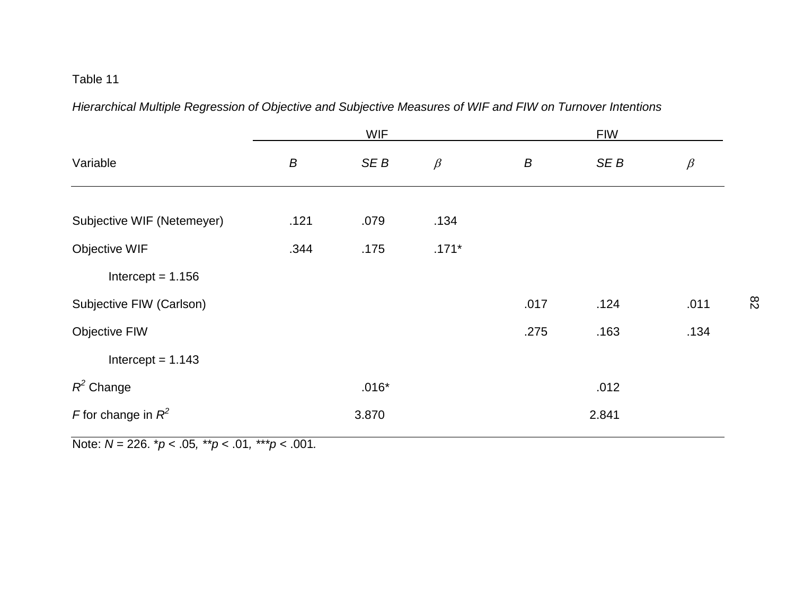*Hierarchical Multiple Regression of Objective and Subjective Measures of WIF and FIW on Turnover Intentions*

|                            |      | <b>WIF</b> |         |      | <b>FIW</b> |         |
|----------------------------|------|------------|---------|------|------------|---------|
| Variable                   | B    | SE B       | $\beta$ | B    | SE B       | $\beta$ |
|                            |      |            |         |      |            |         |
| Subjective WIF (Netemeyer) | .121 | .079       | .134    |      |            |         |
| Objective WIF              | .344 | .175       | $.171*$ |      |            |         |
| Intercept = $1.156$        |      |            |         |      |            |         |
| Subjective FIW (Carlson)   |      |            |         | .017 | .124       | .011    |
| <b>Objective FIW</b>       |      |            |         | .275 | .163       | .134    |
| Intercept = $1.143$        |      |            |         |      |            |         |
| $R^2$ Change               |      | $.016*$    |         |      | .012       |         |
| F for change in $R^2$      |      | 3.870      |         |      | 2.841      |         |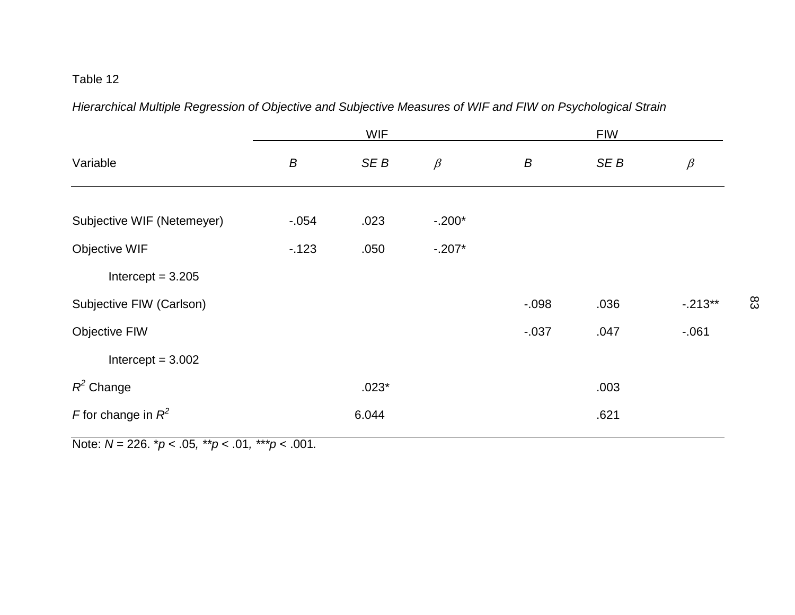*Hierarchical Multiple Regression of Objective and Subjective Measures of WIF and FIW on Psychological Strain*

|                            | <b>WIF</b> |         |          |          | <b>FIW</b> |            |  |
|----------------------------|------------|---------|----------|----------|------------|------------|--|
| Variable                   | B          | SE B    | $\beta$  | B        | SE B       | $\beta$    |  |
|                            |            |         |          |          |            |            |  |
| Subjective WIF (Netemeyer) | $-0.054$   | .023    | $-.200*$ |          |            |            |  |
| Objective WIF              | $-123$     | .050    | $-.207*$ |          |            |            |  |
| Intercept = $3.205$        |            |         |          |          |            |            |  |
| Subjective FIW (Carlson)   |            |         |          | $-0.98$  | .036       | $-0.213**$ |  |
| <b>Objective FIW</b>       |            |         |          | $-0.037$ | .047       | $-061$     |  |
| Intercept = $3.002$        |            |         |          |          |            |            |  |
| $R^2$ Change               |            | $.023*$ |          |          | .003       |            |  |
| F for change in $R^2$      |            | 6.044   |          |          | .621       |            |  |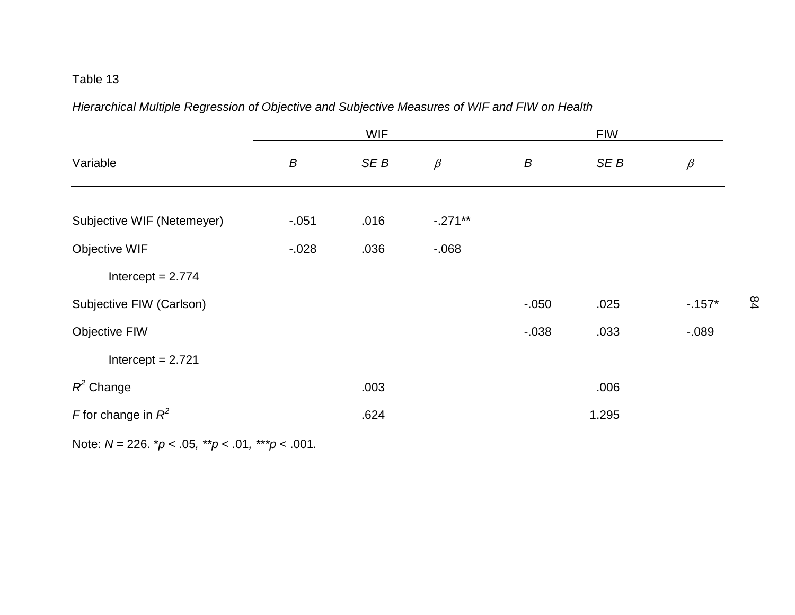*Hierarchical Multiple Regression of Objective and Subjective Measures of WIF and FIW on Health*

|                            |          | <b>WIF</b>      |           |          | <b>FIW</b> |          |
|----------------------------|----------|-----------------|-----------|----------|------------|----------|
| Variable                   | B        | SE <sub>B</sub> | $\beta$   | B        | SE B       | $\beta$  |
|                            |          |                 |           |          |            |          |
| Subjective WIF (Netemeyer) | $-.051$  | .016            | $-.271**$ |          |            |          |
| Objective WIF              | $-0.028$ | .036            | $-068$    |          |            |          |
| Intercept = $2.774$        |          |                 |           |          |            |          |
| Subjective FIW (Carlson)   |          |                 |           | $-0.050$ | .025       | $-157*$  |
| <b>Objective FIW</b>       |          |                 |           | $-0.038$ | .033       | $-0.089$ |
| Intercept = $2.721$        |          |                 |           |          |            |          |
| $R^2$ Change               |          | .003            |           |          | .006       |          |
| F for change in $R^2$      |          | .624            |           |          | 1.295      |          |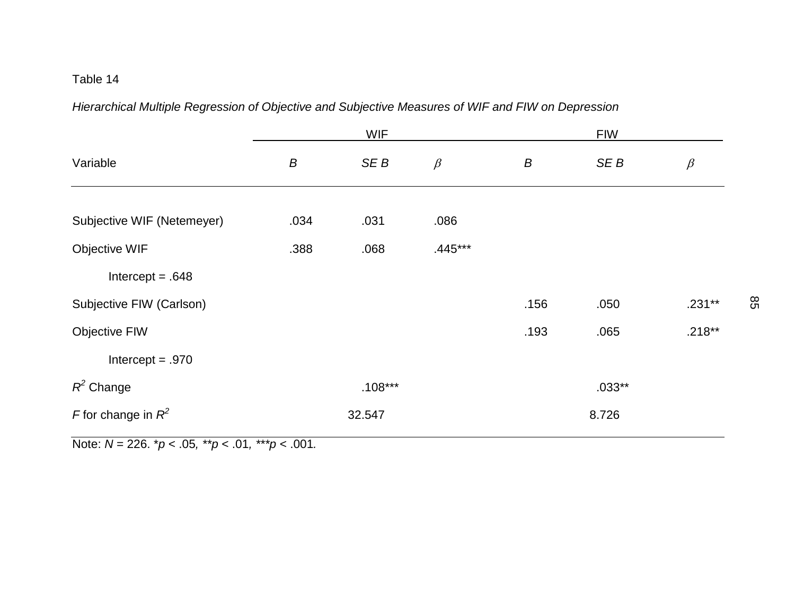*Hierarchical Multiple Regression of Objective and Subjective Measures of WIF and FIW on Depression*

|                            | <b>WIF</b> |           |           |      | <b>FIW</b> |          |  |
|----------------------------|------------|-----------|-----------|------|------------|----------|--|
| Variable                   | B          | SE B      | $\beta$   | B    | SE B       | $\beta$  |  |
|                            |            |           |           |      |            |          |  |
| Subjective WIF (Netemeyer) | .034       | .031      | .086      |      |            |          |  |
| Objective WIF              | .388       | .068      | $.445***$ |      |            |          |  |
| Intercept = $.648$         |            |           |           |      |            |          |  |
| Subjective FIW (Carlson)   |            |           |           | .156 | .050       | $.231**$ |  |
| <b>Objective FIW</b>       |            |           |           | .193 | .065       | $.218**$ |  |
| Intercept $= .970$         |            |           |           |      |            |          |  |
| $R^2$ Change               |            | $.108***$ |           |      | $.033**$   |          |  |
| F for change in $R^2$      |            | 32.547    |           |      | 8.726      |          |  |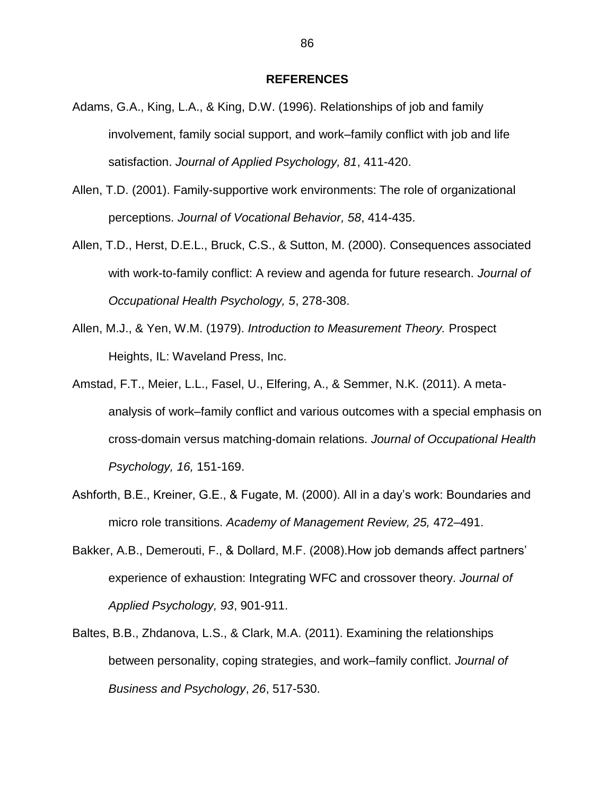#### **REFERENCES**

- Adams, G.A., King, L.A., & King, D.W. (1996). Relationships of job and family involvement, family social support, and work–family conflict with job and life satisfaction. *Journal of Applied Psychology, 81*, 411-420.
- Allen, T.D. (2001). Family-supportive work environments: The role of organizational perceptions. *[Journal of Vocational Behavior,](http://www.sciencedirect.com/science/journal/00018791) 58*, 414-435.
- Allen, T.D., Herst, D.E.L., Bruck, C.S., & Sutton, M. (2000). Consequences associated with work-to-family conflict: A review and agenda for future research. *Journal of Occupational Health Psychology, 5*, 278-308.
- Allen, M.J., & Yen, W.M. (1979). *Introduction to Measurement Theory.* Prospect Heights, IL: Waveland Press, Inc.
- Amstad, F.T., Meier, L.L., Fasel, U., Elfering, A., & Semmer, N.K. (2011). A metaanalysis of work–family conflict and various outcomes with a special emphasis on cross-domain versus matching-domain relations. *Journal of Occupational Health Psychology, 16,* 151-169.
- Ashforth, B.E., Kreiner, G.E., & Fugate, M. (2000). All in a day's work: Boundaries and micro role transitions. *Academy of Management Review, 25,* 472–491.
- Bakker, A.B., Demerouti, F., & Dollard, M.F. (2008).How job demands affect partners' experience of exhaustion: Integrating WFC and crossover theory. *Journal of Applied Psychology, 93*, 901-911.
- Baltes, B.B., Zhdanova, L.S., & Clark, M.A. (2011). Examining the relationships between personality, coping strategies, and work–family conflict. *Journal of Business and Psychology*, *26*, 517-530.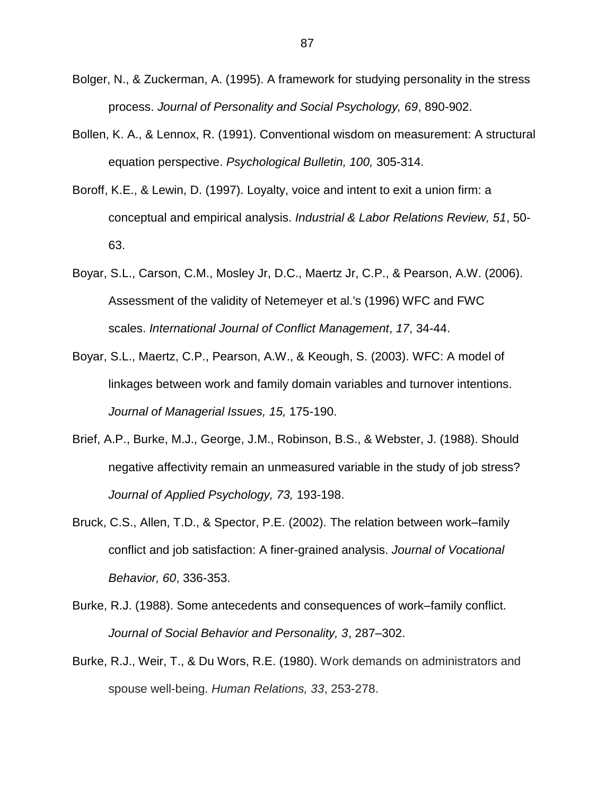- Bolger, N., & Zuckerman, A. (1995). A framework for studying personality in the stress process. *Journal of Personality and Social Psychology, 69*, 890-902.
- Bollen, K. A., & Lennox, R. (1991). Conventional wisdom on measurement: A structural equation perspective. *Psychological Bulletin, 100,* 305-314.
- Boroff, K.E., & Lewin, D. (1997). Loyalty, voice and intent to exit a union firm: a conceptual and empirical analysis. *Industrial & Labor Relations Review, 51*, 50- 63.
- Boyar, S.L., Carson, C.M., Mosley Jr, D.C., Maertz Jr, C.P., & Pearson, A.W. (2006). Assessment of the validity of Netemeyer et al.'s (1996) WFC and FWC scales. *International Journal of Conflict Management*, *17*, 34-44.
- Boyar, S.L., Maertz, C.P., Pearson, A.W., & Keough, S. (2003). WFC: A model of linkages between work and family domain variables and turnover intentions. *Journal of Managerial Issues, 15,* 175-190.
- Brief, A.P., Burke, M.J., George, J.M., Robinson, B.S., & Webster, J. (1988). Should negative affectivity remain an unmeasured variable in the study of job stress? *Journal of Applied Psychology, 73,* 193-198.
- Bruck, C.S., Allen, T.D., & Spector, P.E. (2002). The relation between work–family conflict and job satisfaction: A finer-grained analysis. *Journal of Vocational Behavior, 60*, 336-353.
- Burke, R.J. (1988). Some antecedents and consequences of work–family conflict. *Journal of Social Behavior and Personality, 3*, 287–302.
- Burke, R.J., Weir, T., & Du Wors, R.E. (1980). Work demands on administrators and spouse well-being. *Human Relations, 33*, 253-278.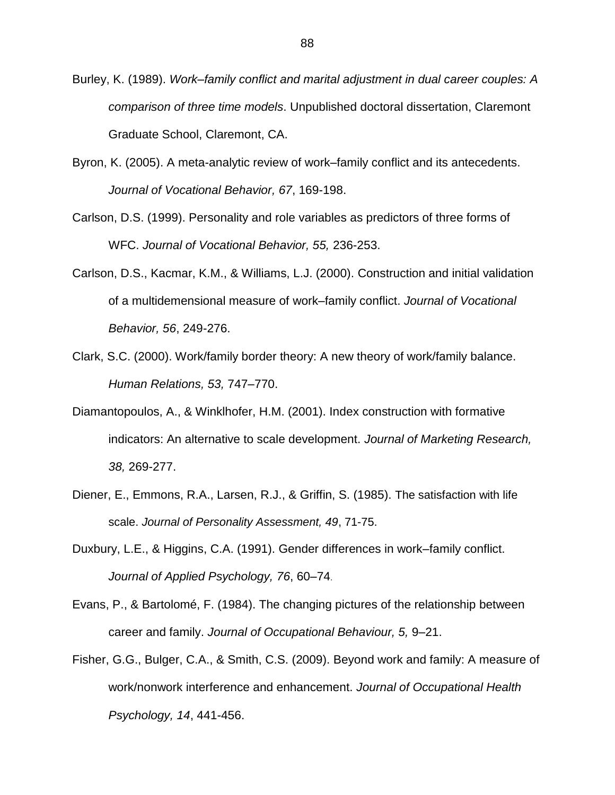- Burley, K. (1989). *Work–family conflict and marital adjustment in dual career couples: A comparison of three time models*. Unpublished doctoral dissertation, Claremont Graduate School, Claremont, CA.
- Byron, K. (2005). A meta-analytic review of work–family conflict and its antecedents. *[Journal of Vocational Behavior,](http://www.sciencedirect.com/science/journal/00018791) 67*, 169-198.
- Carlson, D.S. (1999). Personality and role variables as predictors of three forms of WFC. *Journal of Vocational Behavior, 55,* 236-253.
- Carlson, D.S., Kacmar, K.M., & Williams, L.J. (2000). Construction and initial validation of a multidemensional measure of work–family conflict. *Journal of Vocational Behavior, 56*, 249-276.
- Clark, S.C. (2000). Work/family border theory: A new theory of work/family balance. *Human Relations, 53,* 747–770.
- Diamantopoulos, A., & Winklhofer, H.M. (2001). Index construction with formative indicators: An alternative to scale development. *Journal of Marketing Research, 38,* 269-277.
- Diener, E., Emmons, R.A., Larsen, R.J., & Griffin, S. (1985). The satisfaction with life scale. *Journal of Personality Assessment, 49*, 71-75.
- Duxbury, L.E., & Higgins, C.A. (1991). Gender differences in work–family conflict. *Journal of Applied Psychology, 76*, 60–74.
- Evans, P., & Bartolomé, F. (1984). The changing pictures of the relationship between career and family. *Journal of Occupational Behaviour, 5,* 9–21.
- Fisher, G.G., Bulger, C.A., & Smith, C.S. (2009). Beyond work and family: A measure of work/nonwork interference and enhancement. *Journal of Occupational Health Psychology, 14*, 441-456.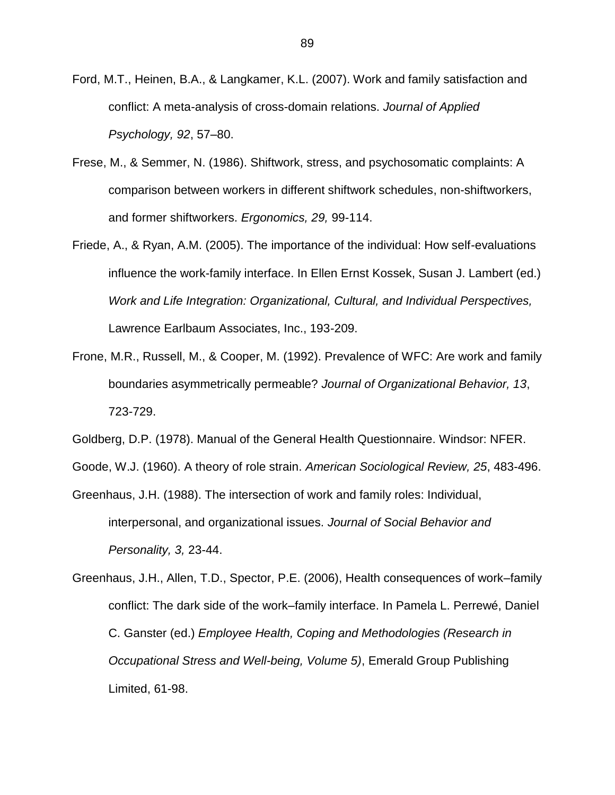- Ford, M.T., Heinen, B.A., & Langkamer, K.L. (2007). Work and family satisfaction and conflict: A meta-analysis of cross-domain relations. *Journal of Applied Psychology, 92*, 57–80.
- Frese, M., & Semmer, N. (1986). Shiftwork, stress, and psychosomatic complaints: A comparison between workers in different shiftwork schedules, non-shiftworkers, and former shiftworkers. *Ergonomics, 29,* 99-114.
- Friede, A., & Ryan, A.M. (2005). The importance of the individual: How self-evaluations influence the work-family interface. In Ellen Ernst Kossek, Susan J. Lambert (ed.) *Work and Life Integration: Organizational, Cultural, and Individual Perspectives,*  Lawrence Earlbaum Associates, Inc., 193-209.
- Frone, M.R., Russell, M., & Cooper, M. (1992). Prevalence of WFC: Are work and family boundaries asymmetrically permeable? *Journal of Organizational Behavior, 13*, 723-729.
- Goldberg, D.P. (1978). Manual of the General Health Questionnaire. Windsor: NFER.
- Goode, W.J. (1960). A theory of role strain. *American Sociological Review, 25*, 483-496.
- Greenhaus, J.H. (1988). The intersection of work and family roles: Individual, interpersonal, and organizational issues. *Journal of Social Behavior and Personality, 3,* 23-44.
- Greenhaus, J.H., Allen, T.D., Spector, P.E. (2006), Health consequences of work–family conflict: The dark side of the work–family interface. In Pamela L. Perrewé, Daniel C. Ganster (ed.) *Employee Health, Coping and Methodologies (Research in Occupational Stress and Well-being, Volume 5)*, Emerald Group Publishing Limited, 61-98.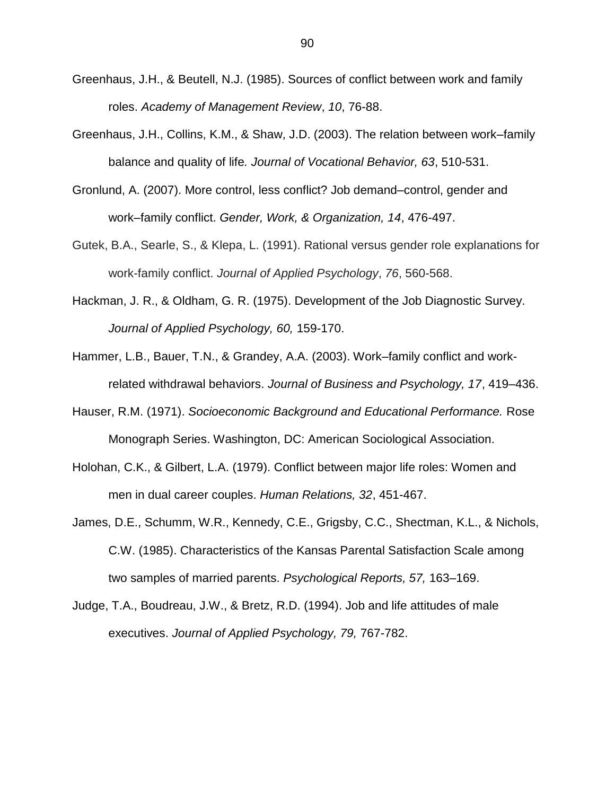- Greenhaus, J.H., & Beutell, N.J. (1985). Sources of conflict between work and family roles. *Academy of Management Review*, *10*, 76-88.
- Greenhaus, J.H., Collins, K.M., & Shaw, J.D. (2003). The relation between work–family balance and quality of life*. Journal of Vocational Behavior, 63*, 510-531.
- Gronlund, A. (2007). More control, less conflict? Job demand–control, gender and work–family conflict. *Gender, Work, & Organization, 14*, 476-497.
- Gutek, B.A., Searle, S., & Klepa, L. (1991). Rational versus gender role explanations for work-family conflict. *Journal of Applied Psychology*, *76*, 560-568.
- Hackman, J. R., & Oldham, G. R. (1975). Development of the Job Diagnostic Survey. *Journal of Applied Psychology, 60,* 159-170.
- Hammer, L.B., Bauer, T.N., & Grandey, A.A. (2003). Work–family conflict and workrelated withdrawal behaviors. *Journal of Business and Psychology, 17*, 419–436.
- Hauser, R.M. (1971). *Socioeconomic Background and Educational Performance.* Rose Monograph Series. Washington, DC: American Sociological Association.
- Holohan, C.K., & Gilbert, L.A. (1979). Conflict between major life roles: Women and men in dual career couples. *Human Relations, 32*, 451-467.
- James, D.E., Schumm, W.R., Kennedy, C.E., Grigsby, C.C., Shectman, K.L., & Nichols, C.W. (1985). Characteristics of the Kansas Parental Satisfaction Scale among two samples of married parents. *Psychological Reports, 57,* 163–169.
- Judge, T.A., Boudreau, J.W., & Bretz, R.D. (1994). Job and life attitudes of male executives. *Journal of Applied Psychology, 79,* 767-782.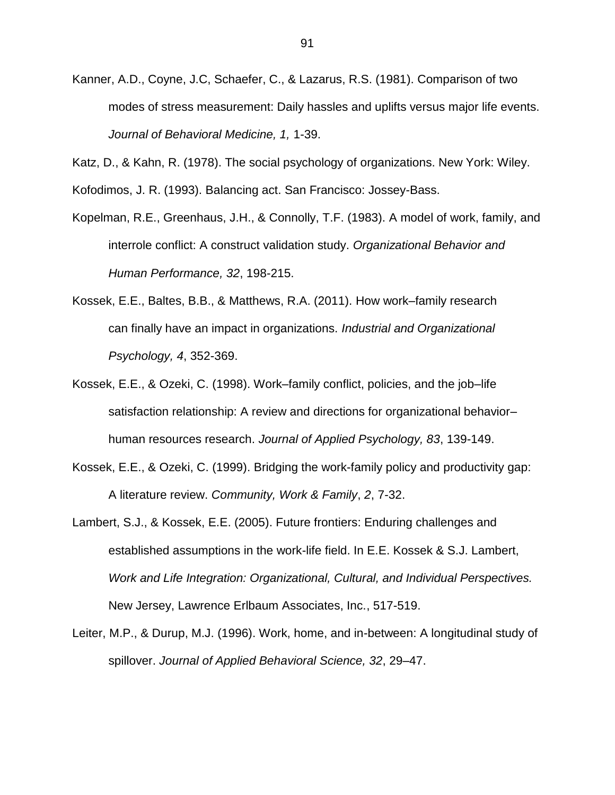Kanner, A.D., Coyne, J.C, Schaefer, C., & Lazarus, R.S. (1981). Comparison of two modes of stress measurement: Daily hassles and uplifts versus major life events. *Journal of Behavioral Medicine, 1,* 1-39.

Katz, D., & Kahn, R. (1978). The social psychology of organizations. New York: Wiley.

Kofodimos, J. R. (1993). Balancing act. San Francisco: Jossey-Bass.

- Kopelman, R.E., Greenhaus, J.H., & Connolly, T.F. (1983). A model of work, family, and interrole conflict: A construct validation study. *[Organizational Behavior and](http://www.sciencedirect.com/science/journal/00305073)  [Human Performance,](http://www.sciencedirect.com/science/journal/00305073) 32*, 198-215.
- Kossek, E.E., Baltes, B.B., & Matthews, R.A. (2011). How work–family research can finally have an impact in organizations. *Industrial and Organizational Psychology, 4*, 352-369.
- Kossek, E.E., & Ozeki, C. (1998). Work–family conflict, policies, and the job–life satisfaction relationship: A review and directions for organizational behavior– human resources research. *Journal of Applied Psychology, 83*, 139-149.
- Kossek, E.E., & Ozeki, C. (1999). Bridging the work-family policy and productivity gap: A literature review. *Community, Work & Family*, *2*, 7-32.
- Lambert, S.J., & Kossek, E.E. (2005). Future frontiers: Enduring challenges and established assumptions in the work-life field. In E.E. Kossek & S.J. Lambert, *Work and Life Integration: Organizational, Cultural, and Individual Perspectives.* New Jersey, Lawrence Erlbaum Associates, Inc., 517-519.
- Leiter, M.P., & Durup, M.J. (1996). Work, home, and in-between: A longitudinal study of spillover. *Journal of Applied Behavioral Science, 32*, 29–47.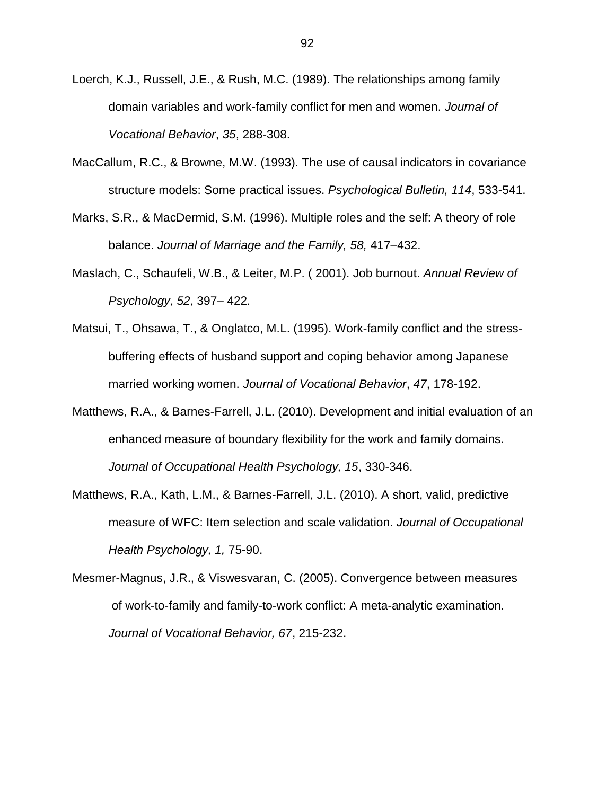- Loerch, K.J., Russell, J.E., & Rush, M.C. (1989). The relationships among family domain variables and work-family conflict for men and women. *Journal of Vocational Behavior*, *35*, 288-308.
- MacCallum, R.C., & Browne, M.W. (1993). The use of causal indicators in covariance structure models: Some practical issues. *Psychological Bulletin, 114*, 533-541.
- Marks, S.R., & MacDermid, S.M. (1996). Multiple roles and the self: A theory of role balance. *Journal of Marriage and the Family, 58,* 417–432.
- Maslach, C., Schaufeli, W.B., & Leiter, M.P. ( 2001). Job burnout. *Annual Review of Psychology*, *52*, 397– 422.
- Matsui, T., Ohsawa, T., & Onglatco, M.L. (1995). Work-family conflict and the stressbuffering effects of husband support and coping behavior among Japanese married working women. *Journal of Vocational Behavior*, *47*, 178-192.
- Matthews, R.A., & Barnes-Farrell, J.L. (2010). Development and initial evaluation of an enhanced measure of boundary flexibility for the work and family domains. *Journal of Occupational Health Psychology, 15*, 330-346.
- [Matthews, R.A.](http://www.ncbi.nlm.nih.gov/pubmed?term=%22Matthews%20RA%22%5BAuthor%5D), [Kath, L.M.](http://www.ncbi.nlm.nih.gov/pubmed?term=%22Kath%20LM%22%5BAuthor%5D), & [Barnes-Farrell, J.L.](http://www.ncbi.nlm.nih.gov/pubmed?term=%22Barnes-Farrell%20JL%22%5BAuthor%5D) (2010). A short, valid, predictive measure of WFC: Item selection and scale validation. *Journal of Occupational Health Psychology, 1,* 75-90.
- Mesmer-Magnus, J.R., & Viswesvaran, C. (2005). Convergence between measures of work-to-family and family-to-work conflict: A meta-analytic examination. *Journal of Vocational Behavior, 67*, 215-232.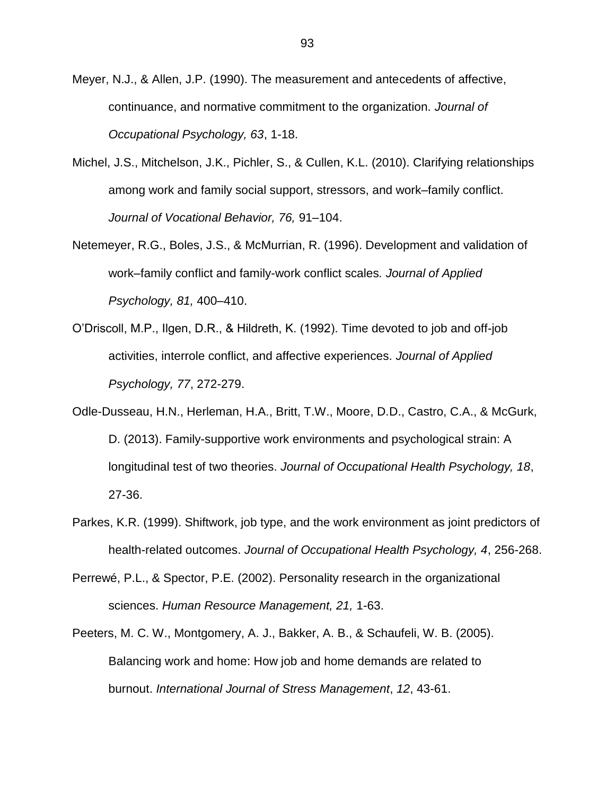Meyer, N.J., & Allen, J.P. (1990). The measurement and antecedents of affective, continuance, and normative commitment to the organization. *Journal of Occupational Psychology, 63*, 1-18.

- Michel, J.S., Mitchelson, J.K., Pichler, S., & Cullen, K.L. (2010). Clarifying relationships among work and family social support, stressors, and work–family conflict. *Journal of Vocational Behavior, 76,* 91–104.
- Netemeyer, R.G., Boles, J.S., & McMurrian, R. (1996). Development and validation of work–family conflict and family-work conflict scales*. Journal of Applied Psychology, 81,* 400–410.
- O'Driscoll, M.P., Ilgen, D.R., & Hildreth, K. (1992). Time devoted to job and off-job activities, interrole conflict, and affective experiences. *Journal of Applied Psychology, 77*, 272-279.
- Odle-Dusseau, H.N., Herleman, H.A., Britt, T.W., Moore, D.D., Castro, C.A., & McGurk, D. (2013). Family-supportive work environments and psychological strain: A longitudinal test of two theories. *Journal of Occupational Health Psychology, 18*, 27-36.
- Parkes, K.R. (1999). Shiftwork, job type, and the work environment as joint predictors of health-related outcomes. *Journal of Occupational Health Psychology, 4*, 256-268.
- Perrewé, P.L., & Spector, P.E. (2002). Personality research in the organizational sciences. *Human Resource Management, 21,* 1-63.
- Peeters, M. C. W., Montgomery, A. J., Bakker, A. B., & Schaufeli, W. B. (2005). Balancing work and home: How job and home demands are related to burnout. *International Journal of Stress Management*, *12*, 43-61.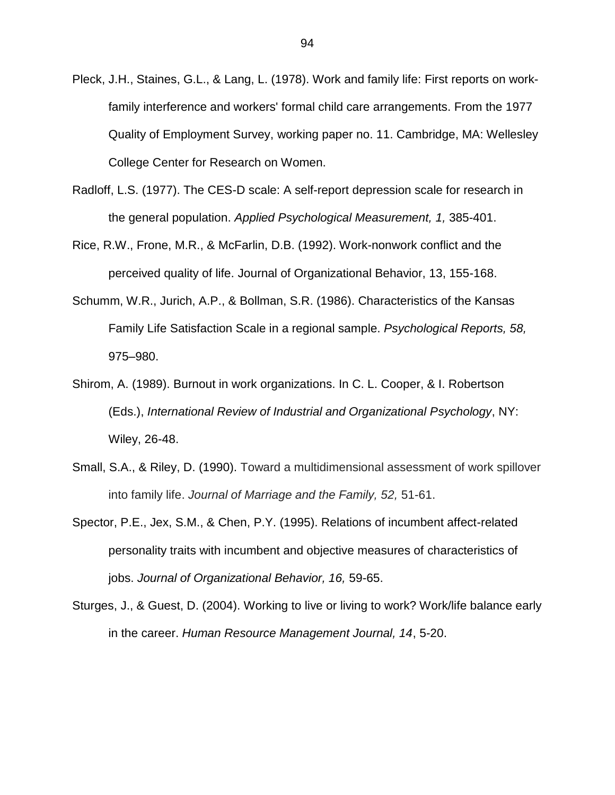- Pleck, J.H., Staines, G.L., & Lang, L. (1978). Work and family life: First reports on workfamily interference and workers' formal child care arrangements. From the 1977 Quality of Employment Survey, working paper no. 11. Cambridge, MA: Wellesley College Center for Research on Women.
- Radloff, L.S. (1977). The CES-D scale: A self-report depression scale for research in the general population. *Applied Psychological Measurement, 1,* 385-401.
- Rice, R.W., Frone, M.R., & McFarlin, D.B. (1992). [Work-nonwork conflict and the](http://web.ebscohost.com.proxy.lib.wayne.edu/ehost/viewarticle?data=dGJyMPPp44rp2%2fdV0%2bnjisfk5Ie46bZMsqa2S7Sk63nn5Kx95uXxjL6vrUm3pbBIr6meULintVKup55oy5zyit%2fk8Xnh6ueH7N%2fiVa%2bus0uup7FLsaykhN%2fk5VXj5KR84LPui%2ffepIzf3btZzJzfhrunt1Gwo7BRsquvRa6mrz7k5fCF3%2bq7fvPi6ozj7vIA&hid=108)  [perceived quality of life.](http://web.ebscohost.com.proxy.lib.wayne.edu/ehost/viewarticle?data=dGJyMPPp44rp2%2fdV0%2bnjisfk5Ie46bZMsqa2S7Sk63nn5Kx95uXxjL6vrUm3pbBIr6meULintVKup55oy5zyit%2fk8Xnh6ueH7N%2fiVa%2bus0uup7FLsaykhN%2fk5VXj5KR84LPui%2ffepIzf3btZzJzfhrunt1Gwo7BRsquvRa6mrz7k5fCF3%2bq7fvPi6ozj7vIA&hid=108) Journal of Organizational Behavior, 13, 155-168.
- Schumm, W.R., Jurich, A.P., & Bollman, S.R. (1986). Characteristics of the Kansas Family Life Satisfaction Scale in a regional sample. *Psychological Reports, 58,*  975–980.
- Shirom, A. (1989). Burnout in work organizations. In C. L. Cooper, & I. Robertson (Eds.), *International Review of Industrial and Organizational Psychology*, NY: Wiley, 26-48.
- Small, S.A., & Riley, D. (1990). Toward a multidimensional assessment of work spillover into family life. *Journal of Marriage and the Family, 52,* 51-61.
- Spector, P.E., Jex, S.M., & Chen, P.Y. (1995). Relations of incumbent affect-related personality traits with incumbent and objective measures of characteristics of jobs. *Journal of Organizational Behavior, 16,* 59-65.
- Sturges, J., & Guest, D. (2004). Working to live or living to work? Work/life balance early in the career. *Human Resource Management Journal, 14*, 5-20.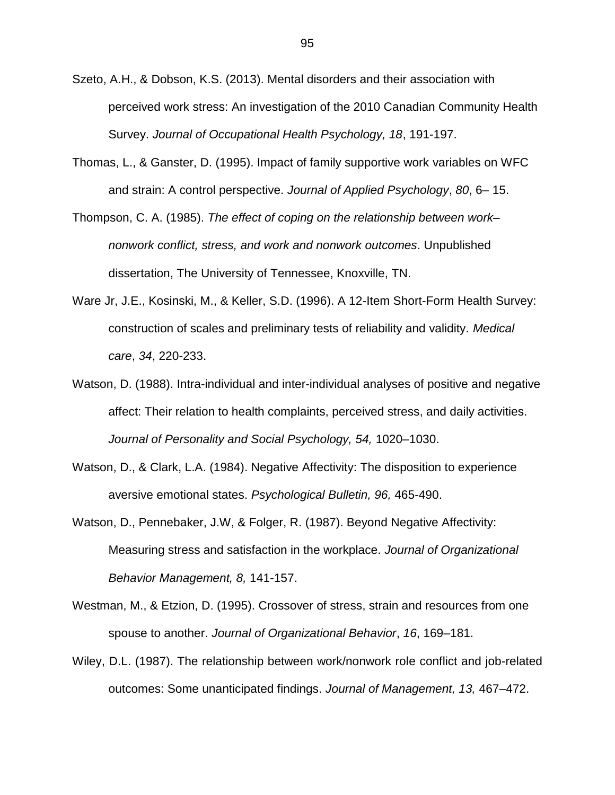- Szeto, A.H., & Dobson, K.S. (2013). Mental disorders and their association with perceived work stress: An investigation of the 2010 Canadian Community Health Survey. *Journal of Occupational Health Psychology, 18*, 191-197.
- Thomas, L., & Ganster, D. (1995). Impact of family supportive work variables on WFC and strain: A control perspective. *Journal of Applied Psychology*, *80*, 6– 15.
- Thompson, C. A. (1985). *The effect of coping on the relationship between work– nonwork conflict, stress, and work and nonwork outcomes*. Unpublished dissertation, The University of Tennessee, Knoxville, TN.
- Ware Jr, J.E., Kosinski, M., & Keller, S.D. (1996). A 12-Item Short-Form Health Survey: construction of scales and preliminary tests of reliability and validity. *Medical care*, *34*, 220-233.
- Watson, D. (1988). Intra-individual and inter-individual analyses of positive and negative affect: Their relation to health complaints, perceived stress, and daily activities. *Journal of Personality and Social Psychology, 54,* 1020–1030.
- Watson, D., & Clark, L.A. (1984). Negative Affectivity: The disposition to experience aversive emotional states. *Psychological Bulletin, 96,* 465-490.
- Watson, D., Pennebaker, J.W, & Folger, R. (1987). Beyond Negative Affectivity: Measuring stress and satisfaction in the workplace. *Journal of Organizational Behavior Management, 8,* 141-157.
- Westman, M., & Etzion, D. (1995). Crossover of stress, strain and resources from one spouse to another. *Journal of Organizational Behavior*, *16*, 169–181.
- Wiley, D.L. (1987). The relationship between work/nonwork role conflict and job-related outcomes: Some unanticipated findings. *Journal of Management, 13,* 467–472.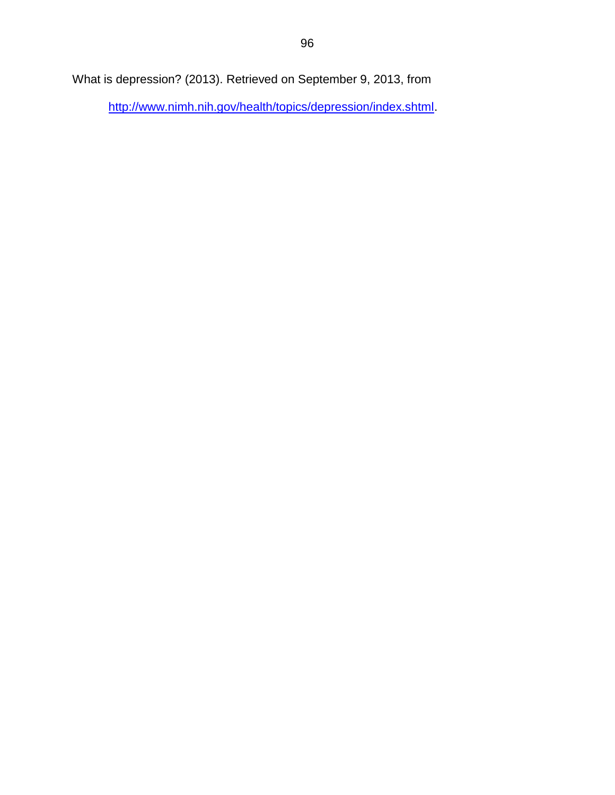What is depression? (2013). Retrieved on September 9, 2013, from

[http://www.nimh.nih.gov/health/topics/depression/index.shtml.](http://www.nimh.nih.gov/health/topics/depression/index.shtml)